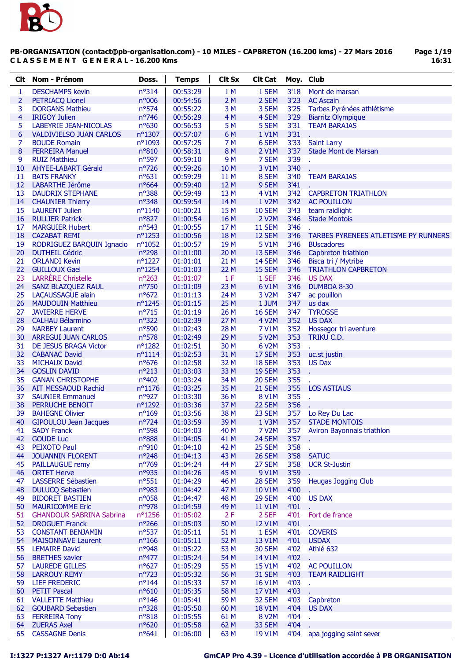

**Page 1/19 16:31**

|                                    | <b>Clt</b> Nom - Prénom                         | Doss.                        | <b>Temps</b>         | <b>Clt Sx</b>   | <b>Clt Cat</b>   |              | Moy. Club                            |
|------------------------------------|-------------------------------------------------|------------------------------|----------------------|-----------------|------------------|--------------|--------------------------------------|
| 1                                  | <b>DESCHAMPS kevin</b>                          | $n^o314$                     | 00:53:29             | 1 M             | 1 SEM            | 3'18         | Mont de marsan                       |
| $\overline{2}$                     | PETRIACQ Lionel                                 | n°006                        | 00:54:56             | 2M              | 2 SEM            | 3'23         | <b>AC Ascain</b>                     |
| 3                                  | <b>DORGANS Mathieu</b>                          | nº574                        | 00:55:22             | 3 M             | 3 SEM            | 3'25         | Tarbes Pyrénées athlétisme           |
| $\overline{\mathbf{r}}$            | <b>IRIGOY Julien</b>                            | nº746                        | 00:56:29             | 4M              | 4 SEM            | 3'29         | <b>Biarritz Olympique</b>            |
| 5                                  | LABEYRIE JEAN-NICOLAS                           | nº630                        | 00:56:53             | 5 M             | 5 SEM            | 3'31         | <b>TEAM BARAJAS</b>                  |
| 6                                  | <b>VALDIVIELSO JUAN CARLOS</b>                  | nº1307                       | 00:57:07             | 6 M             | 1 V1M            | 3'31         |                                      |
| 7                                  | <b>BOUDE Romain</b>                             | nº1093                       | 00:57:25             | 7 M             | 6 SEM            | 3'33         | <b>Saint Larry</b>                   |
| $\bf 8$                            | <b>FERREIRA Manuel</b>                          | n°810                        | 00:58:31             | 8M              | 2 V1M            | 3'37         | Stade Mont de Marsan                 |
| 9                                  | <b>RUIZ Matthieu</b>                            | nº597                        | 00:59:10             | 9 M             | 7 SEM            | 3'39         |                                      |
| 10                                 | <b>AHYEE-LABART Gérald</b>                      | nº726                        | 00:59:26             | 10 M            | 3 V1M            | 3'40         |                                      |
| 11                                 | <b>BATS FRANKY</b>                              | $n^o$ 631                    | 00:59:29             | 11 M            | 8 SEM            | 3'40         | <b>TEAM BARAJAS</b>                  |
| 12 <sup>2</sup>                    | <b>LABARTHE Jérôme</b>                          | nº664                        | 00:59:40             | 12 M            | 9 SEM            | 3'41         |                                      |
| 13                                 | <b>DAUDRIX STEPHANE</b>                         | nº388                        | 00:59:49             | 13 M            | 4 V1M            | 3'42         | <b>CAPBRETON TRIATHLON</b>           |
| 14                                 | <b>CHAUNIER Thierry</b>                         | nº348                        | 00:59:54             | 14 M            | 1 V2M            |              | 3'42 AC POUILLON                     |
| 15 <sub>1</sub><br>16 <sup>1</sup> | <b>LAURENT Julien</b><br><b>RULLIER Patrick</b> | $n^o$ 1140<br>$n^{\circ}827$ | 01:00:21             | 15 M<br>16 M    | 10 SEM<br>2 V2M  | 3'43<br>3'46 | team raidlight                       |
| 17                                 | <b>MARGUIER Hubert</b>                          | $n^o543$                     | 01:00:54<br>01:00:55 | 17 M            | 11 SEM           | 3'46         | <b>Stade Montois</b>                 |
| 18                                 | <b>CAZABAT REMI</b>                             | $n^o$ 1253                   | 01:00:56             | 18 M            | 12 SEM           | 3'46         | TARBES PYRENEES ATLETISME PY RUNNERS |
| 19                                 | RODRIGUEZ BARQUIN Ignacio                       | nº1052                       | 01:00:57             | 19 <sub>M</sub> | 5 V1M            | 3'46         | <b>BUscadores</b>                    |
| 20                                 | <b>DUTHEIL Cédric</b>                           | n°298                        | 01:01:00             | 20 M            | 13 SEM           | 3'46         | Capbreton triathlon                  |
| 21                                 | <b>ORLANDI Kevin</b>                            | nº1227                       | 01:01:01             | 21 M            | 14 SEM           | 3'46         | Bisca tri / Mytribe                  |
| 22 <sub>2</sub>                    | <b>GUILLOUX Gael</b>                            | nº1254                       | 01:01:03             | 22 M            | 15 SEM           | 3'46         | <b>TRIATHLON CAPBRETON</b>           |
| 23                                 | <b>LARRÈRE Christelle</b>                       | $n^{\circ}263$               | 01:01:07             | 1F              | 1 SEF            | 3'46         | <b>US DAX</b>                        |
| 24                                 | SANZ BLAZQUEZ RAUL                              | $n^{\circ}750$               | 01:01:09             | 23 M            | 6 V1M            | 3'46         | DUMBOA 8-30                          |
| 25 <sub>2</sub>                    | <b>LACAUSSAGUE alain</b>                        | $n^o$ 672                    | 01:01:13             | 24 M            | 3 V2M            | 3'47         | ac pouillon                          |
| 26                                 | <b>MAUDOUIN Matthieu</b>                        | nº1245                       | 01:01:15             | 25 M            | 1 JUM            | 3'47         | us dax                               |
| 27                                 | <b>JAVIERRE HERVE</b>                           | $n^{\circ}715$               | 01:01:19             | 26 M            | 16 SEM           | 3'47         | <b>TYROSSE</b>                       |
| 28                                 | <b>CALHAU Bélarmino</b>                         | n°322                        | 01:02:39             | 27 M            | 4 V2M            | 3'52         | <b>US DAX</b>                        |
| 29                                 | <b>NARBEY Laurent</b>                           | nº590                        | 01:02:43             | 28 M            | 7 V1M            | 3'52         | Hossegor tri aventure                |
| 30                                 | <b>ARREGUI JUAN CARLOS</b>                      | nº578                        | 01:02:49             | 29 M            | 5 V2M            | 3'53         | TRIKU C.D.                           |
| 31                                 | <b>DE JESUS BRAGA Victor</b>                    | nº1282                       | 01:02:51             | 30 M            | 6 V2M            | 3'53         | ÷.                                   |
| 32 <sup>2</sup>                    | <b>CABANAC David</b>                            | $n^o$ 1114                   | 01:02:53             | 31 M            | 17 SEM           | 3'53         | uc.st justin                         |
| 33                                 | <b>MICHAUX David</b>                            | nº676                        | 01:02:58             | 32 M            | 18 SEM           | 3'53         | <b>US Dax</b>                        |
| 34                                 | <b>GOSLIN DAVID</b>                             | $n^{\circ}213$               | 01:03:03             | 33 M            | 19 SEM           | 3'53         | ÷.                                   |
| 35                                 | <b>GANAN CHRISTOPHE</b>                         | nº402                        | 01:03:24             | 34 M            | 20 SEM           | 3'55         |                                      |
| 36                                 | AIT MESSAOUD Rachid                             | $n^o$ 1176                   | 01:03:25             | 35 M            | 21 SEM           |              | 3'55 LOS ASTIAUS                     |
| 37                                 | <b>SAUNIER Emmanuel</b>                         | n°927                        | 01:03:30             | 36 M            | <b>8 V1M</b>     | 3'55         | $\sim$                               |
| 38                                 | PERRUCHE BENOIT                                 | nº1292                       | 01:03:36             | 37 M            | 22 SEM           | 3'56         |                                      |
| 39                                 | <b>BAHEGNE Olivier</b>                          | $n^o$ 169                    | 01:03:56             | 38 M            | 23 SEM           |              | 3'57 Lo Rey Du Lac                   |
| 40                                 | GIPOULOU Jean Jacques                           | nº724                        | 01:03:59             | 39 M            | 1 V3M            |              | 3'57 STADE MONTOIS                   |
| 41                                 | <b>SADY Franck</b>                              | nº598                        | 01:04:03             | 40 M            | 7 V2M            |              | 3'57 Aviron Bayonnais triathlon      |
| 42                                 | <b>GOUDE Luc</b>                                | n°888                        | 01:04:05             | 41 M            | 24 SEM           | 3'57         |                                      |
| 43<br>44                           | PEIXOTO Paul<br><b>JOUANNIN FLORENT</b>         | nº910<br>$n^o$ 248           | 01:04:10             | 42 M<br>43 M    | 25 SEM<br>26 SEM | 3'58<br>3'58 | <b>SATUC</b>                         |
| 45                                 | <b>PAILLAUGUE remy</b>                          | nº769                        | 01:04:13<br>01:04:24 | 44 M            | 27 SEM           | 3'58         | <b>UCR St-Justin</b>                 |
| 46                                 | <b>ORTET Herve</b>                              | n°935                        | 01:04:26             | 45 M            | 9 V1M            | 3'59         |                                      |
| 47                                 | <b>LASSERRE Sébastien</b>                       | nº551                        | 01:04:29             | 46 M            | 28 SEM           | 3'59         | Heugas Jogging Club                  |
| 48                                 | <b>DULUCQ Sebastien</b>                         | nº983                        | 01:04:42             | 47 M            | 10 V1M           | 4'00         |                                      |
| 49                                 | <b>BIDORET BASTIEN</b>                          | n°058                        | 01:04:47             | 48 M            | 29 SEM           | 4'00         | <b>US DAX</b>                        |
| 50                                 | <b>MAURICOMME Eric</b>                          | nº978                        | 01:04:59             | 49 M            | <b>11 V1M</b>    | 4'01         |                                      |
| 51                                 | <b>GHANDOUR SABRINA Sabrina</b>                 | nº1256                       | 01:05:02             | 2F              | 2 SEF            | 4'01         | Fort de france                       |
| 52                                 | <b>DROGUET Franck</b>                           | $n^{\circ}266$               | 01:05:03             | 50 M            | 12 V1M           | 4'01         |                                      |
| 53                                 | <b>CONSTANT BENJAMIN</b>                        | nº537                        | 01:05:11             | 51 M            | 1 ESM            | 4'01         | <b>COVERIS</b>                       |
| 54                                 | <b>MAISONNAVE Laurent</b>                       | $n^o$ 166                    | 01:05:11             | 52 M            | 13 V1M           | 4'01         | <b>USDAX</b>                         |
| 55                                 | <b>LEMAIRE David</b>                            | n°948                        | 01:05:22             | 53 M            | 30 SEM           | 4'02         | Athlé 632                            |
| 56                                 | <b>BRETHES xavier</b>                           | $n^o477$                     | 01:05:24             | 54 M            | 14 V1M           | 4'02         |                                      |
| 57                                 | <b>LAUREDE GILLES</b>                           | $n^o627$                     | 01:05:29             | 55 M            | 15 V1M           | 4'02         | <b>AC POUILLON</b>                   |
| 58                                 | <b>LARROUY REMY</b>                             | $n^{\circ}$ 723              | 01:05:32             | 56 M            | 31 SEM           | 4'03         | <b>TEAM RAIDLIGHT</b>                |
| 59                                 | <b>LIEF FREDERIC</b>                            | $n^o$ 144                    | 01:05:33             | 57 M            | 16 V1M           | 4'03         | ä,                                   |
| 60                                 | <b>PETIT Pascal</b>                             | $n^o610$                     | 01:05:35             | 58 M            | 17 V1M           | 4'03         | ÷                                    |
| 61                                 | <b>VALLETTE Matthieu</b>                        | $n^o$ 146                    | 01:05:41             | 59 M            | 32 SEM           | 4'03         | Capbreton                            |
| 62                                 | <b>GOUBARD Sebastien</b>                        | $n^{\circ}328$               | 01:05:50             | 60 M            | <b>18 V1M</b>    |              | 4'04 US DAX                          |
| 63                                 | <b>FERREIRA Tony</b>                            | $n^o818$                     | 01:05:55             | 61 M            | 8 V2M            | 4'04         | $\mathbf{r}$                         |
| 64                                 | <b>ZUERAS Axel</b>                              | nº620                        | 01:05:58             | 62 M            | 33 SEM           | 4'04         |                                      |
| 65                                 | <b>CASSAGNE Denis</b>                           | $n^o641$                     | 01:06:00             | 63 M            | <b>19 V1M</b>    | 4'04         | apa jogging saint sever              |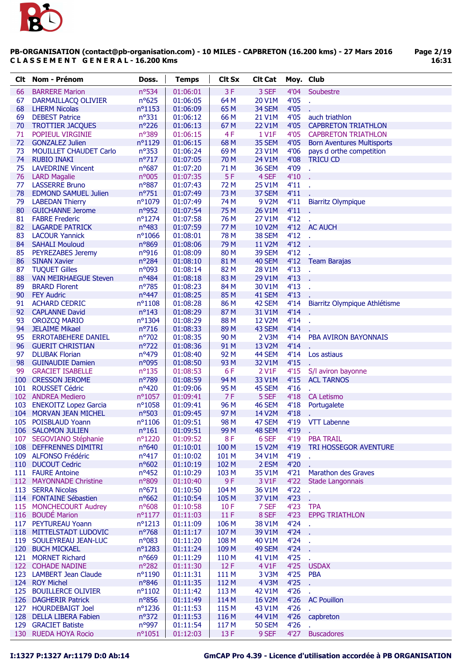

**Page 2/19 16:31**

| Clt      | Nom - Prénom                                         | Doss.              | <b>Temps</b>         | <b>Clt Sx</b>  | <b>Clt Cat</b>   | Moy. Club    |                                   |
|----------|------------------------------------------------------|--------------------|----------------------|----------------|------------------|--------------|-----------------------------------|
| 66       | <b>BARRERE Marion</b>                                | nº534              | 01:06:01             | 3F             | 3 SEF            | 4'04         | Soubestre                         |
| 67       | DARMAILLACQ OLIVIER                                  | $n^o$ 625          | 01:06:05             | 64 M           | 20 V1M           | 4'05         | $\mathcal{A}$                     |
| 68       | <b>LHERM Nicolas</b>                                 | $n^o$ 1153         | 01:06:09             | 65 M           | 34 SEM           | 4'05         |                                   |
| 69       | <b>DEBEST Patrice</b>                                | $n^o$ 331          | 01:06:12             | 66 M           | 21 V1M           | 4'05         | auch triathlon                    |
| 70       | <b>TROTTIER JACQUES</b>                              | $n^{\circ}226$     | 01:06:13             | 67 M           | <b>22 V1M</b>    | 4'05         | <b>CAPBRETON TRIATHLON</b>        |
| 71       | POPIEUL VIRGINIE                                     | n°389              | 01:06:15             | 4F             | 1 V1F            | 4'05         | <b>CAPBRETON TRIATHLON</b>        |
| 72       | <b>GONZALEZ Julien</b>                               | nº1129             | 01:06:15             | 68 M           | 35 SEM           | 4'05         | <b>Born Aventures Multisports</b> |
| 73       | MOUILLET CHAUDET Carlo                               | $n^o$ 353          | 01:06:24             | 69 M           | 23 V1M           | 4'06         | pays d orthe competition          |
| 74       | <b>RUBIO INAKI</b>                                   | $n^{\circ}717$     | 01:07:05             | 70 M           | 24 V1M           | 4'08         | <b>TRICU CD</b>                   |
| 75       | <b>LAVEDRINE Vincent</b>                             | nº687              | 01:07:20             | 71 M           | 36 SEM           | 4'09         | ÷.                                |
|          | 76 LARD Magalie                                      | n°005              | 01:07:35             | 5F             | 4 SEF            | 4'10         | - 1                               |
| 77       | <b>LASSERRE Bruno</b>                                | nº887              | 01:07:43             | 72 M           | 25 V1M           | 4'11         | ÷.                                |
| 78       | <b>EDMOND SAMUEL Julien</b>                          | $n^{\circ}751$     | 01:07:49             | 73 M           | 37 SEM           | 4'11         |                                   |
| 79       | <b>LABEDAN Thierry</b>                               | nº1079             | 01:07:49             | 74 M           | 9 V2M            | 4'11         | <b>Biarritz Olympique</b>         |
| 80       | <b>GUICHANNE Jerome</b>                              | n°952              | 01:07:54             | 75 M           | 26 V1M           | 4'11         |                                   |
| 81       | <b>FABRE Frederic</b>                                | nº1274             | 01:07:58             | 76 M           | 27 V1M           | 4'12         | $\mathcal{L}_{\mathbf{r}}$        |
| 82       | <b>LAGARDE PATRICK</b>                               | nº483              | 01:07:59             | 77 M           | 10 V2M           |              | 4'12 AC AUCH                      |
| 83       | <b>LACOUR Yannick</b>                                | $n^{\circ}1066$    | 01:08:01             | 78 M           | 38 SEM           | 4'12         | $\mathcal{A}$                     |
| 84       | <b>SAHALI Mouloud</b>                                | $n^{\circ}869$     | 01:08:06             | 79 M           | 11 V2M           | 4'12         | ÷.                                |
| 85       | PEYREZABES Jeremy                                    | nº916              | 01:08:09             | 80 M           | 39 SEM           | 4'12         |                                   |
| 86<br>87 | <b>SINAN Xavier</b>                                  | $n^{\circ}284$     | 01:08:10             | 81 M<br>82 M   | 40 SEM           | 4'12<br>4'13 | <b>Team Barajas</b>               |
| 88       | <b>TUQUET Gilles</b><br><b>VAN MEIRHAEGUE Steven</b> | n°093<br>nº484     | 01:08:14             | 83 M           | 28 V1M<br>29 V1M | 4'13         | $\sim$                            |
| 89       | <b>BRARD Florent</b>                                 | n°785              | 01:08:18<br>01:08:23 | 84 M           | 30 V1M           | 4'13         | ÷.<br>÷.                          |
| 90       | <b>FEY Audric</b>                                    | $n^o447$           | 01:08:25             | 85 M           | 41 SEM           | 4'13         |                                   |
| 91       | <b>ACHARD CEDRIC</b>                                 | $n^o$ 1108         | 01:08:28             | 86 M           | 42 SEM           | 4'14         | Biarritz Olympique Athlétisme     |
| 92       | <b>CAPLANNE David</b>                                | $n^{\circ}143$     | 01:08:29             | 87 M           | 31 V1M           | 4'14         |                                   |
| 93       | OROZCQ MARIO                                         | nº1304             | 01:08:29             | 88 M           | 12 V2M           | 4'14         |                                   |
| 94       | <b>JELAIME Mikael</b>                                | $n^{\circ}716$     | 01:08:33             | 89 M           | 43 SEM           | 4'14         |                                   |
| 95       | <b>ERROTABEHERE DANIEL</b>                           | nº702              | 01:08:35             | 90 M           | 2 V3M            | 4'14         | PBA AVIRON BAYONNAIS              |
|          | 96 GUERIT CHRISTIAN                                  | $n^{\circ}$ 722    | 01:08:36             | 91 M           | 13 V2M           | 4'14         |                                   |
| 97       | <b>DLUBAK Florian</b>                                | nº479              | 01:08:40             | 92 M           | 44 SEM           | 4'14         | Los astiaus                       |
| 98       | <b>GUINAUDIE Damien</b>                              | n°095              | 01:08:50             | 93 M           | 32 V1M           | 4'15         |                                   |
| 99       | <b>GRACIET ISABELLE</b>                              | $n^o$ 135          | 01:08:53             | 6F             | 2 V1F            | 4'15         | S/I aviron bayonne                |
|          | 100 CRESSON JEROME                                   | n°789              | 01:08:59             | 94 M           | 33 V1M           | 4'15         | <b>ACL TARNOS</b>                 |
|          | 101 ROUSSET Cédric                                   | nº420              | 01:09:06             | 95 M           | 45 SEM           | 4'16         |                                   |
|          | 102 ANDREA Mediero                                   | $n^{\circ}1057$    | 01:09:41             | 7F             | 5 SEF            | 4'18         | <b>CA Letismo</b>                 |
|          | 103 ENEKOITZ Lopez Garcia                            | $n^{\circ}1058$    | 01:09:41             | 96 M           | 46 SEM           | 4'18         | Portugalete                       |
|          | 104 MORVAN JEAN MICHEL                               | $n^o$ 503          | 01:09:45             | 97 M           | 14 V2M           | 4'18         |                                   |
|          | 105 POISBLAUD Yoann                                  | $n^o$ 1106         | 01:09:51             | 98 M           | 47 SEM           |              | 4'19 VTT Labenne                  |
|          | 106 SALOMON JULIEN                                   | $n^o$ 161          | 01:09:51             | 99 M           | 48 SEM           | 4'19         |                                   |
|          | 107 SEGOVIANO Stéphanie                              | nº1220             | 01:09:52             | 8F             | 6 SEF            | 4'19         | <b>PBA TRAIL</b>                  |
|          | 108 DEFFRENNES DIMITRI                               | $n^o640$           | 01:10:01             | 100 M          | 15 V2M           | 4'19         | TRI HOSSEGOR AVENTURE             |
|          | 109 ALFONSO Frédéric                                 | $n^o417$           | 01:10:02             | 101 M          | 34 V1M           | 4'19         |                                   |
|          | 110 DUCOUT Cedric                                    | $n^o$ 602          | 01:10:19             | 102 M<br>103 M | 2 ESM            | 4'20         |                                   |
|          | 111 FAURE Antoine                                    | $n^o$ 452<br>n°809 | 01:10:29<br>01:10:40 | 9F             | 35 V1M<br>3 V1F  | 4'21<br>4'22 | Marathon des Graves               |
|          | 112 MAYONNADE Christine<br>113 SERRA Nicolas         | $n^o$ 671          | 01:10:50             | 104 M          | 36 V1M           | 4'22         | Stade Langonnais                  |
|          | 114 FONTAINE Sébastien                               | $n^o$ 662          | 01:10:54             | 105 M          | 37 V1M           | 4'23         | $\mathbf{r}$                      |
|          | 115 MONCHECOURT Audrey                               | $n^o$ 608          | 01:10:58             | 10F            | 7 SEF            | 4'23         | <b>TPA</b>                        |
|          | 116 BOUDÉ Marion                                     | $n^o$ 1177         | 01:11:03             | 11F            | 8 SEF            | 4'23         | <b>EPPG TRIATHLON</b>             |
|          | 117 PEYTUREAU Yoann                                  | $n^o$ 1213         | 01:11:09             | 106 M          | 38 V1M           | 4'24         | $\mathbf{r}$                      |
|          | 118 MITTELSTADT LUDOVIC                              | $n^{\circ}768$     | 01:11:17             | 107 M          | 39 V1M           | 4'24         |                                   |
|          | 119 SOULEYREAU JEAN-LUC                              | $n^o$ 083          | 01:11:20             | 108 M          | 40 V1M           | 4'24         | $\mathbf{r}$                      |
|          | 120 BUCH MICKAEL                                     | nº1283             | 01:11:24             | 109 M          | 49 SEM           | 4'24         |                                   |
|          | 121 MORNET Richard                                   | $n^o$ 669          | 01:11:29             | 110 M          | 41 V1M           | 4'25         |                                   |
|          | 122 COHADE NADINE                                    | $n^{\circ}282$     | 01:11:30             | 12F            | 4 V1F            | 4'25         | <b>USDAX</b>                      |
|          | 123 LAMBERT Jean Claude                              | nº1190             | 01:11:31             | 111 M          | 3 V3M            | 4'25         | <b>PBA</b>                        |
|          | 124 ROY Michel                                       | $n^o$ 846          | 01:11:35             | 112 M          | <b>4 V3M</b>     | 4'25         |                                   |
| 125      | <b>BOUILLERCE OLIVIER</b>                            | $n^o$ 1102         | 01:11:42             | 113 M          | 42 V1M           | 4'26         |                                   |
|          | 126 DAGHERIR Patrick                                 | nº856              | 01:11:49             | 114 M          | 16 V2M           | 4'26         | <b>AC Pouillon</b>                |
|          | 127 HOURDEBAIGT Joel                                 | $n^o$ 1236         | 01:11:53             | 115 M          | 43 V1M           | 4'26         |                                   |
|          | 128 DELLA LIBERA Fabien                              | $n^{\circ}372$     | 01:11:53             | 116 M          | 44 V1M           | 4'26         | capbreton                         |
|          | 129 GRACIET Batiste                                  | nº997              | 01:11:54             | 117 M          | <b>50 SEM</b>    | 4'26         |                                   |
|          | 130 RUEDA HOYA Rocio                                 | nº1051             | 01:12:03             | 13F            | 9 SEF            | 4'27         | <b>Buscadores</b>                 |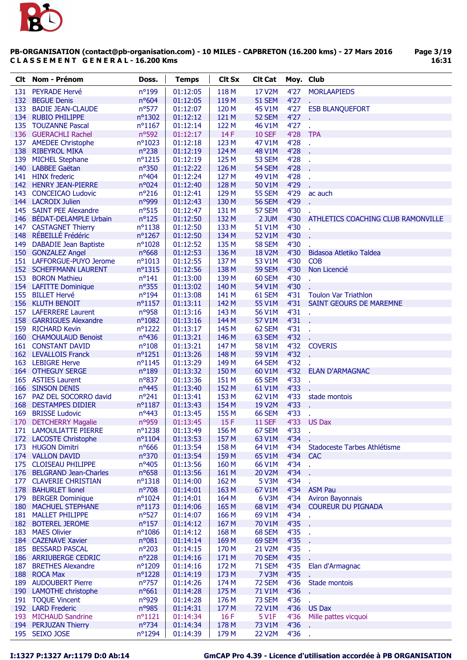

**Page 3/19 16:31**

| n°199<br>118 M<br>4'27<br><b>MORLAAPIEDS</b><br>131 PEYRADE Hervé<br>01:12:05<br>17 V2M<br>$n^o$ 604<br>4'27<br>132 BEGUE Denis<br>01:12:05<br>119 M<br>51 SEM<br>4'27<br>133 BADIE JEAN-CLAUDE<br>$n^o$ 577<br>120 M<br>45 V1M<br><b>ESB BLANQUEFORT</b><br>01:12:07<br>134 RUBIO PHILIPPE<br>nº1302<br>121 M<br>4'27<br>01:12:12<br>52 SEM<br>4'27<br>135 TOUZANNE Pascal<br>$n^o$ 1167<br>01:12:14<br>122 M<br>46 V1M<br>$\lambda$<br>14F<br>4'28<br><b>TPA</b><br>136 GUERACHLI Rachel<br>$n^o$ 592<br>01:12:17<br><b>10 SEF</b><br>4'28<br>137 AMEDEE Christophe<br>$n^{\circ}1023$<br>01:12:18<br>123 M<br>47 V1M<br>$\bar{z}$<br>4'28<br>138 RIBEYROL MIKA<br>$n^{\circ}238$<br>01:12:19<br>124 M<br><b>48 V1M</b><br>÷.<br>139 MICHEL Stephane<br>$n^o$ 1215<br>125 M<br>53 SEM<br>4'28<br>01:12:19<br>$\mathbb{Z}_2$<br>126 M<br>4'28<br>140 LABBEE Gaëtan<br>nº350<br>01:12:22<br>54 SEM<br>۰.<br>4'28<br>141 HINX frederic<br>nº404<br>01:12:24<br>127 M<br>49 V1M<br>$\mathcal{A}$<br>4'29<br>142 HENRY JEAN-PIERRE<br>$n^{\circ}024$<br>01:12:40<br>128 M<br>50 V1M<br>$n^{\circ}216$<br>01:12:41<br>129 M<br><b>55 SEM</b><br>4'29<br>143 CONCEICAO Ludovic<br>ac auch<br>144 LACROIX Julien<br>n°999<br>130 M<br>4'29<br>01:12:43<br><b>56 SEM</b><br>$n^o$ 515<br>4'30<br>145 SAINT PEE Alexandre<br>01:12:47<br>131 M<br>57 SEM<br>$n^{\circ}125$<br>132 M<br>146 BÉDAT-DELAMPLE Urbain<br>01:12:50<br>2 JUM<br>4'30<br>ATHLETICS COACHING CLUB RAMONVILLE<br>4'30<br>147 CASTAGNET Thierry<br>$n^o$ 1138<br>01:12:50<br>133 M<br>51 V1M<br>$\mathcal{A}$<br>4'30<br>148 RÉBEILLÉ Frédéric<br>$n^{\circ}$ 1267<br>01:12:50<br>134 M<br>52 V1M<br>чý.<br>149 DABADIE Jean Baptiste<br>$n^o$ 1028<br>01:12:52<br>135 M<br><b>58 SEM</b><br>4'30<br>136 M<br>150 GONZALEZ Angel<br>$n^o$ 668<br>01:12:53<br>4'30<br><b>18 V2M</b><br>Bidasoa Atletiko Taldea<br>4'30<br>151 LAFFORGUE-PUYO Jerome<br>$n^o$ 1013<br>01:12:55<br>137 M<br>53 V1M<br><b>COB</b><br>152 SCHEFFMANN LAURENT<br>$n^o$ 1315<br>01:12:56<br>138 M<br><b>59 SEM</b><br>4'30<br>Non Licencié<br>153 BORON Mathieu<br>$n^o141$<br>139 M<br>60 SEM<br>4'30<br>01:13:00<br>$\mathbf{r}$<br>154 LAFITTE Dominique<br>$n^{\circ}355$<br>140 M<br>4'30<br>01:13:02<br>54 V1M<br>155 BILLET Hervé<br>$n^o$ 194<br>141 M<br>61 SEM<br>4'31<br><b>Toulon Var Triathlon</b><br>01:13:08<br>156 KLUTH BENOIT<br>$n^o$ 1157<br>01:13:11<br>142 M<br>55 V1M<br>4'31<br><b>SAINT GEOURS DE MAREMNE</b><br>4'31<br>nº958<br>01:13:16<br>143 M<br>56 V1M<br>157 LAFERRERE Laurent<br>$\mathcal{A}$<br>4'31<br>158 GARRIGUES Alexandre<br>nº1082<br>01:13:16<br>144 M<br>57 V1M<br>$\sim$<br>$n^o$ 1222<br>62 SEM<br>4'31<br>159 RICHARD Kevin<br>01:13:17<br>145 M<br>$\mathcal{A}$<br>4'32<br>160 CHAMOULAUD Benoist<br>$n^o436$<br>01:13:21<br>146 M<br>63 SEM<br>$\sim$<br>4'32 COVERIS<br>$n^{\circ}108$<br>147 M<br>161 CONSTANT DAVID<br>01:13:21<br>58 V1M<br>4'32<br>162 LEVALLOIS Franck<br>$n^o$ 1251<br>01:13:26<br>148 M<br>59 V1M<br>÷.<br>4'32<br>163 LEBIGRE Herve<br>$n^o$ 1145<br>01:13:29<br>149 M<br>64 SEM<br>÷.<br>$n^o$ 189<br>150 M<br>4'32 ELAN D'ARMAGNAC<br>164 OTHEGUY SERGE<br>01:13:32<br>60 V1M<br>165 ASTIES Laurent<br>n°837<br>151 M<br>65 SEM<br>4'33<br>01:13:36<br>$\mathcal{A}$<br>4'33<br>166 SINSON DENIS<br>$n^o445$<br>01:13:40<br>152 M<br>61 V1M<br>167 PAZ DEL SOCORRO david<br>$n^o241$<br>01:13:41<br>153 M<br>4'33<br>62 V1M<br>stade montois<br>4'33<br>168 DESTAMPES DIDIER<br>$n^o$ 1187<br>01:13:43<br>154 M<br>19 V2M<br>÷.<br>169 BRISSE Ludovic<br>nº443<br><b>66 SEM</b><br>4'33<br>01:13:45<br>155 M<br>170<br>nº959<br>4'33 US Dax<br><b>DETCHERRY Magalie</b><br>01:13:45<br>15F<br><b>11 SEF</b><br>171 LAMOULIATTE PIERRE<br>nº1238<br>4'33<br>01:13:49<br>156 M<br>67 SEM<br>$\mathbb{Z}^2$<br>4'34<br>$n^o$ 1104<br>01:13:53<br>157 M<br>63 V1M<br>172<br><b>LACOSTE Christophe</b><br>173<br><b>HUGON Dimitri</b><br>nº666<br>01:13:54<br>158 M<br>64 V1M<br>4'34<br>Stadoceste Tarbes Athlétisme<br>nº370<br>159 M<br>4'34<br>174 VALLON DAVID<br>01:13:54<br>65 V1M<br><b>CAC</b><br>160 M<br>4'34<br>175 CLOISEAU PHILIPPE<br>$n^o 405$<br>01:13:56<br>66 V1M<br>÷.<br>$n^o$ 658<br>161 M<br>01:13:56<br>20 V2M<br>4'34<br>176 BELGRAND Jean-Charles<br>162 M<br><b>5 V3M</b><br>4'34<br>177<br><b>CLAVERIE CHRISTIAN</b><br>$n^o$ 1318<br>01:14:00<br>178<br>$n^{\circ}708$<br>163 M<br>67 V1M<br>4'34 ASM Pau<br><b>BAHURLET lionel</b><br>01:14:01<br><b>BERGER Dominique</b><br>164 M<br>6 V3M<br><b>Aviron Bayonnais</b><br>179<br>$n^{\circ}1024$<br>01:14:01<br>4'34<br>165 M<br>180<br><b>MACHUEL STEPHANE</b><br>$n^o$ 1173<br>01:14:06<br>68 V1M<br>4'34<br><b>COUREUR DU PIGNADA</b><br>4'34<br>166 M<br>181 MALLET PHILIPPE<br>$n^o$ 527<br>01:14:07<br>69 V1M<br>$\mathcal{A}$<br>4'35<br>182<br>$n^o$ 157<br>01:14:12<br>167 M<br>70 V1M<br><b>BOTEREL JEROME</b><br>٠.<br>4'35<br>183 MAES Olivier<br>nº1086<br>01:14:12<br>168 M<br>68 SEM<br>$\mathcal{L}_{\mathcal{A}}$<br>169 M<br>184 CAZENAVE Xavier<br>$n^o 081$<br>69 SEM<br>4'35<br>01:14:14<br>٠.<br>$n^{\circ}203$<br>170 M<br>4'35<br>185 BESSARD PASCAL<br>01:14:15<br>21 V2M<br>$\sim$<br>4'35<br>$n^{\circ}228$<br>171 M<br>186 ARRIUBERGE CEDRIC<br>01:14:16<br><b>70 SEM</b><br>172 M<br><b>71 SEM</b><br>4'35<br>Elan d'Armagnac<br>187<br><b>BRETHES Alexandre</b><br>nº1209<br>01:14:16<br>188<br><b>ROCA Max</b><br>nº1228<br>173 M<br><b>7 V3M</b><br>4'35<br>01:14:19<br>189<br><b>AUDOUBERT Pierre</b><br>$n^{\circ}757$<br>174 M<br>72 SEM<br>4'36<br>01:14:26<br>Stade montois<br>$n^o$ 661<br>175 M<br>4'36<br>190 LAMOTHE christophe<br>01:14:28<br>71 V1M<br>4'36<br><b>TOQUE Vincent</b><br>nº929<br>176 M<br>191<br>01:14:28<br>73 SEM<br>J.<br>192 LARD Frederic<br>n°985<br>01:14:31<br>177 M<br>72 V1M<br>4'36<br><b>US Dax</b><br>16F<br>5 V1F<br>193 MICHAUD Sandrine<br>$n^o$ 1121<br>01:14:34<br>4'36<br>Mille pattes vicquoi<br>194 PERJUZAN Thierry<br>$n^{\circ}$ 734<br>178 M<br>73 V1M<br>4'36<br>01:14:34<br>$\sim$ | Clt Nom - Prénom | Doss. | <b>Temps</b> | <b>Clt Sx</b> | <b>CIt Cat</b> | Moy. Club |  |
|----------------------------------------------------------------------------------------------------------------------------------------------------------------------------------------------------------------------------------------------------------------------------------------------------------------------------------------------------------------------------------------------------------------------------------------------------------------------------------------------------------------------------------------------------------------------------------------------------------------------------------------------------------------------------------------------------------------------------------------------------------------------------------------------------------------------------------------------------------------------------------------------------------------------------------------------------------------------------------------------------------------------------------------------------------------------------------------------------------------------------------------------------------------------------------------------------------------------------------------------------------------------------------------------------------------------------------------------------------------------------------------------------------------------------------------------------------------------------------------------------------------------------------------------------------------------------------------------------------------------------------------------------------------------------------------------------------------------------------------------------------------------------------------------------------------------------------------------------------------------------------------------------------------------------------------------------------------------------------------------------------------------------------------------------------------------------------------------------------------------------------------------------------------------------------------------------------------------------------------------------------------------------------------------------------------------------------------------------------------------------------------------------------------------------------------------------------------------------------------------------------------------------------------------------------------------------------------------------------------------------------------------------------------------------------------------------------------------------------------------------------------------------------------------------------------------------------------------------------------------------------------------------------------------------------------------------------------------------------------------------------------------------------------------------------------------------------------------------------------------------------------------------------------------------------------------------------------------------------------------------------------------------------------------------------------------------------------------------------------------------------------------------------------------------------------------------------------------------------------------------------------------------------------------------------------------------------------------------------------------------------------------------------------------------------------------------------------------------------------------------------------------------------------------------------------------------------------------------------------------------------------------------------------------------------------------------------------------------------------------------------------------------------------------------------------------------------------------------------------------------------------------------------------------------------------------------------------------------------------------------------------------------------------------------------------------------------------------------------------------------------------------------------------------------------------------------------------------------------------------------------------------------------------------------------------------------------------------------------------------------------------------------------------------------------------------------------------------------------------------------------------------------------------------------------------------------------------------------------------------------------------------------------------------------------------------------------------------------------------------------------------------------------------------------------------------------------------------------------------------------------------------------------------------------------------------------------------------------------------------------------------------------------------------------------------------------------------------------------------------------------------------------------------------------------------------------------------------------------------------------------------------------------------------------------------------------------------------------------------------------------------------------------------------------------------------------------------------------------------------------------------------------------------------------------------------------------------------------------------------------------------------------------------------------------------------------------------------------------------------------------------------------------------------------------------------|------------------|-------|--------------|---------------|----------------|-----------|--|
|                                                                                                                                                                                                                                                                                                                                                                                                                                                                                                                                                                                                                                                                                                                                                                                                                                                                                                                                                                                                                                                                                                                                                                                                                                                                                                                                                                                                                                                                                                                                                                                                                                                                                                                                                                                                                                                                                                                                                                                                                                                                                                                                                                                                                                                                                                                                                                                                                                                                                                                                                                                                                                                                                                                                                                                                                                                                                                                                                                                                                                                                                                                                                                                                                                                                                                                                                                                                                                                                                                                                                                                                                                                                                                                                                                                                                                                                                                                                                                                                                                                                                                                                                                                                                                                                                                                                                                                                                                                                                                                                                                                                                                                                                                                                                                                                                                                                                                                                                                                                                                                                                                                                                                                                                                                                                                                                                                                                                                                                                                                                                                                                                                                                                                                                                                                                                                                                                                                                                                                                                                                                      |                  |       |              |               |                |           |  |
|                                                                                                                                                                                                                                                                                                                                                                                                                                                                                                                                                                                                                                                                                                                                                                                                                                                                                                                                                                                                                                                                                                                                                                                                                                                                                                                                                                                                                                                                                                                                                                                                                                                                                                                                                                                                                                                                                                                                                                                                                                                                                                                                                                                                                                                                                                                                                                                                                                                                                                                                                                                                                                                                                                                                                                                                                                                                                                                                                                                                                                                                                                                                                                                                                                                                                                                                                                                                                                                                                                                                                                                                                                                                                                                                                                                                                                                                                                                                                                                                                                                                                                                                                                                                                                                                                                                                                                                                                                                                                                                                                                                                                                                                                                                                                                                                                                                                                                                                                                                                                                                                                                                                                                                                                                                                                                                                                                                                                                                                                                                                                                                                                                                                                                                                                                                                                                                                                                                                                                                                                                                                      |                  |       |              |               |                |           |  |
|                                                                                                                                                                                                                                                                                                                                                                                                                                                                                                                                                                                                                                                                                                                                                                                                                                                                                                                                                                                                                                                                                                                                                                                                                                                                                                                                                                                                                                                                                                                                                                                                                                                                                                                                                                                                                                                                                                                                                                                                                                                                                                                                                                                                                                                                                                                                                                                                                                                                                                                                                                                                                                                                                                                                                                                                                                                                                                                                                                                                                                                                                                                                                                                                                                                                                                                                                                                                                                                                                                                                                                                                                                                                                                                                                                                                                                                                                                                                                                                                                                                                                                                                                                                                                                                                                                                                                                                                                                                                                                                                                                                                                                                                                                                                                                                                                                                                                                                                                                                                                                                                                                                                                                                                                                                                                                                                                                                                                                                                                                                                                                                                                                                                                                                                                                                                                                                                                                                                                                                                                                                                      |                  |       |              |               |                |           |  |
|                                                                                                                                                                                                                                                                                                                                                                                                                                                                                                                                                                                                                                                                                                                                                                                                                                                                                                                                                                                                                                                                                                                                                                                                                                                                                                                                                                                                                                                                                                                                                                                                                                                                                                                                                                                                                                                                                                                                                                                                                                                                                                                                                                                                                                                                                                                                                                                                                                                                                                                                                                                                                                                                                                                                                                                                                                                                                                                                                                                                                                                                                                                                                                                                                                                                                                                                                                                                                                                                                                                                                                                                                                                                                                                                                                                                                                                                                                                                                                                                                                                                                                                                                                                                                                                                                                                                                                                                                                                                                                                                                                                                                                                                                                                                                                                                                                                                                                                                                                                                                                                                                                                                                                                                                                                                                                                                                                                                                                                                                                                                                                                                                                                                                                                                                                                                                                                                                                                                                                                                                                                                      |                  |       |              |               |                |           |  |
|                                                                                                                                                                                                                                                                                                                                                                                                                                                                                                                                                                                                                                                                                                                                                                                                                                                                                                                                                                                                                                                                                                                                                                                                                                                                                                                                                                                                                                                                                                                                                                                                                                                                                                                                                                                                                                                                                                                                                                                                                                                                                                                                                                                                                                                                                                                                                                                                                                                                                                                                                                                                                                                                                                                                                                                                                                                                                                                                                                                                                                                                                                                                                                                                                                                                                                                                                                                                                                                                                                                                                                                                                                                                                                                                                                                                                                                                                                                                                                                                                                                                                                                                                                                                                                                                                                                                                                                                                                                                                                                                                                                                                                                                                                                                                                                                                                                                                                                                                                                                                                                                                                                                                                                                                                                                                                                                                                                                                                                                                                                                                                                                                                                                                                                                                                                                                                                                                                                                                                                                                                                                      |                  |       |              |               |                |           |  |
|                                                                                                                                                                                                                                                                                                                                                                                                                                                                                                                                                                                                                                                                                                                                                                                                                                                                                                                                                                                                                                                                                                                                                                                                                                                                                                                                                                                                                                                                                                                                                                                                                                                                                                                                                                                                                                                                                                                                                                                                                                                                                                                                                                                                                                                                                                                                                                                                                                                                                                                                                                                                                                                                                                                                                                                                                                                                                                                                                                                                                                                                                                                                                                                                                                                                                                                                                                                                                                                                                                                                                                                                                                                                                                                                                                                                                                                                                                                                                                                                                                                                                                                                                                                                                                                                                                                                                                                                                                                                                                                                                                                                                                                                                                                                                                                                                                                                                                                                                                                                                                                                                                                                                                                                                                                                                                                                                                                                                                                                                                                                                                                                                                                                                                                                                                                                                                                                                                                                                                                                                                                                      |                  |       |              |               |                |           |  |
|                                                                                                                                                                                                                                                                                                                                                                                                                                                                                                                                                                                                                                                                                                                                                                                                                                                                                                                                                                                                                                                                                                                                                                                                                                                                                                                                                                                                                                                                                                                                                                                                                                                                                                                                                                                                                                                                                                                                                                                                                                                                                                                                                                                                                                                                                                                                                                                                                                                                                                                                                                                                                                                                                                                                                                                                                                                                                                                                                                                                                                                                                                                                                                                                                                                                                                                                                                                                                                                                                                                                                                                                                                                                                                                                                                                                                                                                                                                                                                                                                                                                                                                                                                                                                                                                                                                                                                                                                                                                                                                                                                                                                                                                                                                                                                                                                                                                                                                                                                                                                                                                                                                                                                                                                                                                                                                                                                                                                                                                                                                                                                                                                                                                                                                                                                                                                                                                                                                                                                                                                                                                      |                  |       |              |               |                |           |  |
|                                                                                                                                                                                                                                                                                                                                                                                                                                                                                                                                                                                                                                                                                                                                                                                                                                                                                                                                                                                                                                                                                                                                                                                                                                                                                                                                                                                                                                                                                                                                                                                                                                                                                                                                                                                                                                                                                                                                                                                                                                                                                                                                                                                                                                                                                                                                                                                                                                                                                                                                                                                                                                                                                                                                                                                                                                                                                                                                                                                                                                                                                                                                                                                                                                                                                                                                                                                                                                                                                                                                                                                                                                                                                                                                                                                                                                                                                                                                                                                                                                                                                                                                                                                                                                                                                                                                                                                                                                                                                                                                                                                                                                                                                                                                                                                                                                                                                                                                                                                                                                                                                                                                                                                                                                                                                                                                                                                                                                                                                                                                                                                                                                                                                                                                                                                                                                                                                                                                                                                                                                                                      |                  |       |              |               |                |           |  |
|                                                                                                                                                                                                                                                                                                                                                                                                                                                                                                                                                                                                                                                                                                                                                                                                                                                                                                                                                                                                                                                                                                                                                                                                                                                                                                                                                                                                                                                                                                                                                                                                                                                                                                                                                                                                                                                                                                                                                                                                                                                                                                                                                                                                                                                                                                                                                                                                                                                                                                                                                                                                                                                                                                                                                                                                                                                                                                                                                                                                                                                                                                                                                                                                                                                                                                                                                                                                                                                                                                                                                                                                                                                                                                                                                                                                                                                                                                                                                                                                                                                                                                                                                                                                                                                                                                                                                                                                                                                                                                                                                                                                                                                                                                                                                                                                                                                                                                                                                                                                                                                                                                                                                                                                                                                                                                                                                                                                                                                                                                                                                                                                                                                                                                                                                                                                                                                                                                                                                                                                                                                                      |                  |       |              |               |                |           |  |
|                                                                                                                                                                                                                                                                                                                                                                                                                                                                                                                                                                                                                                                                                                                                                                                                                                                                                                                                                                                                                                                                                                                                                                                                                                                                                                                                                                                                                                                                                                                                                                                                                                                                                                                                                                                                                                                                                                                                                                                                                                                                                                                                                                                                                                                                                                                                                                                                                                                                                                                                                                                                                                                                                                                                                                                                                                                                                                                                                                                                                                                                                                                                                                                                                                                                                                                                                                                                                                                                                                                                                                                                                                                                                                                                                                                                                                                                                                                                                                                                                                                                                                                                                                                                                                                                                                                                                                                                                                                                                                                                                                                                                                                                                                                                                                                                                                                                                                                                                                                                                                                                                                                                                                                                                                                                                                                                                                                                                                                                                                                                                                                                                                                                                                                                                                                                                                                                                                                                                                                                                                                                      |                  |       |              |               |                |           |  |
|                                                                                                                                                                                                                                                                                                                                                                                                                                                                                                                                                                                                                                                                                                                                                                                                                                                                                                                                                                                                                                                                                                                                                                                                                                                                                                                                                                                                                                                                                                                                                                                                                                                                                                                                                                                                                                                                                                                                                                                                                                                                                                                                                                                                                                                                                                                                                                                                                                                                                                                                                                                                                                                                                                                                                                                                                                                                                                                                                                                                                                                                                                                                                                                                                                                                                                                                                                                                                                                                                                                                                                                                                                                                                                                                                                                                                                                                                                                                                                                                                                                                                                                                                                                                                                                                                                                                                                                                                                                                                                                                                                                                                                                                                                                                                                                                                                                                                                                                                                                                                                                                                                                                                                                                                                                                                                                                                                                                                                                                                                                                                                                                                                                                                                                                                                                                                                                                                                                                                                                                                                                                      |                  |       |              |               |                |           |  |
|                                                                                                                                                                                                                                                                                                                                                                                                                                                                                                                                                                                                                                                                                                                                                                                                                                                                                                                                                                                                                                                                                                                                                                                                                                                                                                                                                                                                                                                                                                                                                                                                                                                                                                                                                                                                                                                                                                                                                                                                                                                                                                                                                                                                                                                                                                                                                                                                                                                                                                                                                                                                                                                                                                                                                                                                                                                                                                                                                                                                                                                                                                                                                                                                                                                                                                                                                                                                                                                                                                                                                                                                                                                                                                                                                                                                                                                                                                                                                                                                                                                                                                                                                                                                                                                                                                                                                                                                                                                                                                                                                                                                                                                                                                                                                                                                                                                                                                                                                                                                                                                                                                                                                                                                                                                                                                                                                                                                                                                                                                                                                                                                                                                                                                                                                                                                                                                                                                                                                                                                                                                                      |                  |       |              |               |                |           |  |
|                                                                                                                                                                                                                                                                                                                                                                                                                                                                                                                                                                                                                                                                                                                                                                                                                                                                                                                                                                                                                                                                                                                                                                                                                                                                                                                                                                                                                                                                                                                                                                                                                                                                                                                                                                                                                                                                                                                                                                                                                                                                                                                                                                                                                                                                                                                                                                                                                                                                                                                                                                                                                                                                                                                                                                                                                                                                                                                                                                                                                                                                                                                                                                                                                                                                                                                                                                                                                                                                                                                                                                                                                                                                                                                                                                                                                                                                                                                                                                                                                                                                                                                                                                                                                                                                                                                                                                                                                                                                                                                                                                                                                                                                                                                                                                                                                                                                                                                                                                                                                                                                                                                                                                                                                                                                                                                                                                                                                                                                                                                                                                                                                                                                                                                                                                                                                                                                                                                                                                                                                                                                      |                  |       |              |               |                |           |  |
|                                                                                                                                                                                                                                                                                                                                                                                                                                                                                                                                                                                                                                                                                                                                                                                                                                                                                                                                                                                                                                                                                                                                                                                                                                                                                                                                                                                                                                                                                                                                                                                                                                                                                                                                                                                                                                                                                                                                                                                                                                                                                                                                                                                                                                                                                                                                                                                                                                                                                                                                                                                                                                                                                                                                                                                                                                                                                                                                                                                                                                                                                                                                                                                                                                                                                                                                                                                                                                                                                                                                                                                                                                                                                                                                                                                                                                                                                                                                                                                                                                                                                                                                                                                                                                                                                                                                                                                                                                                                                                                                                                                                                                                                                                                                                                                                                                                                                                                                                                                                                                                                                                                                                                                                                                                                                                                                                                                                                                                                                                                                                                                                                                                                                                                                                                                                                                                                                                                                                                                                                                                                      |                  |       |              |               |                |           |  |
|                                                                                                                                                                                                                                                                                                                                                                                                                                                                                                                                                                                                                                                                                                                                                                                                                                                                                                                                                                                                                                                                                                                                                                                                                                                                                                                                                                                                                                                                                                                                                                                                                                                                                                                                                                                                                                                                                                                                                                                                                                                                                                                                                                                                                                                                                                                                                                                                                                                                                                                                                                                                                                                                                                                                                                                                                                                                                                                                                                                                                                                                                                                                                                                                                                                                                                                                                                                                                                                                                                                                                                                                                                                                                                                                                                                                                                                                                                                                                                                                                                                                                                                                                                                                                                                                                                                                                                                                                                                                                                                                                                                                                                                                                                                                                                                                                                                                                                                                                                                                                                                                                                                                                                                                                                                                                                                                                                                                                                                                                                                                                                                                                                                                                                                                                                                                                                                                                                                                                                                                                                                                      |                  |       |              |               |                |           |  |
|                                                                                                                                                                                                                                                                                                                                                                                                                                                                                                                                                                                                                                                                                                                                                                                                                                                                                                                                                                                                                                                                                                                                                                                                                                                                                                                                                                                                                                                                                                                                                                                                                                                                                                                                                                                                                                                                                                                                                                                                                                                                                                                                                                                                                                                                                                                                                                                                                                                                                                                                                                                                                                                                                                                                                                                                                                                                                                                                                                                                                                                                                                                                                                                                                                                                                                                                                                                                                                                                                                                                                                                                                                                                                                                                                                                                                                                                                                                                                                                                                                                                                                                                                                                                                                                                                                                                                                                                                                                                                                                                                                                                                                                                                                                                                                                                                                                                                                                                                                                                                                                                                                                                                                                                                                                                                                                                                                                                                                                                                                                                                                                                                                                                                                                                                                                                                                                                                                                                                                                                                                                                      |                  |       |              |               |                |           |  |
|                                                                                                                                                                                                                                                                                                                                                                                                                                                                                                                                                                                                                                                                                                                                                                                                                                                                                                                                                                                                                                                                                                                                                                                                                                                                                                                                                                                                                                                                                                                                                                                                                                                                                                                                                                                                                                                                                                                                                                                                                                                                                                                                                                                                                                                                                                                                                                                                                                                                                                                                                                                                                                                                                                                                                                                                                                                                                                                                                                                                                                                                                                                                                                                                                                                                                                                                                                                                                                                                                                                                                                                                                                                                                                                                                                                                                                                                                                                                                                                                                                                                                                                                                                                                                                                                                                                                                                                                                                                                                                                                                                                                                                                                                                                                                                                                                                                                                                                                                                                                                                                                                                                                                                                                                                                                                                                                                                                                                                                                                                                                                                                                                                                                                                                                                                                                                                                                                                                                                                                                                                                                      |                  |       |              |               |                |           |  |
|                                                                                                                                                                                                                                                                                                                                                                                                                                                                                                                                                                                                                                                                                                                                                                                                                                                                                                                                                                                                                                                                                                                                                                                                                                                                                                                                                                                                                                                                                                                                                                                                                                                                                                                                                                                                                                                                                                                                                                                                                                                                                                                                                                                                                                                                                                                                                                                                                                                                                                                                                                                                                                                                                                                                                                                                                                                                                                                                                                                                                                                                                                                                                                                                                                                                                                                                                                                                                                                                                                                                                                                                                                                                                                                                                                                                                                                                                                                                                                                                                                                                                                                                                                                                                                                                                                                                                                                                                                                                                                                                                                                                                                                                                                                                                                                                                                                                                                                                                                                                                                                                                                                                                                                                                                                                                                                                                                                                                                                                                                                                                                                                                                                                                                                                                                                                                                                                                                                                                                                                                                                                      |                  |       |              |               |                |           |  |
|                                                                                                                                                                                                                                                                                                                                                                                                                                                                                                                                                                                                                                                                                                                                                                                                                                                                                                                                                                                                                                                                                                                                                                                                                                                                                                                                                                                                                                                                                                                                                                                                                                                                                                                                                                                                                                                                                                                                                                                                                                                                                                                                                                                                                                                                                                                                                                                                                                                                                                                                                                                                                                                                                                                                                                                                                                                                                                                                                                                                                                                                                                                                                                                                                                                                                                                                                                                                                                                                                                                                                                                                                                                                                                                                                                                                                                                                                                                                                                                                                                                                                                                                                                                                                                                                                                                                                                                                                                                                                                                                                                                                                                                                                                                                                                                                                                                                                                                                                                                                                                                                                                                                                                                                                                                                                                                                                                                                                                                                                                                                                                                                                                                                                                                                                                                                                                                                                                                                                                                                                                                                      |                  |       |              |               |                |           |  |
|                                                                                                                                                                                                                                                                                                                                                                                                                                                                                                                                                                                                                                                                                                                                                                                                                                                                                                                                                                                                                                                                                                                                                                                                                                                                                                                                                                                                                                                                                                                                                                                                                                                                                                                                                                                                                                                                                                                                                                                                                                                                                                                                                                                                                                                                                                                                                                                                                                                                                                                                                                                                                                                                                                                                                                                                                                                                                                                                                                                                                                                                                                                                                                                                                                                                                                                                                                                                                                                                                                                                                                                                                                                                                                                                                                                                                                                                                                                                                                                                                                                                                                                                                                                                                                                                                                                                                                                                                                                                                                                                                                                                                                                                                                                                                                                                                                                                                                                                                                                                                                                                                                                                                                                                                                                                                                                                                                                                                                                                                                                                                                                                                                                                                                                                                                                                                                                                                                                                                                                                                                                                      |                  |       |              |               |                |           |  |
|                                                                                                                                                                                                                                                                                                                                                                                                                                                                                                                                                                                                                                                                                                                                                                                                                                                                                                                                                                                                                                                                                                                                                                                                                                                                                                                                                                                                                                                                                                                                                                                                                                                                                                                                                                                                                                                                                                                                                                                                                                                                                                                                                                                                                                                                                                                                                                                                                                                                                                                                                                                                                                                                                                                                                                                                                                                                                                                                                                                                                                                                                                                                                                                                                                                                                                                                                                                                                                                                                                                                                                                                                                                                                                                                                                                                                                                                                                                                                                                                                                                                                                                                                                                                                                                                                                                                                                                                                                                                                                                                                                                                                                                                                                                                                                                                                                                                                                                                                                                                                                                                                                                                                                                                                                                                                                                                                                                                                                                                                                                                                                                                                                                                                                                                                                                                                                                                                                                                                                                                                                                                      |                  |       |              |               |                |           |  |
|                                                                                                                                                                                                                                                                                                                                                                                                                                                                                                                                                                                                                                                                                                                                                                                                                                                                                                                                                                                                                                                                                                                                                                                                                                                                                                                                                                                                                                                                                                                                                                                                                                                                                                                                                                                                                                                                                                                                                                                                                                                                                                                                                                                                                                                                                                                                                                                                                                                                                                                                                                                                                                                                                                                                                                                                                                                                                                                                                                                                                                                                                                                                                                                                                                                                                                                                                                                                                                                                                                                                                                                                                                                                                                                                                                                                                                                                                                                                                                                                                                                                                                                                                                                                                                                                                                                                                                                                                                                                                                                                                                                                                                                                                                                                                                                                                                                                                                                                                                                                                                                                                                                                                                                                                                                                                                                                                                                                                                                                                                                                                                                                                                                                                                                                                                                                                                                                                                                                                                                                                                                                      |                  |       |              |               |                |           |  |
|                                                                                                                                                                                                                                                                                                                                                                                                                                                                                                                                                                                                                                                                                                                                                                                                                                                                                                                                                                                                                                                                                                                                                                                                                                                                                                                                                                                                                                                                                                                                                                                                                                                                                                                                                                                                                                                                                                                                                                                                                                                                                                                                                                                                                                                                                                                                                                                                                                                                                                                                                                                                                                                                                                                                                                                                                                                                                                                                                                                                                                                                                                                                                                                                                                                                                                                                                                                                                                                                                                                                                                                                                                                                                                                                                                                                                                                                                                                                                                                                                                                                                                                                                                                                                                                                                                                                                                                                                                                                                                                                                                                                                                                                                                                                                                                                                                                                                                                                                                                                                                                                                                                                                                                                                                                                                                                                                                                                                                                                                                                                                                                                                                                                                                                                                                                                                                                                                                                                                                                                                                                                      |                  |       |              |               |                |           |  |
|                                                                                                                                                                                                                                                                                                                                                                                                                                                                                                                                                                                                                                                                                                                                                                                                                                                                                                                                                                                                                                                                                                                                                                                                                                                                                                                                                                                                                                                                                                                                                                                                                                                                                                                                                                                                                                                                                                                                                                                                                                                                                                                                                                                                                                                                                                                                                                                                                                                                                                                                                                                                                                                                                                                                                                                                                                                                                                                                                                                                                                                                                                                                                                                                                                                                                                                                                                                                                                                                                                                                                                                                                                                                                                                                                                                                                                                                                                                                                                                                                                                                                                                                                                                                                                                                                                                                                                                                                                                                                                                                                                                                                                                                                                                                                                                                                                                                                                                                                                                                                                                                                                                                                                                                                                                                                                                                                                                                                                                                                                                                                                                                                                                                                                                                                                                                                                                                                                                                                                                                                                                                      |                  |       |              |               |                |           |  |
|                                                                                                                                                                                                                                                                                                                                                                                                                                                                                                                                                                                                                                                                                                                                                                                                                                                                                                                                                                                                                                                                                                                                                                                                                                                                                                                                                                                                                                                                                                                                                                                                                                                                                                                                                                                                                                                                                                                                                                                                                                                                                                                                                                                                                                                                                                                                                                                                                                                                                                                                                                                                                                                                                                                                                                                                                                                                                                                                                                                                                                                                                                                                                                                                                                                                                                                                                                                                                                                                                                                                                                                                                                                                                                                                                                                                                                                                                                                                                                                                                                                                                                                                                                                                                                                                                                                                                                                                                                                                                                                                                                                                                                                                                                                                                                                                                                                                                                                                                                                                                                                                                                                                                                                                                                                                                                                                                                                                                                                                                                                                                                                                                                                                                                                                                                                                                                                                                                                                                                                                                                                                      |                  |       |              |               |                |           |  |
|                                                                                                                                                                                                                                                                                                                                                                                                                                                                                                                                                                                                                                                                                                                                                                                                                                                                                                                                                                                                                                                                                                                                                                                                                                                                                                                                                                                                                                                                                                                                                                                                                                                                                                                                                                                                                                                                                                                                                                                                                                                                                                                                                                                                                                                                                                                                                                                                                                                                                                                                                                                                                                                                                                                                                                                                                                                                                                                                                                                                                                                                                                                                                                                                                                                                                                                                                                                                                                                                                                                                                                                                                                                                                                                                                                                                                                                                                                                                                                                                                                                                                                                                                                                                                                                                                                                                                                                                                                                                                                                                                                                                                                                                                                                                                                                                                                                                                                                                                                                                                                                                                                                                                                                                                                                                                                                                                                                                                                                                                                                                                                                                                                                                                                                                                                                                                                                                                                                                                                                                                                                                      |                  |       |              |               |                |           |  |
|                                                                                                                                                                                                                                                                                                                                                                                                                                                                                                                                                                                                                                                                                                                                                                                                                                                                                                                                                                                                                                                                                                                                                                                                                                                                                                                                                                                                                                                                                                                                                                                                                                                                                                                                                                                                                                                                                                                                                                                                                                                                                                                                                                                                                                                                                                                                                                                                                                                                                                                                                                                                                                                                                                                                                                                                                                                                                                                                                                                                                                                                                                                                                                                                                                                                                                                                                                                                                                                                                                                                                                                                                                                                                                                                                                                                                                                                                                                                                                                                                                                                                                                                                                                                                                                                                                                                                                                                                                                                                                                                                                                                                                                                                                                                                                                                                                                                                                                                                                                                                                                                                                                                                                                                                                                                                                                                                                                                                                                                                                                                                                                                                                                                                                                                                                                                                                                                                                                                                                                                                                                                      |                  |       |              |               |                |           |  |
|                                                                                                                                                                                                                                                                                                                                                                                                                                                                                                                                                                                                                                                                                                                                                                                                                                                                                                                                                                                                                                                                                                                                                                                                                                                                                                                                                                                                                                                                                                                                                                                                                                                                                                                                                                                                                                                                                                                                                                                                                                                                                                                                                                                                                                                                                                                                                                                                                                                                                                                                                                                                                                                                                                                                                                                                                                                                                                                                                                                                                                                                                                                                                                                                                                                                                                                                                                                                                                                                                                                                                                                                                                                                                                                                                                                                                                                                                                                                                                                                                                                                                                                                                                                                                                                                                                                                                                                                                                                                                                                                                                                                                                                                                                                                                                                                                                                                                                                                                                                                                                                                                                                                                                                                                                                                                                                                                                                                                                                                                                                                                                                                                                                                                                                                                                                                                                                                                                                                                                                                                                                                      |                  |       |              |               |                |           |  |
|                                                                                                                                                                                                                                                                                                                                                                                                                                                                                                                                                                                                                                                                                                                                                                                                                                                                                                                                                                                                                                                                                                                                                                                                                                                                                                                                                                                                                                                                                                                                                                                                                                                                                                                                                                                                                                                                                                                                                                                                                                                                                                                                                                                                                                                                                                                                                                                                                                                                                                                                                                                                                                                                                                                                                                                                                                                                                                                                                                                                                                                                                                                                                                                                                                                                                                                                                                                                                                                                                                                                                                                                                                                                                                                                                                                                                                                                                                                                                                                                                                                                                                                                                                                                                                                                                                                                                                                                                                                                                                                                                                                                                                                                                                                                                                                                                                                                                                                                                                                                                                                                                                                                                                                                                                                                                                                                                                                                                                                                                                                                                                                                                                                                                                                                                                                                                                                                                                                                                                                                                                                                      |                  |       |              |               |                |           |  |
|                                                                                                                                                                                                                                                                                                                                                                                                                                                                                                                                                                                                                                                                                                                                                                                                                                                                                                                                                                                                                                                                                                                                                                                                                                                                                                                                                                                                                                                                                                                                                                                                                                                                                                                                                                                                                                                                                                                                                                                                                                                                                                                                                                                                                                                                                                                                                                                                                                                                                                                                                                                                                                                                                                                                                                                                                                                                                                                                                                                                                                                                                                                                                                                                                                                                                                                                                                                                                                                                                                                                                                                                                                                                                                                                                                                                                                                                                                                                                                                                                                                                                                                                                                                                                                                                                                                                                                                                                                                                                                                                                                                                                                                                                                                                                                                                                                                                                                                                                                                                                                                                                                                                                                                                                                                                                                                                                                                                                                                                                                                                                                                                                                                                                                                                                                                                                                                                                                                                                                                                                                                                      |                  |       |              |               |                |           |  |
|                                                                                                                                                                                                                                                                                                                                                                                                                                                                                                                                                                                                                                                                                                                                                                                                                                                                                                                                                                                                                                                                                                                                                                                                                                                                                                                                                                                                                                                                                                                                                                                                                                                                                                                                                                                                                                                                                                                                                                                                                                                                                                                                                                                                                                                                                                                                                                                                                                                                                                                                                                                                                                                                                                                                                                                                                                                                                                                                                                                                                                                                                                                                                                                                                                                                                                                                                                                                                                                                                                                                                                                                                                                                                                                                                                                                                                                                                                                                                                                                                                                                                                                                                                                                                                                                                                                                                                                                                                                                                                                                                                                                                                                                                                                                                                                                                                                                                                                                                                                                                                                                                                                                                                                                                                                                                                                                                                                                                                                                                                                                                                                                                                                                                                                                                                                                                                                                                                                                                                                                                                                                      |                  |       |              |               |                |           |  |
|                                                                                                                                                                                                                                                                                                                                                                                                                                                                                                                                                                                                                                                                                                                                                                                                                                                                                                                                                                                                                                                                                                                                                                                                                                                                                                                                                                                                                                                                                                                                                                                                                                                                                                                                                                                                                                                                                                                                                                                                                                                                                                                                                                                                                                                                                                                                                                                                                                                                                                                                                                                                                                                                                                                                                                                                                                                                                                                                                                                                                                                                                                                                                                                                                                                                                                                                                                                                                                                                                                                                                                                                                                                                                                                                                                                                                                                                                                                                                                                                                                                                                                                                                                                                                                                                                                                                                                                                                                                                                                                                                                                                                                                                                                                                                                                                                                                                                                                                                                                                                                                                                                                                                                                                                                                                                                                                                                                                                                                                                                                                                                                                                                                                                                                                                                                                                                                                                                                                                                                                                                                                      |                  |       |              |               |                |           |  |
|                                                                                                                                                                                                                                                                                                                                                                                                                                                                                                                                                                                                                                                                                                                                                                                                                                                                                                                                                                                                                                                                                                                                                                                                                                                                                                                                                                                                                                                                                                                                                                                                                                                                                                                                                                                                                                                                                                                                                                                                                                                                                                                                                                                                                                                                                                                                                                                                                                                                                                                                                                                                                                                                                                                                                                                                                                                                                                                                                                                                                                                                                                                                                                                                                                                                                                                                                                                                                                                                                                                                                                                                                                                                                                                                                                                                                                                                                                                                                                                                                                                                                                                                                                                                                                                                                                                                                                                                                                                                                                                                                                                                                                                                                                                                                                                                                                                                                                                                                                                                                                                                                                                                                                                                                                                                                                                                                                                                                                                                                                                                                                                                                                                                                                                                                                                                                                                                                                                                                                                                                                                                      |                  |       |              |               |                |           |  |
|                                                                                                                                                                                                                                                                                                                                                                                                                                                                                                                                                                                                                                                                                                                                                                                                                                                                                                                                                                                                                                                                                                                                                                                                                                                                                                                                                                                                                                                                                                                                                                                                                                                                                                                                                                                                                                                                                                                                                                                                                                                                                                                                                                                                                                                                                                                                                                                                                                                                                                                                                                                                                                                                                                                                                                                                                                                                                                                                                                                                                                                                                                                                                                                                                                                                                                                                                                                                                                                                                                                                                                                                                                                                                                                                                                                                                                                                                                                                                                                                                                                                                                                                                                                                                                                                                                                                                                                                                                                                                                                                                                                                                                                                                                                                                                                                                                                                                                                                                                                                                                                                                                                                                                                                                                                                                                                                                                                                                                                                                                                                                                                                                                                                                                                                                                                                                                                                                                                                                                                                                                                                      |                  |       |              |               |                |           |  |
|                                                                                                                                                                                                                                                                                                                                                                                                                                                                                                                                                                                                                                                                                                                                                                                                                                                                                                                                                                                                                                                                                                                                                                                                                                                                                                                                                                                                                                                                                                                                                                                                                                                                                                                                                                                                                                                                                                                                                                                                                                                                                                                                                                                                                                                                                                                                                                                                                                                                                                                                                                                                                                                                                                                                                                                                                                                                                                                                                                                                                                                                                                                                                                                                                                                                                                                                                                                                                                                                                                                                                                                                                                                                                                                                                                                                                                                                                                                                                                                                                                                                                                                                                                                                                                                                                                                                                                                                                                                                                                                                                                                                                                                                                                                                                                                                                                                                                                                                                                                                                                                                                                                                                                                                                                                                                                                                                                                                                                                                                                                                                                                                                                                                                                                                                                                                                                                                                                                                                                                                                                                                      |                  |       |              |               |                |           |  |
|                                                                                                                                                                                                                                                                                                                                                                                                                                                                                                                                                                                                                                                                                                                                                                                                                                                                                                                                                                                                                                                                                                                                                                                                                                                                                                                                                                                                                                                                                                                                                                                                                                                                                                                                                                                                                                                                                                                                                                                                                                                                                                                                                                                                                                                                                                                                                                                                                                                                                                                                                                                                                                                                                                                                                                                                                                                                                                                                                                                                                                                                                                                                                                                                                                                                                                                                                                                                                                                                                                                                                                                                                                                                                                                                                                                                                                                                                                                                                                                                                                                                                                                                                                                                                                                                                                                                                                                                                                                                                                                                                                                                                                                                                                                                                                                                                                                                                                                                                                                                                                                                                                                                                                                                                                                                                                                                                                                                                                                                                                                                                                                                                                                                                                                                                                                                                                                                                                                                                                                                                                                                      |                  |       |              |               |                |           |  |
|                                                                                                                                                                                                                                                                                                                                                                                                                                                                                                                                                                                                                                                                                                                                                                                                                                                                                                                                                                                                                                                                                                                                                                                                                                                                                                                                                                                                                                                                                                                                                                                                                                                                                                                                                                                                                                                                                                                                                                                                                                                                                                                                                                                                                                                                                                                                                                                                                                                                                                                                                                                                                                                                                                                                                                                                                                                                                                                                                                                                                                                                                                                                                                                                                                                                                                                                                                                                                                                                                                                                                                                                                                                                                                                                                                                                                                                                                                                                                                                                                                                                                                                                                                                                                                                                                                                                                                                                                                                                                                                                                                                                                                                                                                                                                                                                                                                                                                                                                                                                                                                                                                                                                                                                                                                                                                                                                                                                                                                                                                                                                                                                                                                                                                                                                                                                                                                                                                                                                                                                                                                                      |                  |       |              |               |                |           |  |
|                                                                                                                                                                                                                                                                                                                                                                                                                                                                                                                                                                                                                                                                                                                                                                                                                                                                                                                                                                                                                                                                                                                                                                                                                                                                                                                                                                                                                                                                                                                                                                                                                                                                                                                                                                                                                                                                                                                                                                                                                                                                                                                                                                                                                                                                                                                                                                                                                                                                                                                                                                                                                                                                                                                                                                                                                                                                                                                                                                                                                                                                                                                                                                                                                                                                                                                                                                                                                                                                                                                                                                                                                                                                                                                                                                                                                                                                                                                                                                                                                                                                                                                                                                                                                                                                                                                                                                                                                                                                                                                                                                                                                                                                                                                                                                                                                                                                                                                                                                                                                                                                                                                                                                                                                                                                                                                                                                                                                                                                                                                                                                                                                                                                                                                                                                                                                                                                                                                                                                                                                                                                      |                  |       |              |               |                |           |  |
|                                                                                                                                                                                                                                                                                                                                                                                                                                                                                                                                                                                                                                                                                                                                                                                                                                                                                                                                                                                                                                                                                                                                                                                                                                                                                                                                                                                                                                                                                                                                                                                                                                                                                                                                                                                                                                                                                                                                                                                                                                                                                                                                                                                                                                                                                                                                                                                                                                                                                                                                                                                                                                                                                                                                                                                                                                                                                                                                                                                                                                                                                                                                                                                                                                                                                                                                                                                                                                                                                                                                                                                                                                                                                                                                                                                                                                                                                                                                                                                                                                                                                                                                                                                                                                                                                                                                                                                                                                                                                                                                                                                                                                                                                                                                                                                                                                                                                                                                                                                                                                                                                                                                                                                                                                                                                                                                                                                                                                                                                                                                                                                                                                                                                                                                                                                                                                                                                                                                                                                                                                                                      |                  |       |              |               |                |           |  |
|                                                                                                                                                                                                                                                                                                                                                                                                                                                                                                                                                                                                                                                                                                                                                                                                                                                                                                                                                                                                                                                                                                                                                                                                                                                                                                                                                                                                                                                                                                                                                                                                                                                                                                                                                                                                                                                                                                                                                                                                                                                                                                                                                                                                                                                                                                                                                                                                                                                                                                                                                                                                                                                                                                                                                                                                                                                                                                                                                                                                                                                                                                                                                                                                                                                                                                                                                                                                                                                                                                                                                                                                                                                                                                                                                                                                                                                                                                                                                                                                                                                                                                                                                                                                                                                                                                                                                                                                                                                                                                                                                                                                                                                                                                                                                                                                                                                                                                                                                                                                                                                                                                                                                                                                                                                                                                                                                                                                                                                                                                                                                                                                                                                                                                                                                                                                                                                                                                                                                                                                                                                                      |                  |       |              |               |                |           |  |
|                                                                                                                                                                                                                                                                                                                                                                                                                                                                                                                                                                                                                                                                                                                                                                                                                                                                                                                                                                                                                                                                                                                                                                                                                                                                                                                                                                                                                                                                                                                                                                                                                                                                                                                                                                                                                                                                                                                                                                                                                                                                                                                                                                                                                                                                                                                                                                                                                                                                                                                                                                                                                                                                                                                                                                                                                                                                                                                                                                                                                                                                                                                                                                                                                                                                                                                                                                                                                                                                                                                                                                                                                                                                                                                                                                                                                                                                                                                                                                                                                                                                                                                                                                                                                                                                                                                                                                                                                                                                                                                                                                                                                                                                                                                                                                                                                                                                                                                                                                                                                                                                                                                                                                                                                                                                                                                                                                                                                                                                                                                                                                                                                                                                                                                                                                                                                                                                                                                                                                                                                                                                      |                  |       |              |               |                |           |  |
|                                                                                                                                                                                                                                                                                                                                                                                                                                                                                                                                                                                                                                                                                                                                                                                                                                                                                                                                                                                                                                                                                                                                                                                                                                                                                                                                                                                                                                                                                                                                                                                                                                                                                                                                                                                                                                                                                                                                                                                                                                                                                                                                                                                                                                                                                                                                                                                                                                                                                                                                                                                                                                                                                                                                                                                                                                                                                                                                                                                                                                                                                                                                                                                                                                                                                                                                                                                                                                                                                                                                                                                                                                                                                                                                                                                                                                                                                                                                                                                                                                                                                                                                                                                                                                                                                                                                                                                                                                                                                                                                                                                                                                                                                                                                                                                                                                                                                                                                                                                                                                                                                                                                                                                                                                                                                                                                                                                                                                                                                                                                                                                                                                                                                                                                                                                                                                                                                                                                                                                                                                                                      |                  |       |              |               |                |           |  |
|                                                                                                                                                                                                                                                                                                                                                                                                                                                                                                                                                                                                                                                                                                                                                                                                                                                                                                                                                                                                                                                                                                                                                                                                                                                                                                                                                                                                                                                                                                                                                                                                                                                                                                                                                                                                                                                                                                                                                                                                                                                                                                                                                                                                                                                                                                                                                                                                                                                                                                                                                                                                                                                                                                                                                                                                                                                                                                                                                                                                                                                                                                                                                                                                                                                                                                                                                                                                                                                                                                                                                                                                                                                                                                                                                                                                                                                                                                                                                                                                                                                                                                                                                                                                                                                                                                                                                                                                                                                                                                                                                                                                                                                                                                                                                                                                                                                                                                                                                                                                                                                                                                                                                                                                                                                                                                                                                                                                                                                                                                                                                                                                                                                                                                                                                                                                                                                                                                                                                                                                                                                                      |                  |       |              |               |                |           |  |
|                                                                                                                                                                                                                                                                                                                                                                                                                                                                                                                                                                                                                                                                                                                                                                                                                                                                                                                                                                                                                                                                                                                                                                                                                                                                                                                                                                                                                                                                                                                                                                                                                                                                                                                                                                                                                                                                                                                                                                                                                                                                                                                                                                                                                                                                                                                                                                                                                                                                                                                                                                                                                                                                                                                                                                                                                                                                                                                                                                                                                                                                                                                                                                                                                                                                                                                                                                                                                                                                                                                                                                                                                                                                                                                                                                                                                                                                                                                                                                                                                                                                                                                                                                                                                                                                                                                                                                                                                                                                                                                                                                                                                                                                                                                                                                                                                                                                                                                                                                                                                                                                                                                                                                                                                                                                                                                                                                                                                                                                                                                                                                                                                                                                                                                                                                                                                                                                                                                                                                                                                                                                      |                  |       |              |               |                |           |  |
|                                                                                                                                                                                                                                                                                                                                                                                                                                                                                                                                                                                                                                                                                                                                                                                                                                                                                                                                                                                                                                                                                                                                                                                                                                                                                                                                                                                                                                                                                                                                                                                                                                                                                                                                                                                                                                                                                                                                                                                                                                                                                                                                                                                                                                                                                                                                                                                                                                                                                                                                                                                                                                                                                                                                                                                                                                                                                                                                                                                                                                                                                                                                                                                                                                                                                                                                                                                                                                                                                                                                                                                                                                                                                                                                                                                                                                                                                                                                                                                                                                                                                                                                                                                                                                                                                                                                                                                                                                                                                                                                                                                                                                                                                                                                                                                                                                                                                                                                                                                                                                                                                                                                                                                                                                                                                                                                                                                                                                                                                                                                                                                                                                                                                                                                                                                                                                                                                                                                                                                                                                                                      |                  |       |              |               |                |           |  |
|                                                                                                                                                                                                                                                                                                                                                                                                                                                                                                                                                                                                                                                                                                                                                                                                                                                                                                                                                                                                                                                                                                                                                                                                                                                                                                                                                                                                                                                                                                                                                                                                                                                                                                                                                                                                                                                                                                                                                                                                                                                                                                                                                                                                                                                                                                                                                                                                                                                                                                                                                                                                                                                                                                                                                                                                                                                                                                                                                                                                                                                                                                                                                                                                                                                                                                                                                                                                                                                                                                                                                                                                                                                                                                                                                                                                                                                                                                                                                                                                                                                                                                                                                                                                                                                                                                                                                                                                                                                                                                                                                                                                                                                                                                                                                                                                                                                                                                                                                                                                                                                                                                                                                                                                                                                                                                                                                                                                                                                                                                                                                                                                                                                                                                                                                                                                                                                                                                                                                                                                                                                                      |                  |       |              |               |                |           |  |
|                                                                                                                                                                                                                                                                                                                                                                                                                                                                                                                                                                                                                                                                                                                                                                                                                                                                                                                                                                                                                                                                                                                                                                                                                                                                                                                                                                                                                                                                                                                                                                                                                                                                                                                                                                                                                                                                                                                                                                                                                                                                                                                                                                                                                                                                                                                                                                                                                                                                                                                                                                                                                                                                                                                                                                                                                                                                                                                                                                                                                                                                                                                                                                                                                                                                                                                                                                                                                                                                                                                                                                                                                                                                                                                                                                                                                                                                                                                                                                                                                                                                                                                                                                                                                                                                                                                                                                                                                                                                                                                                                                                                                                                                                                                                                                                                                                                                                                                                                                                                                                                                                                                                                                                                                                                                                                                                                                                                                                                                                                                                                                                                                                                                                                                                                                                                                                                                                                                                                                                                                                                                      |                  |       |              |               |                |           |  |
|                                                                                                                                                                                                                                                                                                                                                                                                                                                                                                                                                                                                                                                                                                                                                                                                                                                                                                                                                                                                                                                                                                                                                                                                                                                                                                                                                                                                                                                                                                                                                                                                                                                                                                                                                                                                                                                                                                                                                                                                                                                                                                                                                                                                                                                                                                                                                                                                                                                                                                                                                                                                                                                                                                                                                                                                                                                                                                                                                                                                                                                                                                                                                                                                                                                                                                                                                                                                                                                                                                                                                                                                                                                                                                                                                                                                                                                                                                                                                                                                                                                                                                                                                                                                                                                                                                                                                                                                                                                                                                                                                                                                                                                                                                                                                                                                                                                                                                                                                                                                                                                                                                                                                                                                                                                                                                                                                                                                                                                                                                                                                                                                                                                                                                                                                                                                                                                                                                                                                                                                                                                                      |                  |       |              |               |                |           |  |
|                                                                                                                                                                                                                                                                                                                                                                                                                                                                                                                                                                                                                                                                                                                                                                                                                                                                                                                                                                                                                                                                                                                                                                                                                                                                                                                                                                                                                                                                                                                                                                                                                                                                                                                                                                                                                                                                                                                                                                                                                                                                                                                                                                                                                                                                                                                                                                                                                                                                                                                                                                                                                                                                                                                                                                                                                                                                                                                                                                                                                                                                                                                                                                                                                                                                                                                                                                                                                                                                                                                                                                                                                                                                                                                                                                                                                                                                                                                                                                                                                                                                                                                                                                                                                                                                                                                                                                                                                                                                                                                                                                                                                                                                                                                                                                                                                                                                                                                                                                                                                                                                                                                                                                                                                                                                                                                                                                                                                                                                                                                                                                                                                                                                                                                                                                                                                                                                                                                                                                                                                                                                      |                  |       |              |               |                |           |  |
|                                                                                                                                                                                                                                                                                                                                                                                                                                                                                                                                                                                                                                                                                                                                                                                                                                                                                                                                                                                                                                                                                                                                                                                                                                                                                                                                                                                                                                                                                                                                                                                                                                                                                                                                                                                                                                                                                                                                                                                                                                                                                                                                                                                                                                                                                                                                                                                                                                                                                                                                                                                                                                                                                                                                                                                                                                                                                                                                                                                                                                                                                                                                                                                                                                                                                                                                                                                                                                                                                                                                                                                                                                                                                                                                                                                                                                                                                                                                                                                                                                                                                                                                                                                                                                                                                                                                                                                                                                                                                                                                                                                                                                                                                                                                                                                                                                                                                                                                                                                                                                                                                                                                                                                                                                                                                                                                                                                                                                                                                                                                                                                                                                                                                                                                                                                                                                                                                                                                                                                                                                                                      |                  |       |              |               |                |           |  |
|                                                                                                                                                                                                                                                                                                                                                                                                                                                                                                                                                                                                                                                                                                                                                                                                                                                                                                                                                                                                                                                                                                                                                                                                                                                                                                                                                                                                                                                                                                                                                                                                                                                                                                                                                                                                                                                                                                                                                                                                                                                                                                                                                                                                                                                                                                                                                                                                                                                                                                                                                                                                                                                                                                                                                                                                                                                                                                                                                                                                                                                                                                                                                                                                                                                                                                                                                                                                                                                                                                                                                                                                                                                                                                                                                                                                                                                                                                                                                                                                                                                                                                                                                                                                                                                                                                                                                                                                                                                                                                                                                                                                                                                                                                                                                                                                                                                                                                                                                                                                                                                                                                                                                                                                                                                                                                                                                                                                                                                                                                                                                                                                                                                                                                                                                                                                                                                                                                                                                                                                                                                                      |                  |       |              |               |                |           |  |
|                                                                                                                                                                                                                                                                                                                                                                                                                                                                                                                                                                                                                                                                                                                                                                                                                                                                                                                                                                                                                                                                                                                                                                                                                                                                                                                                                                                                                                                                                                                                                                                                                                                                                                                                                                                                                                                                                                                                                                                                                                                                                                                                                                                                                                                                                                                                                                                                                                                                                                                                                                                                                                                                                                                                                                                                                                                                                                                                                                                                                                                                                                                                                                                                                                                                                                                                                                                                                                                                                                                                                                                                                                                                                                                                                                                                                                                                                                                                                                                                                                                                                                                                                                                                                                                                                                                                                                                                                                                                                                                                                                                                                                                                                                                                                                                                                                                                                                                                                                                                                                                                                                                                                                                                                                                                                                                                                                                                                                                                                                                                                                                                                                                                                                                                                                                                                                                                                                                                                                                                                                                                      |                  |       |              |               |                |           |  |
|                                                                                                                                                                                                                                                                                                                                                                                                                                                                                                                                                                                                                                                                                                                                                                                                                                                                                                                                                                                                                                                                                                                                                                                                                                                                                                                                                                                                                                                                                                                                                                                                                                                                                                                                                                                                                                                                                                                                                                                                                                                                                                                                                                                                                                                                                                                                                                                                                                                                                                                                                                                                                                                                                                                                                                                                                                                                                                                                                                                                                                                                                                                                                                                                                                                                                                                                                                                                                                                                                                                                                                                                                                                                                                                                                                                                                                                                                                                                                                                                                                                                                                                                                                                                                                                                                                                                                                                                                                                                                                                                                                                                                                                                                                                                                                                                                                                                                                                                                                                                                                                                                                                                                                                                                                                                                                                                                                                                                                                                                                                                                                                                                                                                                                                                                                                                                                                                                                                                                                                                                                                                      |                  |       |              |               |                |           |  |
|                                                                                                                                                                                                                                                                                                                                                                                                                                                                                                                                                                                                                                                                                                                                                                                                                                                                                                                                                                                                                                                                                                                                                                                                                                                                                                                                                                                                                                                                                                                                                                                                                                                                                                                                                                                                                                                                                                                                                                                                                                                                                                                                                                                                                                                                                                                                                                                                                                                                                                                                                                                                                                                                                                                                                                                                                                                                                                                                                                                                                                                                                                                                                                                                                                                                                                                                                                                                                                                                                                                                                                                                                                                                                                                                                                                                                                                                                                                                                                                                                                                                                                                                                                                                                                                                                                                                                                                                                                                                                                                                                                                                                                                                                                                                                                                                                                                                                                                                                                                                                                                                                                                                                                                                                                                                                                                                                                                                                                                                                                                                                                                                                                                                                                                                                                                                                                                                                                                                                                                                                                                                      |                  |       |              |               |                |           |  |
|                                                                                                                                                                                                                                                                                                                                                                                                                                                                                                                                                                                                                                                                                                                                                                                                                                                                                                                                                                                                                                                                                                                                                                                                                                                                                                                                                                                                                                                                                                                                                                                                                                                                                                                                                                                                                                                                                                                                                                                                                                                                                                                                                                                                                                                                                                                                                                                                                                                                                                                                                                                                                                                                                                                                                                                                                                                                                                                                                                                                                                                                                                                                                                                                                                                                                                                                                                                                                                                                                                                                                                                                                                                                                                                                                                                                                                                                                                                                                                                                                                                                                                                                                                                                                                                                                                                                                                                                                                                                                                                                                                                                                                                                                                                                                                                                                                                                                                                                                                                                                                                                                                                                                                                                                                                                                                                                                                                                                                                                                                                                                                                                                                                                                                                                                                                                                                                                                                                                                                                                                                                                      |                  |       |              |               |                |           |  |
|                                                                                                                                                                                                                                                                                                                                                                                                                                                                                                                                                                                                                                                                                                                                                                                                                                                                                                                                                                                                                                                                                                                                                                                                                                                                                                                                                                                                                                                                                                                                                                                                                                                                                                                                                                                                                                                                                                                                                                                                                                                                                                                                                                                                                                                                                                                                                                                                                                                                                                                                                                                                                                                                                                                                                                                                                                                                                                                                                                                                                                                                                                                                                                                                                                                                                                                                                                                                                                                                                                                                                                                                                                                                                                                                                                                                                                                                                                                                                                                                                                                                                                                                                                                                                                                                                                                                                                                                                                                                                                                                                                                                                                                                                                                                                                                                                                                                                                                                                                                                                                                                                                                                                                                                                                                                                                                                                                                                                                                                                                                                                                                                                                                                                                                                                                                                                                                                                                                                                                                                                                                                      |                  |       |              |               |                |           |  |
|                                                                                                                                                                                                                                                                                                                                                                                                                                                                                                                                                                                                                                                                                                                                                                                                                                                                                                                                                                                                                                                                                                                                                                                                                                                                                                                                                                                                                                                                                                                                                                                                                                                                                                                                                                                                                                                                                                                                                                                                                                                                                                                                                                                                                                                                                                                                                                                                                                                                                                                                                                                                                                                                                                                                                                                                                                                                                                                                                                                                                                                                                                                                                                                                                                                                                                                                                                                                                                                                                                                                                                                                                                                                                                                                                                                                                                                                                                                                                                                                                                                                                                                                                                                                                                                                                                                                                                                                                                                                                                                                                                                                                                                                                                                                                                                                                                                                                                                                                                                                                                                                                                                                                                                                                                                                                                                                                                                                                                                                                                                                                                                                                                                                                                                                                                                                                                                                                                                                                                                                                                                                      |                  |       |              |               |                |           |  |
|                                                                                                                                                                                                                                                                                                                                                                                                                                                                                                                                                                                                                                                                                                                                                                                                                                                                                                                                                                                                                                                                                                                                                                                                                                                                                                                                                                                                                                                                                                                                                                                                                                                                                                                                                                                                                                                                                                                                                                                                                                                                                                                                                                                                                                                                                                                                                                                                                                                                                                                                                                                                                                                                                                                                                                                                                                                                                                                                                                                                                                                                                                                                                                                                                                                                                                                                                                                                                                                                                                                                                                                                                                                                                                                                                                                                                                                                                                                                                                                                                                                                                                                                                                                                                                                                                                                                                                                                                                                                                                                                                                                                                                                                                                                                                                                                                                                                                                                                                                                                                                                                                                                                                                                                                                                                                                                                                                                                                                                                                                                                                                                                                                                                                                                                                                                                                                                                                                                                                                                                                                                                      |                  |       |              |               |                |           |  |
|                                                                                                                                                                                                                                                                                                                                                                                                                                                                                                                                                                                                                                                                                                                                                                                                                                                                                                                                                                                                                                                                                                                                                                                                                                                                                                                                                                                                                                                                                                                                                                                                                                                                                                                                                                                                                                                                                                                                                                                                                                                                                                                                                                                                                                                                                                                                                                                                                                                                                                                                                                                                                                                                                                                                                                                                                                                                                                                                                                                                                                                                                                                                                                                                                                                                                                                                                                                                                                                                                                                                                                                                                                                                                                                                                                                                                                                                                                                                                                                                                                                                                                                                                                                                                                                                                                                                                                                                                                                                                                                                                                                                                                                                                                                                                                                                                                                                                                                                                                                                                                                                                                                                                                                                                                                                                                                                                                                                                                                                                                                                                                                                                                                                                                                                                                                                                                                                                                                                                                                                                                                                      |                  |       |              |               |                |           |  |
|                                                                                                                                                                                                                                                                                                                                                                                                                                                                                                                                                                                                                                                                                                                                                                                                                                                                                                                                                                                                                                                                                                                                                                                                                                                                                                                                                                                                                                                                                                                                                                                                                                                                                                                                                                                                                                                                                                                                                                                                                                                                                                                                                                                                                                                                                                                                                                                                                                                                                                                                                                                                                                                                                                                                                                                                                                                                                                                                                                                                                                                                                                                                                                                                                                                                                                                                                                                                                                                                                                                                                                                                                                                                                                                                                                                                                                                                                                                                                                                                                                                                                                                                                                                                                                                                                                                                                                                                                                                                                                                                                                                                                                                                                                                                                                                                                                                                                                                                                                                                                                                                                                                                                                                                                                                                                                                                                                                                                                                                                                                                                                                                                                                                                                                                                                                                                                                                                                                                                                                                                                                                      |                  |       |              |               |                |           |  |
|                                                                                                                                                                                                                                                                                                                                                                                                                                                                                                                                                                                                                                                                                                                                                                                                                                                                                                                                                                                                                                                                                                                                                                                                                                                                                                                                                                                                                                                                                                                                                                                                                                                                                                                                                                                                                                                                                                                                                                                                                                                                                                                                                                                                                                                                                                                                                                                                                                                                                                                                                                                                                                                                                                                                                                                                                                                                                                                                                                                                                                                                                                                                                                                                                                                                                                                                                                                                                                                                                                                                                                                                                                                                                                                                                                                                                                                                                                                                                                                                                                                                                                                                                                                                                                                                                                                                                                                                                                                                                                                                                                                                                                                                                                                                                                                                                                                                                                                                                                                                                                                                                                                                                                                                                                                                                                                                                                                                                                                                                                                                                                                                                                                                                                                                                                                                                                                                                                                                                                                                                                                                      |                  |       |              |               |                |           |  |
|                                                                                                                                                                                                                                                                                                                                                                                                                                                                                                                                                                                                                                                                                                                                                                                                                                                                                                                                                                                                                                                                                                                                                                                                                                                                                                                                                                                                                                                                                                                                                                                                                                                                                                                                                                                                                                                                                                                                                                                                                                                                                                                                                                                                                                                                                                                                                                                                                                                                                                                                                                                                                                                                                                                                                                                                                                                                                                                                                                                                                                                                                                                                                                                                                                                                                                                                                                                                                                                                                                                                                                                                                                                                                                                                                                                                                                                                                                                                                                                                                                                                                                                                                                                                                                                                                                                                                                                                                                                                                                                                                                                                                                                                                                                                                                                                                                                                                                                                                                                                                                                                                                                                                                                                                                                                                                                                                                                                                                                                                                                                                                                                                                                                                                                                                                                                                                                                                                                                                                                                                                                                      |                  |       |              |               |                |           |  |
|                                                                                                                                                                                                                                                                                                                                                                                                                                                                                                                                                                                                                                                                                                                                                                                                                                                                                                                                                                                                                                                                                                                                                                                                                                                                                                                                                                                                                                                                                                                                                                                                                                                                                                                                                                                                                                                                                                                                                                                                                                                                                                                                                                                                                                                                                                                                                                                                                                                                                                                                                                                                                                                                                                                                                                                                                                                                                                                                                                                                                                                                                                                                                                                                                                                                                                                                                                                                                                                                                                                                                                                                                                                                                                                                                                                                                                                                                                                                                                                                                                                                                                                                                                                                                                                                                                                                                                                                                                                                                                                                                                                                                                                                                                                                                                                                                                                                                                                                                                                                                                                                                                                                                                                                                                                                                                                                                                                                                                                                                                                                                                                                                                                                                                                                                                                                                                                                                                                                                                                                                                                                      |                  |       |              |               |                |           |  |
| 195 SEIXO JOSE<br>nº1294<br>179 M<br>4'36<br>01:14:39<br><b>22 V2M</b><br>÷.                                                                                                                                                                                                                                                                                                                                                                                                                                                                                                                                                                                                                                                                                                                                                                                                                                                                                                                                                                                                                                                                                                                                                                                                                                                                                                                                                                                                                                                                                                                                                                                                                                                                                                                                                                                                                                                                                                                                                                                                                                                                                                                                                                                                                                                                                                                                                                                                                                                                                                                                                                                                                                                                                                                                                                                                                                                                                                                                                                                                                                                                                                                                                                                                                                                                                                                                                                                                                                                                                                                                                                                                                                                                                                                                                                                                                                                                                                                                                                                                                                                                                                                                                                                                                                                                                                                                                                                                                                                                                                                                                                                                                                                                                                                                                                                                                                                                                                                                                                                                                                                                                                                                                                                                                                                                                                                                                                                                                                                                                                                                                                                                                                                                                                                                                                                                                                                                                                                                                                                         |                  |       |              |               |                |           |  |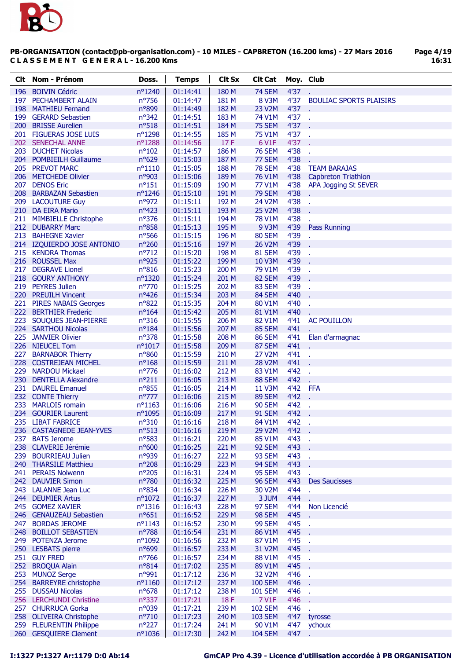

**Page 4/19 16:31**

| Clt. | Nom - Prénom                           | Doss.                   | <b>Temps</b>         | <b>Clt Sx</b>  | <b>Clt Cat</b>   | Moy. Club    |                                |
|------|----------------------------------------|-------------------------|----------------------|----------------|------------------|--------------|--------------------------------|
|      | 196 BOIVIN Cédric                      | nº1240                  | 01:14:41             | 180 M          | 74 SEM           | 4'37         |                                |
| 197  | PECHAMBERT ALAIN                       | nº756                   | 01:14:47             | 181 M          | 8 V3M            | 4'37         | <b>BOULIAC SPORTS PLAISIRS</b> |
| 198  | <b>MATHIEU Fernand</b>                 | n°899                   | 01:14:49             | 182 M          | <b>23 V2M</b>    | 4'37         |                                |
|      | 199 GERARD Sebastien                   | $n^o342$                | 01:14:51             | 183 M          | 74 V1M           | 4'37         |                                |
|      | 200 BRISSE Aurelien                    | $n^o518$                | 01:14:51             | 184 M          | 75 SEM           | 4'37         |                                |
|      | 201 FIGUERAS JOSE LUIS                 | nº1298                  | 01:14:55             | 185 M          | 75 V1M           | 4'37         | $\mathcal{A}$                  |
|      | 202 SENECHAL ANNE                      | nº1288                  | 01:14:56             | 17F            | 6 V1F            | 4'37         | - 1                            |
|      | 203 DUCHET Nicolas                     | $n^{\circ}102$          | 01:14:57             | 186 M          | <b>76 SEM</b>    | 4'38         | $\mathcal{A}$                  |
|      | 204 POMBIEILH Guillaume                | nº629                   | 01:15:03             | 187 M          | 77 SEM           | 4'38         |                                |
|      | 205 PREVOT MARC                        | $n^o$ 1110              | 01:15:05             | 188 M          | <b>78 SEM</b>    | 4'38         | <b>TEAM BARAJAS</b>            |
|      | 206 METCHEDE Olivier                   | nº903                   | 01:15:06             | 189 M          | 76 V1M           | 4'38         | <b>Capbreton Triathlon</b>     |
|      | 207 DENOS Eric                         | $n^o$ 151               | 01:15:09             | 190 M          | 77 V1M           | 4'38         | APA Jogging St SEVER           |
| 208  | <b>BARBAZAN Sebastien</b>              | nº1246                  | 01:15:10             | 191 M          | <b>79 SEM</b>    | 4'38         |                                |
|      | 209 LACOUTURE Guy                      | nº972                   | 01:15:11             | 192 M          | 24 V2M           | 4'38         | $\mathcal{A}$                  |
|      | 210 DA EIRA Mario                      | $n^o423$                | 01:15:11             | 193 M          | <b>25 V2M</b>    | 4'38         |                                |
|      | 211 MIMBIELLE Christophe               | $n^o$ 376               | 01:15:11             | 194 M          | 78 V1M           | 4'38         |                                |
|      | 212 DUBARRY Marc                       | n°858                   | 01:15:13             | 195 M          | 9 V3M            | 4'39         | <b>Pass Running</b>            |
|      | 213 BAHEGNE Xavier                     | nº566                   | 01:15:15             | 196 M          | 80 SEM           | 4'39         | $\mathbf{r}$                   |
|      | 214 IZQUIERDO JOSE ANTONIO             | nº260                   | 01:15:16             | 197 M          | 26 V2M           | 4'39         |                                |
|      | 215 KENDRA Thomas                      | $n^{\circ}712$          | 01:15:20             | 198 M          | 81 SEM           | 4'39         | $\mathcal{A}$                  |
|      | 216 ROUSSEL Max                        | nº925                   | 01:15:22             | 199 M          | <b>10 V3M</b>    | 4'39         | ÷.                             |
| 217  | <b>DEGRAVE Lionel</b>                  | nº816                   | 01:15:23             | 200 M          | 79 V1M           | 4'39<br>4'39 | ÷.                             |
|      | 218 GOURY ANTHONY<br>219 PEYRES Julien | nº1320<br>nº770         | 01:15:24             | 201 M<br>202 M | 82 SEM           | 4'39         |                                |
|      | 220 PREUILH Vincent                    | nº426                   | 01:15:25<br>01:15:34 | 203 M          | 83 SEM<br>84 SEM | 4'40         | $\bar{a}$                      |
|      | 221 PIRES NABAIS Georges               | nº822                   | 01:15:35             | 204 M          | 80 V1M           | 4'40         |                                |
|      | 222 BERTHIER Frederic                  | $n^o$ 164               | 01:15:42             | 205 M          | 81 V1M           | 4'40         | $\mathcal{A}$                  |
|      | 223 SOUQUES JEAN-PIERRE                | $n^o316$                | 01:15:55             | 206 M          | 82 V1M           | 4'41         | <b>AC POUILLON</b>             |
|      | 224 SARTHOU Nicolas                    | $n^o$ 184               | 01:15:56             | 207 M          | 85 SEM           | 4'41         |                                |
|      | 225 JANVIER Olivier                    | nº378                   | 01:15:58             | 208 M          | 86 SEM           | 4'41         | Elan d'armagnac                |
|      | 226 NIEUCEL Tom                        | nº1017                  | 01:15:58             | 209 M          | 87 SEM           | 4'41         |                                |
| 227  | <b>BARNABOR Thierry</b>                | nº860                   | 01:15:59             | 210 M          | <b>27 V2M</b>    | 4'41         | ÷.                             |
|      | 228 COSTREJEAN MICHEL                  | $n^o$ 168               | 01:15:59             | 211 M          | 28 V2M           | 4'41         |                                |
|      | 229 NARDOU Mickael                     | nº776                   | 01:16:02             | 212 M          | 83 V1M           | 4'42         | $\mathcal{A}$                  |
|      | 230 DENTELLA Alexandre                 | $n^o211$                | 01:16:05             | 213 M          | 88 SEM           | 4'42         |                                |
|      | 231 DAUREL Emanuel                     | n°855                   | 01:16:05             | 214 M          | 11 V3M           | 4'42         | <b>FFA</b>                     |
|      | 232 CONTE Thierry                      | $n^{\circ}777$          | 01:16:06             | 215 M          | 89 SEM           | 4'42         |                                |
|      | 233 MARLOIS romain                     | $n^o$ 1163              | 01:16:06             | 216 M          | <b>90 SEM</b>    | 4'42         | $\mathcal{A}$                  |
|      | 234 GOURIER Laurent                    | nº1095                  | 01:16:09             | 217 M          | 91 SEM           | 4'42         |                                |
| 235  | <b>LIBAT FABRICE</b>                   | n°310                   | 01:16:16             | 218 M          | 84 V1M           | 4'42         |                                |
|      | 236 CASTAGNEDE JEAN-YVES               | $n^o$ 513               | 01:16:16             | 219 M          | 29 V2M           | 4'42         | ÷.                             |
| 237  | <b>BATS Jerome</b>                     | nº583                   | 01:16:21             | 220 M          | 85 V1M           | 4'43         | $\mathcal{A}$                  |
|      | 238 CLAVERIE Jérémie                   | n°600                   | 01:16:25             | 221 M          | 92 SEM           | 4'43         |                                |
|      | 239 BOURRIEAU Julien                   | nº939                   | 01:16:27             | 222 M          | 93 SEM           | 4'43         | $\mathcal{A}$                  |
|      | 240 THARSILE Matthieu                  | n°208                   | 01:16:29             | 223 M          | 94 SEM           | 4'43         |                                |
|      | 241 PERAIS Nolwenn                     | nº205                   | 01:16:31             | 224 M          | 95 SEM           | 4'43         |                                |
|      | 242 DAUVIER Simon                      | n°780                   | 01:16:32             | 225 M          | <b>96 SEM</b>    | 4'43         | <b>Des Saucisses</b>           |
|      | 243 LALANNE Jean Luc                   | nº834                   | 01:16:34             | 226 M          | 30 V2M           | 4'44         |                                |
|      | 244 DEUMIER Artus<br>245 GOMEZ XAVIER  | nº1072                  | 01:16:37             | 227 M          | 3 JUM            | 4'44<br>4'44 | Non Licencié                   |
|      | 246 GENAUZEAU Sebastien                | $n^o$ 1316<br>$n^o$ 651 | 01:16:43<br>01:16:52 | 228 M<br>229 M | 97 SEM<br>98 SEM | 4'45         |                                |
| 247  | <b>BORDAS JEROME</b>                   | $n^o$ 1143              | 01:16:52             | 230 M          | <b>99 SEM</b>    | 4'45         |                                |
| 248  | <b>BOILLOT SEBASTIEN</b>               | n°788                   | 01:16:54             | 231 M          | 86 V1M           | 4'45         | $\bar{\mathcal{A}}$            |
|      | 249 POTENZA Jerome                     | nº1092                  | 01:16:56             | 232 M          | 87 V1M           | 4'45         | ÷.                             |
|      | 250 LESBATS pierre                     | $n^o$ 699               | 01:16:57             | 233 M          | 31 V2M           | 4'45         | ÷.                             |
|      | 251 GUY FRED                           | nº766                   | 01:16:57             | 234 M          | 88 V1M           | 4'45         | $\mathcal{A}$                  |
|      | 252 BROQUA Alain                       | $n^o814$                | 01:17:02             | 235 M          | 89 V1M           | 4'45         | $\sim$                         |
| 253  | <b>MUNOZ Serge</b>                     | n°991                   | 01:17:12             | 236 M          | 32 V2M           | 4'46         | $\mathcal{A}$                  |
|      | 254 BARREYRE christophe                | nº1160                  | 01:17:12             | 237 M          | <b>100 SEM</b>   | 4'46         |                                |
|      | 255 DUSSAU Nicolas                     | nº678                   | 01:17:12             | 238 M          | <b>101 SEM</b>   | 4'46         | $\mathcal{A}$                  |
|      | 256 LERCHUNDI Christine                | n°337                   | 01:17:21             | 18F            | <b>7 V1F</b>     | 4'46         | ÷.                             |
|      | 257 CHURRUCA Gorka                     | n°039                   | 01:17:21             | 239 M          | <b>102 SEM</b>   | 4'46         |                                |
|      | 258 OLIVEIRA Christophe                | $n^{\circ}710$          | 01:17:23             | 240 M          | <b>103 SEM</b>   | 4'47         | tyrosse                        |
|      | 259 FLEURENTIN Philippe                | $n^{\circ}227$          | 01:17:24             | 241 M          | 90 V1M           | 4'47         | ychoux                         |
|      | 260 GESQUIERE Clement                  | nº1036                  | 01:17:30             | 242 M          | <b>104 SEM</b>   | 4'47         |                                |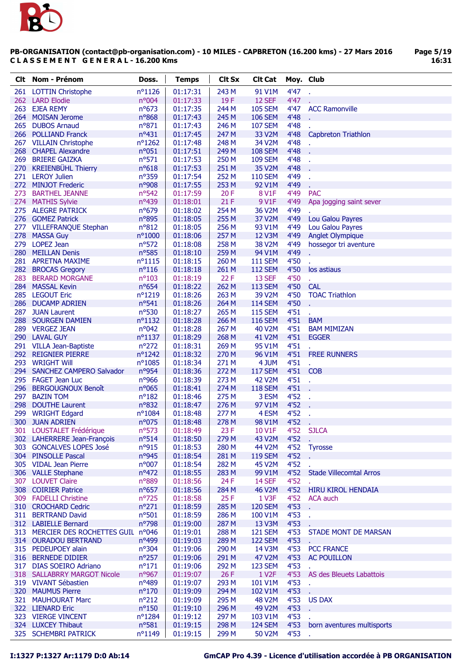

**Page 5/19 16:31**

| Clt | <b>Nom - Prénom</b>                            | Doss.                        | <b>Temps</b>         | <b>Clt Sx</b>  | <b>Clt Cat</b>           | Moy. Club    |                                |
|-----|------------------------------------------------|------------------------------|----------------------|----------------|--------------------------|--------------|--------------------------------|
|     | 261 LOTTIN Christophe                          | $n^o$ 1126                   | 01:17:31             | 243 M          | 91 V1M                   | 4'47         |                                |
|     | 262 LARD Elodie                                | n°004                        | 01:17:33             | 19F            | 12 SEF                   | 4'47         |                                |
|     | 263 EJEA REMY                                  | $n^o$ 673                    | 01:17:35             | 244 M          | <b>105 SEM</b>           | 4'47         | <b>ACC Ramonville</b>          |
|     | 264 MOISAN Jerome                              | nº868                        | 01:17:43             | 245 M          | <b>106 SEM</b>           | 4'48         |                                |
| 265 | <b>DUBOS Arnaud</b>                            | n°871                        | 01:17:43             | 246 M          | <b>107 SEM</b>           | 4'48         |                                |
|     | 266 POLLIAND Franck                            | $n^o431$                     | 01:17:45             | 247 M          | 33 V2M                   | 4'48         | <b>Capbreton Triathlon</b>     |
|     | 267 VILLAIN Christophe                         | nº1262                       | 01:17:48             | 248 M          | 34 V2M                   | 4'48         | ÷.                             |
|     | 268 CHAPEL Alexandre                           | $n^o$ 051                    | 01:17:51             | 249 M          | <b>108 SEM</b>           | 4'48         |                                |
| 269 | <b>BRIERE GAIZKA</b><br>270 KREIENBÜHL Thierry | $n^o$ 571                    | 01:17:53             | 250 M          | <b>109 SEM</b>           | 4'48<br>4'48 |                                |
|     | 271 LEROY Julien                               | $n^o618$<br>n°359            | 01:17:53<br>01:17:54 | 251 M<br>252 M | 35 V2M<br><b>110 SEM</b> | 4'49         | ÷.                             |
|     | 272 MINJOT Frederic                            | n°908                        | 01:17:55             | 253 M          | 92 V1M                   | 4'49         | J.                             |
| 273 | <b>BARTHEL JEANNE</b>                          | $n^o$ 542                    | 01:17:59             | 20 F           | 8 V1F                    | 4'49         | <b>PAC</b>                     |
|     | 274 MATHIS Sylvie                              | nº439                        | 01:18:01             | 21F            | 9 V1F                    | 4'49         | Apa jogging saint sever        |
|     | 275 ALEGRE PATRICK                             | nº679                        | 01:18:02             | 254 M          | 36 V2M                   | 4'49         |                                |
|     | 276 GOMEZ Patrick                              | n°895                        | 01:18:05             | 255 M          | 37 V2M                   | 4'49         | Lou Galou Payres               |
|     | 277 VILLEFRANQUE Stephan                       | $n^o812$                     | 01:18:05             | 256 M          | 93 V1M                   | 4'49         | Lou Galou Payres               |
|     | 278 MASSA Guy                                  | n°1000                       | 01:18:06             | 257 M          | <b>12 V3M</b>            | 4'49         | Anglet Olympique               |
|     | 279 LOPEZ Jean                                 | nº572                        | 01:18:08             | 258 M          | 38 V2M                   | 4'49         | hossegor tri aventure          |
|     | 280 MEILLAN Denis                              | nº585                        | 01:18:10             | 259 M          | 94 V1M                   | 4'49         |                                |
|     | 281 APRETNA MAXIME                             | $n^o$ 1115                   | 01:18:15             | 260 M          | <b>111 SEM</b>           | 4'50         |                                |
|     | 282 BROCAS Gregory                             | $n^o$ 116                    | 01:18:18             | 261 M          | <b>112 SEM</b>           | 4'50         | los astiaus                    |
| 283 | <b>BERARD MORGANE</b>                          | $n^{\circ}103$               | 01:18:19             | 22 F           | 13 SEF                   | 4'50         |                                |
|     | 284 MASSAL Kevin                               | $n^o$ 654                    | 01:18:22             | 262 M          | <b>113 SEM</b>           | 4'50         | <b>CAL</b>                     |
|     | 285 LEGOUT Eric                                | nº1219                       | 01:18:26             | 263 M          | 39 V2M                   | 4'50         | <b>TOAC Triathlon</b>          |
|     | 286 DUCAMP ADRIEN                              | $n^o541$                     | 01:18:26             | 264 M          | <b>114 SEM</b>           | 4'50         |                                |
|     | 287 JUAN Laurent                               | nº530                        | 01:18:27             | 265 M          | <b>115 SEM</b>           | 4'51         |                                |
|     | 288 SOURGEN DAMIEN                             | $n^o$ 1132                   | 01:18:28             | 266 M          | <b>116 SEM</b>           | 4'51         | <b>BAM</b>                     |
|     | 289 VERGEZ JEAN                                | $n^{\circ}042$               | 01:18:28             | 267 M<br>268 M | 40 V2M<br>41 V2M         | 4'51         | <b>BAM MIMIZAN</b>             |
|     | 290 LAVAL GUY<br>291 VILLA Jean-Baptiste       | $n^o$ 1137<br>$n^{\circ}272$ | 01:18:29<br>01:18:31 | 269 M          | 95 V1M                   | 4'51<br>4'51 | <b>EGGER</b>                   |
|     | 292 REIGNIER PIERRE                            | nº1242                       | 01:18:32             | 270 M          | 96 V1M                   | 4'51         | <b>FREE RUNNERS</b>            |
|     | 293 WRIGHT Will                                | nº1085                       | 01:18:34             | 271 M          | 4 JUM                    | 4'51         |                                |
|     | 294 SANCHEZ CAMPERO Salvador                   | nº954                        | 01:18:36             | 272 M          | <b>117 SEM</b>           | 4'51         | <b>COB</b>                     |
|     | 295 FAGET Jean Luc                             | n°966                        | 01:18:39             | 273 M          | 42 V2M                   | 4'51         | $\bar{a}$                      |
|     | 296 BERGOUGNOUX Benoît                         | n°065                        | 01:18:41             | 274 M          | <b>118 SEM</b>           | 4'51         |                                |
| 297 | <b>BAZIN TOM</b>                               | $n^o$ 182                    | 01:18:46             | 275 M          | 3 ESM                    | 4'52         | $\mathcal{A}$                  |
| 298 | <b>DOUTHE Laurent</b>                          | nº832                        | 01:18:47             | 276 M          | 97 V1M                   | 4'52         | ÷.                             |
|     | 299 WRIGHT Edgard                              | nº1084                       | 01:18:48             | 277 M          | 4 ESM                    | 4'52         | ÷.                             |
|     | 300 JUAN ADRIEN                                | n°075                        | 01:18:48             | 278 M          | 98 V1M                   | 4'52         |                                |
|     | 301 LOUSTALET Frédérique                       | $n^o$ 573                    | 01:18:49             | 23F            | 10 V1F                   |              | 4'52 SJLCA                     |
|     | 302 LAHERRERE Jean-François                    | $n^o514$                     | 01:18:50             | 279 M          | 43 V2M                   | 4'52         |                                |
|     | 303 GONCALVES LOPES José                       | n°915                        | 01:18:53             | 280 M          | 44 V2M                   | 4'52         | <b>Tyrosse</b>                 |
|     | 304 PINSOLLE Pascal                            | nº945                        | 01:18:54             | 281 M          | <b>119 SEM</b>           | 4'52         |                                |
|     | 305 VIDAL Jean Pierre                          | n°007                        | 01:18:54             | 282 M          | 45 V2M                   | 4'52         |                                |
|     | 306 VALLE Stephane                             | nº472                        | 01:18:55             | 283 M          | 99 V1M                   | 4'52         | <b>Stade Villecomtal Arros</b> |
|     | 307 LOUVET Claire<br>308 COIRIER Patrice       | n°889<br>$n^o$ 657           | 01:18:56             | 24 F           | 14 SEF<br><b>46 V2M</b>  | 4'52<br>4'52 |                                |
|     | 309 FADELLI Christine                          | $n^{\circ}$ 725              | 01:18:56<br>01:18:58 | 284 M<br>25F   | 1 V3F                    | 4'52         | HIRU KIROL HENDAIA<br>ACA auch |
|     | 310 CROCHARD Cedric                            | $n^{\circ}271$               | 01:18:59             | 285 M          | <b>120 SEM</b>           | 4'53         | ÷.                             |
|     | 311 BERTRAND David                             | $n^o$ 501                    | 01:18:59             | 286 M          | 100 V1M                  | 4'53         | $\mathcal{A}$                  |
|     | 312 LABIELLE Bernard                           | n°798                        | 01:19:00             | 287 M          | 13 V3M                   | 4'53         |                                |
|     | 313 MERCIER DES ROCHETTES GUIL                 | n°046                        | 01:19:01             | 288 M          | <b>121 SEM</b>           | 4'53         | <b>STADE MONT DE MARSAN</b>    |
|     | 314 OURADOU BERTRAND                           | nº499                        | 01:19:03             | 289 M          | <b>122 SEM</b>           | 4'53         |                                |
|     | 315 PEDEUPOEY alain                            | $n^o$ 304                    | 01:19:06             | 290 M          | 14 V3M                   | 4'53         | <b>PCC FRANCE</b>              |
|     | 316 BERNEDE DIDIER                             | $n^{\circ}257$               | 01:19:06             | 291 M          | 47 V2M                   | 4'53         | <b>AC POUILLON</b>             |
|     | 317 DIAS SOEIRO Adriano                        | $n^o$ 171                    | 01:19:06             | 292 M          | <b>123 SEM</b>           | 4'53         |                                |
|     | 318 SALLABRRY MARGOT Nicole                    | nº967                        | 01:19:07             | 26 F           | 1 V <sub>2</sub> F       | 4'53         | AS des Bleuets Labattois       |
|     | 319 VIVANT Sébastien                           | nº489                        | 01:19:07             | 293 M          | 101 V1M                  | 4'53         | $\mathbf{r}$                   |
|     | 320 MAUMUS Pierre                              | $n^{\circ}170$               | 01:19:09             | 294 M          | 102 V1M                  | 4'53         | $\mathbf{r}$                   |
|     | 321 MAUHOURAT Marc                             | $n^{\circ}212$               | 01:19:09             | 295 M          | <b>48 V2M</b>            | 4'53         | <b>US DAX</b>                  |
|     | 322 LIENARD Eric                               | $n^o$ 150                    | 01:19:10             | 296 M          | 49 V2M                   | 4'53         |                                |
|     | 323 VIERGE VINCENT                             | nº1284                       | 01:19:12             | 297 M          | 103 V1M                  | 4'53         |                                |
|     | 324 LUXCEY Thibaut                             | $n^o$ 581                    | 01:19:15             | 298 M          | <b>124 SEM</b>           | 4'53         | born aventures multisports     |
|     | 325 SCHEMBRI PATRICK                           | nº1149                       | 01:19:15             | 299 M          | 50 V <sub>2</sub> M      | 4'53         |                                |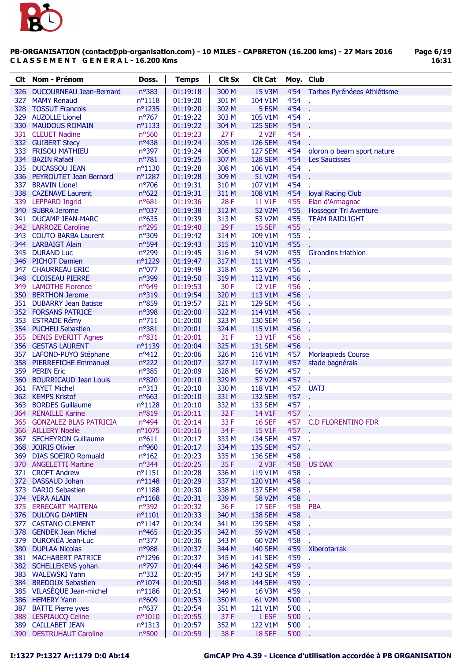

**Page 6/19 16:31**

| Clt        | <b>Nom - Prénom</b>                               | Doss.             | <b>Temps</b>         | <b>Clt Sx</b>  | <b>Clt Cat</b>     | Moy. Club    |                              |
|------------|---------------------------------------------------|-------------------|----------------------|----------------|--------------------|--------------|------------------------------|
| 326        | <b>DUCOURNEAU Jean-Bernard</b>                    | n°383             | 01:19:18             | 300 M          | <b>15 V3M</b>      | 4'54         | Tarbes Pyrénéees Athlétisme  |
| 327        | <b>MAMY Renaud</b>                                | $n^o$ 1118        | 01:19:20             | 301 M          | 104 V1M            | 4'54         | $\mathcal{L}_{\mathbf{r}}$   |
|            | 328 TOSSUT Francois                               | $n^{\circ}$ 1235  | 01:19:20             | 302 M          | 5 ESM              | 4'54         | ÷.                           |
| 329        | <b>AUZOLLE Lionel</b>                             | nº767             | 01:19:22             | 303 M          | 105 V1M            | 4'54         | ÷.                           |
| 330        | <b>MAUDOUS ROMAIN</b>                             | nº1133            | 01:19:22             | 304 M          | <b>125 SEM</b>     | 4'54         |                              |
|            | 331 CLEUET Nadine                                 | nº560             | 01:19:23             | 27F            | 2 V <sub>2</sub> F | 4'54         | ÷.                           |
|            | 332 GUIBERT Stecy                                 | nº438             | 01:19:24             | 305 M          | <b>126 SEM</b>     | 4'54         |                              |
| 333        | <b>FRISOU MATHIEU</b>                             | nº397             | 01:19:24             | 306 M          | <b>127 SEM</b>     | 4'54         | oloron o bearn sport nature  |
| 334        | <b>BAZIN Rafaël</b>                               | nº781             | 01:19:25             | 307 M          | <b>128 SEM</b>     | 4'54         | <b>Les Saucisses</b>         |
| 335        | <b>DUCASSOU JEAN</b>                              | nº1130            | 01:19:28             | 308 M          | 106 V1M            | 4'54         |                              |
|            | 336 PEYROUTET Jean Bernard                        | nº1287            | 01:19:28             | 309 M          | 51 V2M             | 4'54         |                              |
| 337        | <b>BRAVIN Lionel</b>                              | n°706             | 01:19:31             | 310 M          | 107 V1M            | 4'54         |                              |
|            | 338 CAZENAVE Laurent                              | $n^o$ 622         | 01:19:31             | 311 M          | 108 V1M            | 4'54         | loyal Racing Club            |
|            | 339 LEPPARD Ingrid                                | $n^o$ 681         | 01:19:36             | 28 F           | <b>11 V1F</b>      | 4'55         | Elan d'Armagnac              |
|            | 340 SUBRA Jerome                                  | n°037             | 01:19:38             | 312 M          | 52 V2M             | 4'55         | <b>Hossegor Tri Aventure</b> |
|            | 341 DUCAMP JEAN-MARC                              | $n^o$ 635         | 01:19:39             | 313 M          | 53 V2M             | 4'55         | <b>TEAM RAIDLIGHT</b>        |
|            | 342 LARROZE Caroline                              | n°295             | 01:19:40             | 29F            | 15 SEF             | 4'55         | ÷.                           |
| 343        | <b>COUTO BARBA Laurent</b>                        | n°309             | 01:19:42             | 314 M          | 109 V1M            | 4'55         | $\mathbf{r}$                 |
|            | 344 LARBAIGT Alain                                | nº594             | 01:19:43             | 315 M          | 110 V1M            | 4'55         |                              |
| 345        | <b>DURAND Luc</b>                                 | n°299             | 01:19:45             | 316 M          | <b>54 V2M</b>      | 4'55         | Girondins triathlon          |
|            | 346 PICHOT Damien                                 | nº1229            | 01:19:47             | 317 M          | 111 V1M            | 4'55         |                              |
|            | 347 CHAURREAU ERIC                                | n°077             | 01:19:49             | 318 M          | <b>55 V2M</b>      | 4'56         | $\mathcal{L}_{\mathcal{A}}$  |
|            | 348 CLOISEAU PIERRE                               | n°399             | 01:19:50             | 319 M          | 112 V1M            | 4'56         | ÷.                           |
|            | 349 LAMOTHE Florence                              | nº649             | 01:19:53             | 30 F           | 12 V1F             | 4'56         | $\mathcal{A}$                |
| 350        | <b>BERTHON Jerome</b>                             | n°319             | 01:19:54             | 320 M          | 113 V1M            | 4'56         | ÷.                           |
|            | 351 DUBARRY Jean Batiste                          | n°859             | 01:19:57             | 321 M          | <b>129 SEM</b>     | 4'56         | ÷.                           |
|            | 352 FORSANS PATRICE                               | n°398             | 01:20:00             | 322 M          | 114 V1M            | 4'56         | ÷.                           |
| 353        | <b>ESTRADE Rémy</b>                               | $n^{\circ}711$    | 01:20:00             | 323 M          | <b>130 SEM</b>     | 4'56         | ÷.                           |
|            | 354 PUCHEU Sebastien                              | $n^o$ 381         | 01:20:01             | 324 M          | 115 V1M            | 4'56         | ÷.                           |
| 355        | <b>DENIS EVERITT Agnes</b>                        | $n^o$ 831         | 01:20:01             | 31 F           | 13 V1F             | 4'56         | $\mathcal{L}$                |
|            | 356 GESTAS LAURENT                                | nº1139            | 01:20:04             | 325 M          | <b>131 SEM</b>     | 4'56         |                              |
| 357        | LAFOND-PUYO Stéphane                              | $n^o412$          | 01:20:06             | 326 M          | 116 V1M            | 4'57         | <b>Morlaapieds Course</b>    |
| 358<br>359 | <b>PIERREFICHE Emmanuel</b>                       | nº222             | 01:20:07             | 327 M          | 117 V1M            | 4'57<br>4'57 | stade bagnérais              |
| 360        | <b>PERIN Eric</b><br><b>BOURRICAUD Jean Louis</b> | n°385             | 01:20:09<br>01:20:10 | 328 M<br>329 M | 56 V2M<br>57 V2M   | 4'57         |                              |
|            | 361 FAYET Michel                                  | nº820<br>$n^o313$ | 01:20:10             | 330 M          | 118 V1M            | 4'57         | <b>UATJ</b>                  |
|            | 362 KEMPS Kristof                                 | $n^o$ 663         | 01:20:10             | 331 M          | <b>132 SEM</b>     | 4'57         |                              |
| 363        | <b>BORDES Guillaume</b>                           | $n^o$ 1128        | 01:20:10             | 332 M          | <b>133 SEM</b>     | 4'57         | ÷.                           |
| 364        | <b>RENAILLE Karine</b>                            | n°819             | 01:20:11             | 32 F           | 14 V1F             | 4'57         |                              |
| 365        | <b>GONZALEZ BLAS PATRICIA</b>                     | nº494             | 01:20:14             | 33 F           | <b>16 SEF</b>      | 4'57         | <b>C.D FLORENTINO FDR</b>    |
|            | 366 AILLERY Noelle                                | nº1075            | 01:20:16             | 34 F           | <b>15 V1F</b>      | 4'57         | ÷.                           |
|            | 367 SECHEYRON Guillaume                           | $n^o611$          | 01:20:17             | 333 M          | <b>134 SEM</b>     | 4'57         | ÷.                           |
|            | 368 JOIRIS Olivier                                | nº960             | 01:20:17             | 334 M          | <b>135 SEM</b>     | 4'57         |                              |
|            | 369 DIAS SOEIRO Romuald                           | $n^o$ 162         | 01:20:23             | 335 M          | <b>136 SEM</b>     | 4'58         | $\mathbf{r}$                 |
|            | 370 ANGELETTI Martine                             | $n^o$ 344         | 01:20:25             | 35F            | 2 V3F              |              | 4'58 US DAX                  |
|            | 371 CROFT Andrew                                  | $n^o$ 1151        | 01:20:28             | 336 M          | 119 V1M            | 4'58         | $\mathcal{A}$                |
|            | 372 DASSAUD Johan                                 | $n^o$ 1148        | 01:20:29             | 337 M          | 120 V1M            | 4'58         | У.                           |
| 373        | <b>DARJO Sebastien</b>                            | $n^o$ 1188        | 01:20:30             | 338 M          | <b>137 SEM</b>     | 4'58         | $\sim$                       |
|            | 374 VERA ALAIN                                    | $n^o$ 1168        | 01:20:31             | 339 M          | <b>58 V2M</b>      | 4'58         |                              |
| 375        | <b>ERRECART MAITENA</b>                           | $n^{\circ}392$    | 01:20:32             | 36 F           | 17 SEF             | 4'58         | <b>PBA</b>                   |
|            | 376 DULONG DAMIEN                                 | $n^o$ 1101        | 01:20:33             | 340 M          | <b>138 SEM</b>     | 4'58         |                              |
|            | 377 CASTANO CLEMENT                               | $n^o$ 1147        | 01:20:34             | 341 M          | <b>139 SEM</b>     | 4'58         | $\mathcal{A}$                |
|            | 378 GENDEK Jean Michel                            | $n^o$ 465         | 01:20:35             | 342 M          | 59 V2M             | 4'58         |                              |
|            | 379 DURONÉA Jean-Luc                              | $n^o$ 377         | 01:20:36             | 343 M          | 60 V2M             | 4'58         |                              |
|            | 380 DUPLAA Nicolas                                | nº988             | 01:20:37             | 344 M          | <b>140 SEM</b>     | 4'59         | Xiberotarrak                 |
|            | 381 MACHABERT PATRICE                             | nº1296            | 01:20:37             | 345 M          | <b>141 SEM</b>     | 4'59         | $\mathbf{r}$                 |
|            | 382 SCHELLEKENS yohan                             | $n^{\circ}797$    | 01:20:44             | 346 M          | <b>142 SEM</b>     | 4'59         | У.                           |
|            | 383 WALEWSKI Yann                                 | nº332             | 01:20:45             | 347 M          | <b>143 SEM</b>     | 4'59         | $\sim$                       |
| 384        | <b>BREDOUX Sebastien</b>                          | nº1074            | 01:20:50             | 348 M          | <b>144 SEM</b>     | 4'59         |                              |
|            | 385 VILASEQUE Jean-michel                         | $n^o$ 1186        | 01:20:51             | 349 M          | 16 V3M             | 4'59         | $\sim$                       |
|            | 386 HEMERY Yann                                   | $n^o$ 609         | 01:20:53             | 350 M          | 61 V2M             | 5'00         |                              |
|            | 387 BATTE Pierre yves                             | $n^o$ 637         | 01:20:54             | 351 M          | 121 V1M            | 5'00         | $\mathcal{A}$                |
|            | 388 LESPIAUCQ Celine                              | $n^{\circ}1010$   | 01:20:55             | 37 F           | 1 ESF              | 5'00         |                              |
|            | 389 CAILLABET JEAN                                | $n^o$ 1313        | 01:20:57             | 352 M          | 122 V1M            | 5'00         | $\sim$                       |
|            | 390 DESTRUHAUT Caroline                           | $n^{\circ}500$    | 01:20:59             | 38 F           | 18 SEF             | 5'00         | ÷.                           |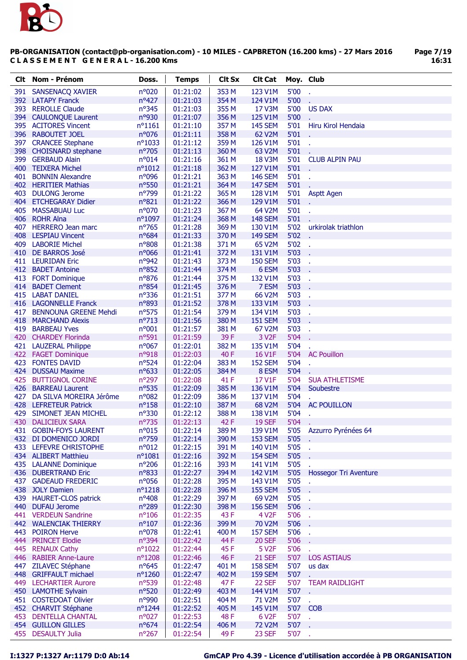

**Page 7/19 16:31**

|     | <b>Clt</b> Nom - Prénom                   | Doss.                            | <b>Temps</b>         | <b>Clt Sx</b> | <b>Clt Cat</b>                       |              | Moy. Club                    |
|-----|-------------------------------------------|----------------------------------|----------------------|---------------|--------------------------------------|--------------|------------------------------|
|     | 391 SANSENACQ XAVIER                      | n°020                            | 01:21:02             | 353 M         | 123 V1M                              | 5'00         | $\sim$                       |
|     | 392 LATAPY Franck                         | $n^o427$                         | 01:21:03             | 354 M         | 124 V1M                              | 5'00         | У.                           |
|     | 393 REROLLE Claude                        | $n^o$ 345                        | 01:21:03             | 355 M         | 17 V3M                               | 5'00         | <b>US DAX</b>                |
|     | 394 CAULONQUE Laurent                     | nº930                            | 01:21:07             | 356 M         | 125 V1M                              | 5'00         |                              |
|     | 395 ACITORES Vincent                      | $n^o$ 1161                       | 01:21:10             | 357 M         | <b>145 SEM</b>                       | 5'01         | Hiru Kirol Hendaia           |
|     | 396 RABOUTET JOEL                         | n°076                            | 01:21:11             | 358 M         | 62 V2M                               | 5'01         |                              |
|     | 397 CRANCEE Stephane                      | nº1033                           | 01:21:12             | 359 M         | 126 V1M                              | 5'01         | $\mathcal{A}$                |
|     | 398 CHOISNARD stephane                    | $n^{\circ}705$                   | 01:21:13             | 360 M         | 63 V2M                               | 5'01         | $\sim$                       |
|     | 399 GERBAUD Alain                         | $n^{\circ}014$                   | 01:21:16             | 361 M         | 18 V3M                               |              | 5'01 CLUB ALPIN PAU          |
|     | 400 TEIXERA Michel                        | $n^o$ 1012                       | 01:21:18             | 362 M         | 127 V1M                              | 5'01         |                              |
|     | 401 BONNIN Alexandre                      | n°096                            | 01:21:21             | 363 M         | <b>146 SEM</b>                       | 5'01         | $\mathcal{L}_{\mathcal{A}}$  |
|     | 402 HERITIER Mathias                      | nº550                            | 01:21:21             | 364 M         | <b>147 SEM</b>                       | 5'01         |                              |
|     | 403 DULONG Jerome                         | n°799                            | 01:21:22             | 365 M         | 128 V1M                              |              | 5'01 Asptt Agen              |
|     | 404 ETCHEGARAY Didier                     | n°821                            | 01:21:22             | 366 M         | 129 V1M                              | 5'01         | ÷.                           |
|     | 405 MASSABUAU Luc                         | n°070                            | 01:21:23             | 367 M         | 64 V2M                               | 5'01         | $\mathbb{Z}^2$               |
|     | 406 ROHR Alna                             | nº1097                           | 01:21:24             | 368 M         | <b>148 SEM</b>                       | 5'01         | ÷.                           |
|     | 407 HERRERO Jean marc                     | $n^{\circ}765$                   | 01:21:28             | 369 M         | 130 V1M                              | 5'02         | urkirolak triathlon          |
|     | 408 LESPIAU Vincent                       | nº684                            | 01:21:33             | 370 M         | <b>149 SEM</b>                       | 5'02         | $\sim$                       |
|     | 409 LABORIE Michel                        | n°808                            | 01:21:38             | 371 M         | 65 V2M                               | 5'02         | ÷.                           |
|     | 410 DE BARROS José                        | n°066                            | 01:21:41             | 372 M         | 131 V1M                              | 5'03         | ÷.                           |
|     | 411 LEURIDAN Eric                         | nº942                            | 01:21:43             | 373 M         | <b>150 SEM</b>                       | 5'03         | $\mathcal{A}$                |
|     | 412 BADET Antoine                         | nº852                            | 01:21:44             | 374 M         | 6 ESM                                | 5'03         | - 1                          |
|     | 413 FORT Dominique                        | nº876                            | 01:21:44             | 375 M         | 132 V1M                              | 5'03         | $\mathcal{A}$                |
|     | 414 BADET Clement                         | nº854                            | 01:21:45             | 376 M         | 7 ESM                                | 5'03         | $\sim$                       |
|     | 415 LABAT DANIEL                          | nº336                            | 01:21:51             | 377 M         | 66 V2M                               | 5'03         | $\mathcal{L}_{\mathcal{A}}$  |
|     | 416 LAGONNELLE Franck                     | n°893                            | 01:21:52             | 378 M         | 133 V1M                              | 5'03         | ÷.                           |
|     | 417 BENNOUNA GREENE Mehdi                 | $n^o$ 575                        | 01:21:54             | 379 M         | 134 V1M                              | 5'03         | ÷.                           |
|     | 418 MARCHAND Alexis                       | $n^{\circ}713$                   | 01:21:56             | 380 M         | <b>151 SEM</b>                       | 5'03         | ÷.                           |
|     | 419 BARBEAU Yves                          | n°001                            | 01:21:57             | 381 M         | 67 V2M                               | 5'03         | $\mathcal{L}_{\mathcal{A}}$  |
|     | 420 CHARDEY Florinda                      | nº591                            | 01:21:59             | 39F           | 3 V <sub>2</sub> F                   | 5'04         |                              |
|     | 421 LAUZERAL Philippe                     | $n^{\circ}067$                   | 01:22:01             | 382 M         | 135 V1M                              | 5'04         |                              |
|     | 422 FAGET Dominique                       | n°918                            | 01:22:03             | 40 F          | 16 V1F                               |              | 5'04 AC Pouillon             |
|     | 423 FONTES DAVID                          | $n^o$ 524                        | 01:22:04             | 383 M         | <b>152 SEM</b>                       | 5'04         | $\sim$                       |
| 424 | <b>DUSSAU Maxime</b>                      | nº633                            | 01:22:05             | 384 M         | 8 ESM                                | 5'04         |                              |
|     | 425 BUTTIGNOL CORINE                      | n°297                            | 01:22:08             | 41 F          | 17 V1F                               | 5'04         | <b>SUA ATHLETISME</b>        |
|     | 426 BARREAU Laurent                       | $n^o$ 535                        | 01:22:09             | 385 M         | 136 V1M                              | 5'04         | Soubestre                    |
|     | 427 DA SILVA MOREIRA Jérôme               | n°082                            | 01:22:09             | 386 M         | 137 V1M                              | 5'04         |                              |
|     | 428 LEFRETEUR Patrick                     | $n^o$ 158                        | 01:22:10             | 387 M         | 68 V2M                               |              | 5'04 AC POUILLON             |
| 429 | SIMONET JEAN MICHEL                       | nº330                            | 01:22:12             | 388 M         | 138 V1M                              | 5'04         | $\mathbf{r}$                 |
| 430 | <b>DALICIEUX SARA</b>                     | nº735                            | 01:22:13             | 42 F          | <b>19 SEF</b>                        | 5'04         |                              |
|     | 431 GOBIN-FOYS LAURENT                    | $n^{\circ}015$                   | 01:22:14             | 389 M         | 139 V1M                              | 5'05         | Azzurro Pyrénées 64          |
|     | 432 DI DOMENICO JORDI                     | n°759                            | 01:22:14             | 390 M         | <b>153 SEM</b>                       | 5'05         |                              |
|     | 433 LEFEVRE CHRISTOPHE                    | $n^{\circ}012$                   | 01:22:15             | 391 M         | 140 V1M                              | 5'05         | $\mathcal{A}$                |
|     | 434 ALIBERT Matthieu                      | $n^o$ 1081                       | 01:22:16             | 392 M         | <b>154 SEM</b>                       | 5'05         | ÷.                           |
|     | 435 LALANNE Dominique                     | $n^{\circ}206$                   | 01:22:16             | 393 M         | 141 V1M                              | 5'05         |                              |
|     | 436 DUBERTRAND Eric                       | n°833                            | 01:22:27             | 394 M         | 142 V1M                              | 5'05         | <b>Hossegor Tri Aventure</b> |
|     | 437 GADEAUD FREDERIC                      | n°056                            | 01:22:28             | 395 M         | 143 V1M                              | 5'05         | $\mathcal{L}_{\mathcal{A}}$  |
|     | 438 JOLY Damien                           | $n^o$ 1218                       | 01:22:28             | 396 M         | <b>155 SEM</b>                       | 5'05         | $\sim$                       |
|     | 439 HAURET-CLOS patrick                   | $n^o408$                         | 01:22:29             | 397 M         | 69 V2M                               | 5'05         | $\sim$                       |
| 440 | <b>DUFAU Jerome</b>                       | n°289                            | 01:22:30             | 398 M<br>43 F | <b>156 SEM</b><br>4 V <sub>2</sub> F | 5'06<br>5'06 | ÷.                           |
|     | 441 VERDEUN Sandrine                      | $n^{\circ}106$<br>$n^{\circ}107$ | 01:22:35             | 399 M         | 70 V2M                               | 5'06         | $\sim$                       |
|     | 442 WALENCIAK THIERRY<br>443 POIRON Herve | n°078                            | 01:22:36             | 400 M         | <b>157 SEM</b>                       | 5'06         |                              |
|     | 444 PRINCET Elodie                        | nº394                            | 01:22:41<br>01:22:42 | 44 F          | <b>20 SEF</b>                        | 5'06         | $\sim$                       |
|     | 445 RENAUX Cathy                          | nº1022                           | 01:22:44             | 45 F          | 5 V <sub>2</sub> F                   | 5'06         |                              |
|     | 446 RABIER Anne-Laure                     | nº1208                           | 01:22:46             | 46 F          | <b>21 SEF</b>                        |              | 5'07 LOS ASTIAUS             |
|     | 447 ZILAVEC Stéphane                      | $n^o645$                         | 01:22:47             | 401 M         | <b>158 SEM</b>                       | 5'07         | us dax                       |
|     | 448 GRIFFAULT michael                     | $n^{\circ}$ 1260                 | 01:22:47             | 402 M         | <b>159 SEM</b>                       | 5'07         |                              |
|     | 449 LECHARTIER Aurore                     | nº539                            | 01:22:48             | 47 F          | 22 SEF                               | 5'07         | <b>TEAM RAIDLIGHT</b>        |
|     | 450 LAMOTHE Sylvain                       | $n^o$ 520                        | 01:22:49             | 403 M         | 144 V1M                              | 5'07         |                              |
|     | 451 COSTEDOAT Olivier                     | nº990                            | 01:22:51             | 404 M         | 71 V2M                               | 5'07.        |                              |
|     | 452 CHARVIT Stéphane                      | nº1244                           | 01:22:52             | 405 M         | 145 V1M                              |              | 5'07 COB                     |
|     | 453 DENTELLA CHANTAL                      | n°027                            | 01:22:53             | 48 F          | 6 V <sub>2</sub> F                   | 5'07         | $\sim$                       |
|     | <b>454 GUILLON GILLES</b>                 | $n^o$ 674                        | 01:22:54             | 406 M         | <b>72 V2M</b>                        | $5'07$ .     |                              |
|     | 455 DESAULTY Julia                        | $n^{\circ}267$                   | 01:22:54             | 49 F          | 23 SEF                               | 5'07.        |                              |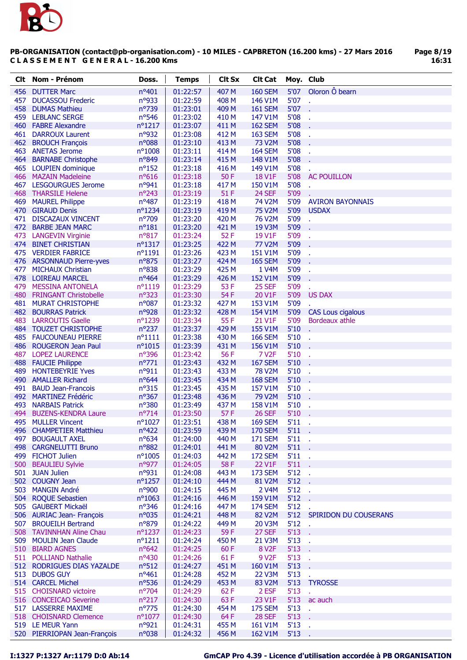

**Page 8/19 16:31**

| <b>Clt</b> | <b>Nom - Prénom</b>                           | Doss.                            | <b>Temps</b>         | <b>Clt Sx</b> | <b>Clt Cat</b>           |              | Moy. Club                  |
|------------|-----------------------------------------------|----------------------------------|----------------------|---------------|--------------------------|--------------|----------------------------|
| 456        | <b>DUTTER Marc</b>                            | nº401                            | 01:22:57             | 407 M         | <b>160 SEM</b>           | 5'07         | Oloron Ô bearn             |
| 457        | <b>DUCASSOU Frederic</b>                      | nº933                            | 01:22:59             | 408 M         | 146 V1M                  | 5'07         |                            |
| 458        | <b>DUMAS Mathieu</b>                          | n°739                            | 01:23:01             | 409 M         | <b>161 SEM</b>           | 5'07         |                            |
|            | 459 LEBLANC SERGE                             | nº546                            | 01:23:02             | 410 M         | 147 V1M                  | 5'08         | $\bar{a}$                  |
|            | 460 FABRE Alexandre                           | nº1217                           | 01:23:07             | 411 M         | <b>162 SEM</b>           | 5'08         |                            |
| 461        | <b>DARROUX Laurent</b>                        | nº932                            | 01:23:08             | 412 M         | <b>163 SEM</b>           | 5'08         | ÷.                         |
| 462        | <b>BROUCH François</b>                        | $n^o$ 088                        | 01:23:10             | 413 M         | 73 V2M                   | 5'08         | ÷.                         |
| 463        | <b>ANETAS Jerome</b>                          | $n^{\circ}1008$                  | 01:23:11             | 414 M         | <b>164 SEM</b>           | 5'08         | ÷.                         |
| 464        | <b>BARNABE Christophe</b>                     | nº849                            | 01:23:14             | 415 M         | 148 V1M                  | 5'08         | ÷.                         |
|            | 465 LOUPIEN dominique                         | $n^o$ 152                        | 01:23:18             | 416 M         | 149 V1M                  | 5'08         |                            |
|            | 466 MAZAIN Madeleine                          | $n^o616$                         | 01:23:18             | 50F           | 18 V1F                   | 5'08         | <b>AC POUILLON</b>         |
|            | 467 LESGOURGUES Jerome                        | nº941                            | 01:23:18             | 417 M         | 150 V1M                  | 5'08         | $\lambda$                  |
|            | 468 THARSILE Helene                           | $n^{\circ}243$                   | 01:23:19             | 51 F          | 24 SEF                   | 5'09         |                            |
| 469        | <b>MAUREL Philippe</b>                        | nº487                            | 01:23:19             | 418 M         | 74 V2M                   | 5'09         | <b>AVIRON BAYONNAIS</b>    |
|            | 470 GIRAUD Denis                              | nº1234                           | 01:23:19             | 419 M         | 75 V2M                   | 5'09         | <b>USDAX</b>               |
| 471        | <b>DISCAZAUX VINCENT</b>                      | n°709                            | 01:23:20             | 420 M         | 76 V2M                   | 5'09         | $\mathcal{L}_{\mathbf{r}}$ |
| 472        | <b>BARBE JEAN MARC</b>                        | $n^o181$                         | 01:23:20             | 421 M         | <b>19 V3M</b>            | 5'09         |                            |
| 473        | <b>LANGEVIN Virginie</b>                      | $n^o817$                         | 01:23:24             | 52 F          | 19 V1F                   | 5'09         | ÷.                         |
|            | 474 BINET CHRISTIAN                           | $n^o$ 1317                       | 01:23:25             | 422 M         | <b>77 V2M</b>            | 5'09         | ÷.                         |
|            | 475 VERDIER FABRICE                           | $n^o$ 1191                       | 01:23:26             | 423 M         | 151 V1M                  | 5'09         | $\mathcal{A}$              |
|            | 476 ARSONNAUD Pierre-yves                     | n°875                            | 01:23:27             | 424 M         | <b>165 SEM</b>           | 5'09         | ÷.                         |
| 477        | <b>MICHAUX Christian</b>                      | nº838                            | 01:23:29             | 425 M         | 1 V4M                    | 5'09         | $\mathcal{A}$              |
|            | 478 LOIREAU MARCEL                            | nº464                            | 01:23:29             | 426 M         | 152 V1M                  | 5'09         |                            |
|            | 479 MESSINA ANTONELA                          | nº1119                           | 01:23:29             | 53 F          | 25 SEF                   | 5'09         |                            |
|            | 480 FRINGANT Christobelle                     | $n^{\circ}323$                   | 01:23:30             | 54 F          | 20 V1F                   | 5'09         | <b>US DAX</b>              |
|            | <b>481 MURAT CHRISTOPHE</b>                   | n°087                            | 01:23:32             | 427 M         | 153 V1M                  | 5'09         |                            |
| 482        | <b>BOURRAS Patrick</b>                        | nº928                            | 01:23:32             | 428 M         | 154 V1M                  | 5'09         | <b>CAS Lous cigalous</b>   |
| 483        | <b>LARROUTIS Gaelle</b>                       | nº1239                           | 01:23:34             | 55 F          | 21 V1F                   | 5'09         | Bordeaux athle             |
|            | 484 TOUZET CHRISTOPHE                         | $n^{\circ}237$                   | 01:23:37             | 429 M         | 155 V1M                  | 5'10         | ÷.                         |
|            | 485 FAUCOUNEAU PIERRE                         | $n^o$ 1111                       | 01:23:38             | 430 M         | <b>166 SEM</b>           | 5'10         | $\mathcal{L}_{\mathbf{r}}$ |
|            | 486 ROUGERON Jean Paul                        | $n^o$ 1015                       | 01:23:39             | 431 M         | 156 V1M                  | 5'10         | ÷.                         |
| 487        | <b>LOPEZ LAURENCE</b>                         | n°396                            | 01:23:42             | 56 F          | <b>7 V2F</b>             | 5'10         | ÷.                         |
|            | 488 FAUCIE Philippe                           | $n^o$ 771                        | 01:23:43             | 432 M         | <b>167 SEM</b>           | 5'10         | ÷.                         |
| 489        | <b>HONTEBEYRIE Yves</b>                       | n°911                            | 01:23:43             | 433 M         | 78 V2M                   | 5'10         | $\mathcal{A}$              |
|            | 490 AMALLER Richard                           | nº644                            | 01:23:45             | 434 M         | <b>168 SEM</b>           | 5'10         | ÷.                         |
|            | 491 BAUD Jean-Francois                        | $n^o315$                         | 01:23:45             | 435 M         | 157 V1M                  | 5'10         | ÷.                         |
| 492        | <b>MARTINEZ Frédéric</b>                      | $n^o$ 367                        | 01:23:48             | 436 M         | <b>79 V2M</b>            | 5'10         | ÷.                         |
| 493        | <b>NARBAIS Patrick</b>                        | nº380                            | 01:23:49             | 437 M         | 158 V1M                  | 5'10         | $\mathbf{r}$               |
| 494        | <b>BUZENS-KENDRA Laure</b>                    | $n^{\circ}714$                   | 01:23:50             | 57 F          | 26 SEF                   | 5'10         | ٠.                         |
| 495        | <b>MULLER Vincent</b>                         | nº1027                           | 01:23:51             | 438 M         | <b>169 SEM</b>           | 5'11         |                            |
|            | 496 CHAMPETIER Matthieu                       | $n^o422$                         | 01:23:59             | 439 M         | <b>170 SEM</b>           | 5'11         | $\sim$                     |
| 497        | <b>BOUGAULT AXEL</b>                          | $n^o$ 634                        | 01:24:00             | 440 M         | <b>171 SEM</b>           | $5'11$ .     |                            |
|            | 498 CARGNELUTTI Bruno                         | n°882                            | 01:24:01             | 441 M         | 80 V2M                   | 5'11         | и.                         |
|            | 499 FICHOT Julien                             | nº1005                           | 01:24:03             | 442 M         | <b>172 SEM</b>           | 5'11         | $\sim$                     |
|            | 500 BEAULIEU Sylvie                           | $n^{\circ}977$                   | 01:24:05             | 58 F          | 22 V1F                   | 5'11         | ٠.                         |
|            | 501 JUAN Julien                               | nº931                            | 01:24:08             | 443 M         | <b>173 SEM</b>           | 5'12         | ÷.                         |
|            | 502 COUGNY Jean                               | $n^{\circ}$ 1257                 | 01:24:10             | 444 M         | 81 V2M                   | $5'12$ .     |                            |
|            | 503 MANGIN André                              | nº900                            | 01:24:15             | 445 M         | 2 V <sub>4</sub> M       | 5'12         | $\sim$                     |
|            | 504 ROQUE Sebastien                           | nº1063                           | 01:24:16             | 446 M         | 159 V1M                  | 5'12         |                            |
|            | 505 GAUBERT Mickaël                           | $n^o$ 346                        | 01:24:16             | 447 M         | <b>174 SEM</b>           | 5'12         | $\mathbf{r}$               |
|            | 506 AURIAC Jean- François                     | n°035                            | 01:24:21             | 448 M         | 82 V2M                   | 5'12         | SPIRIDON DU COUSERANS      |
|            | 507 BROUEILH Bertrand                         | n°879                            | 01:24:22             | 449 M         | 20 V3M                   | $5'12$ .     |                            |
|            | 508 TAVINNHAN Aline Chau                      | nº1237                           | 01:24:23             | 59F           | 27 SEF                   | 5'13         |                            |
|            | 509 MOULIN Jean Claude                        | $n^o$ 1211                       | 01:24:24             | 450 M         | 21 V3M                   | 5'13         | $\sim$                     |
|            | 510 BIARD AGNES                               | $n^o642$                         | 01:24:25             | 60F           | 8 V <sub>2F</sub>        | 5'13         | и.                         |
|            | 511 POLLIAND Nathalie                         | nº430                            | 01:24:26             | 61 F          | 9 V <sub>2F</sub>        | 5'13         | ÷.                         |
|            | 512 RODRIGUES DIAS YAZALDE                    | $n^o$ 512                        | 01:24:27             | 451 M         | 160 V1M                  | 5'13         |                            |
|            | 513 DUBOS GUY                                 | nº461                            | 01:24:28             | 452 M         | 22 V3M                   | 5'13         |                            |
|            | 514 CARCEL Michel                             | $n^o$ 536                        | 01:24:29             | 453 M         | 83 V2M                   | 5'13<br>5'13 | <b>TYROSSE</b>             |
|            | 515 CHOISNARD victoire                        | nº704                            | 01:24:29             | 62 F          | 2 ESF                    |              | ÷                          |
|            | 516 CONCEICAO Severine<br>517 LASSERRE MAXIME | $n^{\circ}217$<br>$n^{\circ}775$ | 01:24:30             | 63F           | 23 V1F<br><b>175 SEM</b> | 5'13<br>5'13 | ac auch                    |
|            |                                               | nº1077                           | 01:24:30             | 454 M<br>64F  |                          | 5'13         | $\sim$                     |
|            | 518 CHOISNARD Clemence<br>519 LE MEUR Yann    | n°921                            | 01:24:30<br>01:24:31 | 455 M         | 28 SEF<br>161 V1M        | 5'13         |                            |
|            | 520 PIERRIOPAN Jean-François                  | n°038                            | 01:24:32             | 456 M         | 162 V1M                  | 5'13         | $\sim$<br>÷.               |
|            |                                               |                                  |                      |               |                          |              |                            |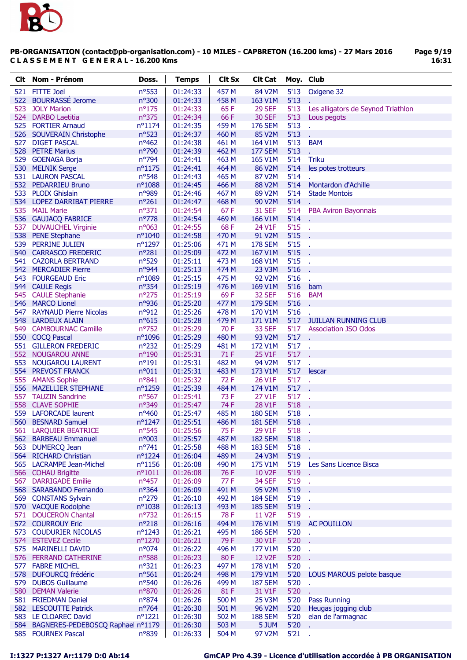

**Page 9/19 16:31**

|     | <b>Clt</b> Nom - Prénom                         | Doss.                       | <b>Temps</b>         | <b>Clt Sx</b>  | <b>CIt Cat</b>                        |              | Moy. Club                          |
|-----|-------------------------------------------------|-----------------------------|----------------------|----------------|---------------------------------------|--------------|------------------------------------|
|     | 521 FITTE Joel                                  | nº553                       | 01:24:33             | 457 M          | 84 V2M                                | 5'13         | Oxigene 32                         |
|     | 522 BOURRASSÉ Jerome                            | n°300                       | 01:24:33             | 458 M          | 163 V1M                               | 5'13         |                                    |
|     | 523 JOLY Marion                                 | $n^o$ 175                   | 01:24:33             | 65F            | 29 SEF                                | 5'13         | Les alligators de Seynod Triathlon |
|     | 524 DARBO Laetitia                              | n°375                       | 01:24:34             | 66F            | <b>30 SEF</b>                         | 5'13         | Lous pegots                        |
|     | 525 FORTIER Arnaud                              | nº1174                      | 01:24:35             | 459 M          | <b>176 SEM</b>                        | 5'13         | ÷.                                 |
|     | 526 SOUVERAIN Christophe                        | $n^o$ 523                   | 01:24:37             | 460 M          | 85 V2M                                | 5'13         | ÷.                                 |
| 527 | <b>DIGET PASCAL</b>                             | nº462                       | 01:24:38             | 461 M          | 164 V1M                               | 5'13         | <b>BAM</b>                         |
|     | 528 PETRE Marius                                | nº790                       | 01:24:39             | 462 M          | <b>177 SEM</b>                        | 5'13         |                                    |
|     | 529 GOENAGA Borja                               | nº794                       | 01:24:41             | 463 M          | 165 V1M                               | 5'14         | <b>Triku</b>                       |
|     | 530 MELNIK Serge                                | $n^o$ 1175                  | 01:24:41             | 464 M          | 86 V2M                                | 5'14         | les potes trotteurs                |
|     | 531 LAURON PASCAL                               | $n^o548$                    | 01:24:43             | 465 M          | 87 V2M                                | 5'14         |                                    |
|     | 532 PEDARRIEU Bruno                             | nº1088                      | 01:24:45             | 466 M          | 88 V2M                                | 5'14         | Montardon d'Achille                |
|     | 533 PLOIX Ghislain<br>534 LOPEZ DARRIBAT PIERRE | nº989                       | 01:24:46             | 467 M<br>468 M | 89 V2M<br>90 V2M                      | 5'14<br>5'14 | <b>Stade Montois</b>               |
|     | 535 MAIL Marie                                  | $n^{\circ}261$<br>n°371     | 01:24:47<br>01:24:54 | 67 F           | <b>31 SEF</b>                         | 5'14         | PBA Aviron Bayonnais               |
|     | 536 GAUJACQ FABRICE                             | $n^{\circ}778$              | 01:24:54             | 469 M          | 166 V1M                               | 5'14         | ÷.                                 |
| 537 | <b>DUVAUCHEL Virginie</b>                       | n°063                       | 01:24:55             | 68F            | 24 V1F                                | 5'15         | ÷.                                 |
|     | 538 PENE Stephane                               | nº1040                      | 01:24:58             | 470 M          | 91 V2M                                | 5'15         | ÷.                                 |
|     | 539 PERRINE JULIEN                              | nº1297                      | 01:25:06             | 471 M          | <b>178 SEM</b>                        | 5'15         | $\mathcal{L}_{\mathcal{A}}$        |
|     | 540 CARRASCO FREDERIC                           | $n^{\circ}281$              | 01:25:09             | 472 M          | 167 V1M                               | 5'15         | ÷.                                 |
|     | 541 CAZORLA BERTRAND                            | nº529                       | 01:25:11             | 473 M          | 168 V1M                               | 5'15         | $\mathcal{A}$                      |
|     | 542 MERCADIER Pierre                            | nº944                       | 01:25:13             | 474 M          | 23 V3M                                | 5'16         |                                    |
|     | 543 FOURGEAUD Eric                              | nº1089                      | 01:25:15             | 475 M          | 92 V2M                                | 5'16         | ÷.                                 |
|     | 544 CAULE Regis                                 | nº354                       | 01:25:19             | 476 M          | 169 V1M                               | 5'16         | bam                                |
|     | 545 CAULE Stephanie                             | $n^{\circ}275$              | 01:25:19             | 69F            | 32 SEF                                | 5'16         | <b>BAM</b>                         |
|     | 546 MARCO Lionel                                | nº936                       | 01:25:20             | 477 M          | <b>179 SEM</b>                        | 5'16         | $\sim$                             |
|     | 547 RAYNAUD Pierre Nicolas                      | nº912                       | 01:25:26             | 478 M          | 170 V1M                               | 5'16         |                                    |
|     | 548 LARDEUX ALAIN                               | $n^o615$                    | 01:25:28             | 479 M          | 171 V1M                               | 5'17         | <b>JUILLAN RUNNING CLUB</b>        |
|     | 549 CAMBOURNAC Camille                          | $n^{\circ}752$              | 01:25:29             | 70 F           | 33 SEF                                | 5'17         | <b>Association JSO Odos</b>        |
|     | 550 COCQ Pascal                                 | n°1096                      | 01:25:29             | 480 M          | 93 V2M                                | 5'17         | ÷.                                 |
|     | 551 GILLERON FREDERIC                           | $n^{\circ}232$              | 01:25:29             | 481 M          | 172 V1M                               | 5'17         | ÷.                                 |
|     | 552 NOUGAROU ANNE                               | $n^{\circ}190$              | 01:25:31             | 71 F           | 25 V1F                                | 5'17         |                                    |
|     | 553 NOUGAROU LAURENT<br>554 PREVOST FRANCK      | $n^o$ 191<br>$n^{\circ}011$ | 01:25:31<br>01:25:31 | 482 M<br>483 M | 94 V2M<br>173 V1M                     | 5'17<br>5'17 | lescar                             |
|     | 555 AMANS Sophie                                | n°841                       | 01:25:32             | 72 F           | 26 V1F                                | 5'17         | ÷.                                 |
|     | 556 MAZELLIER STEPHANE                          | nº1259                      | 01:25:39             | 484 M          | 174 V1M                               | 5'17         | ÷.                                 |
|     | 557 TAUZIN Sandrine                             | nº567                       | 01:25:41             | 73 F           | 27 V1F                                | 5'17         | $\sim$                             |
|     | 558 CLAVE SOPHIE                                | nº349                       | 01:25:47             | 74 F           | 28 V1F                                | 5'18         | - 1                                |
|     | 559 LAFORCADE laurent                           | $n^o$ 460                   | 01:25:47             | 485 M          | <b>180 SEM</b>                        | 5'18         | $\mathcal{A}$                      |
|     | 560 BESNARD Samuel                              | nº1247                      | 01:25:51             | 486 M          | <b>181 SEM</b>                        | 5'18         | ÷.                                 |
|     | 561 LARQUIER BEATRICE                           | $n^o$ 545                   | 01:25:56             | 75 F           | 29 V1F                                | 5'18         | ÷.                                 |
|     | 562 BARBEAU Emmanuel                            | n°003                       | 01:25:57             | 487 M          | <b>182 SEM</b>                        | 5'18         |                                    |
|     | 563 DUMERCQ Jean                                | $n^{\circ}741$              | 01:25:58             | 488 M          | <b>183 SEM</b>                        | 5'18         | $\sim$                             |
|     | 564 RICHARD Christian                           | nº1224                      | 01:26:04             | 489 M          | 24 V3M                                | 5'19         |                                    |
|     | 565 LACRAMPE Jean-Michel                        | $n^o$ 1156                  | 01:26:08             | 490 M          | 175 V1M                               | 5'19         | Les Sans Licence Bisca             |
|     | 566 COHAU Brigitte                              | $n^o1011$                   | 01:26:08             | 76 F           | 10 V <sub>2</sub> F                   | 5'19         | n.                                 |
| 567 | <b>DARRIGADE Emilie</b>                         | $n^o$ 457                   | 01:26:09             | 77 F           | 34 SEF                                | 5'19         | $\bar{\mathcal{A}}$                |
| 568 | <b>SARABANDO Fernando</b>                       | $n^{\circ}364$              | 01:26:09             | 491 M          | 95 V2M                                | 5'19         | - 1                                |
|     | 569 CONSTANS Sylvain                            | n°279                       | 01:26:10             | 492 M          | <b>184 SEM</b>                        | 5'19         | $\mathcal{A}$                      |
|     | 570 VACQUE Rodolphe<br>571 DOUCERON Chantal     | nº1038<br>$n^{\circ}732$    | 01:26:13<br>01:26:15 | 493 M<br>78 F  | <b>185 SEM</b><br>11 V <sub>2</sub> F | 5'19<br>5'19 |                                    |
|     | 572 COURROUY Eric                               | $n^{\circ}218$              | 01:26:16             | 494 M          | 176 V1M                               |              | 5'19 AC POUILLON                   |
|     | 573 COUDURIER NICOLAS                           | nº1243                      | 01:26:21             | 495 M          | <b>186 SEM</b>                        | 5'20         |                                    |
|     | 574 ESTEVEZ Cecile                              | nº1270                      | 01:26:21             | 79F            | 30 V1F                                | 5'20         | $\mathcal{A}$<br>÷.                |
|     | 575 MARINELLI DAVID                             | n°074                       | 01:26:22             | 496 M          | 177 V1M                               | 5'20         | $\sim$                             |
|     | 576 FERRAND CATHERINE                           | $n^o$ 588                   | 01:26:23             | 80F            | <b>12 V2F</b>                         | 5'20         | ÷.                                 |
|     | 577 FABRE MICHEL                                | $n^o$ 321                   | 01:26:23             | 497 M          | 178 V1M                               | 5'20         |                                    |
| 578 | <b>DUFOURCQ</b> frédéric                        | nº561                       | 01:26:24             | 498 M          | 179 V1M                               | 5'20         | LOUS MAROUS pelote basque          |
| 579 | <b>DUBOS Guillaume</b>                          | $n^o$ 540                   | 01:26:26             | 499 M          | <b>187 SEM</b>                        | 5'20         | ä,                                 |
|     | 580 DEMAN Valerie                               | nº870                       | 01:26:26             | 81F            | 31 V1F                                | 5'20         |                                    |
|     | 581 FRIEDMAN Daniel                             | nº874                       | 01:26:26             | 500 M          | 25 V3M                                | 5'20         | Pass Running                       |
|     | 582 LESCOUTTE Patrick                           | nº764                       | 01:26:30             | 501 M          | 96 V2M                                | 5'20         | Heugas jogging club                |
|     | 583 LE CLOAREC David                            | $n^{\circ}1221$             | 01:26:30             | 502 M          | <b>188 SEM</b>                        | 5'20         | elan de l'armagnac                 |
|     | 584 BAGNERES-PEDEBOSCQ Raphael nº1179           |                             | 01:26:30             | 503 M          | 5 JUM                                 | 5'20         | ÷.                                 |
|     | 585 FOURNEX Pascal                              | $n^{\circ}839$              | 01:26:33             | 504 M          | 97 V2M                                | 5'21         |                                    |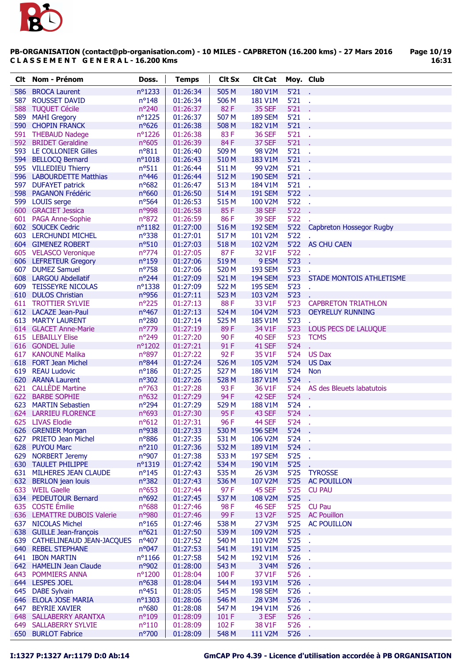

| Clt | <b>Nom - Prénom</b>                            | Doss.                       | <b>Temps</b>         | <b>Clt Sx</b>  | <b>Clt Cat</b>                   | Moy. Club    |                                 |
|-----|------------------------------------------------|-----------------------------|----------------------|----------------|----------------------------------|--------------|---------------------------------|
| 586 | <b>BROCA Laurent</b>                           | nº1233                      | 01:26:34             | 505 M          | 180 V1M                          | 5'21         |                                 |
| 587 | <b>ROUSSET DAVID</b>                           | $n^o$ 148                   | 01:26:34             | 506 M          | 181 V1M                          | 5'21         | ÷.                              |
| 588 | <b>TUQUET Cécile</b>                           | nº240                       | 01:26:37             | 82F            | <b>35 SEF</b>                    | 5'21         | ÷.                              |
| 589 | <b>MAHI Gregory</b>                            | nº1225                      | 01:26:37             | 507 M          | <b>189 SEM</b>                   | 5'21         | $\mathcal{L}_{\mathcal{A}}$     |
|     | 590 CHOPIN FRANCK                              | $n^o$ 626                   | 01:26:38             | 508 M          | 182 V1M                          | 5'21         | ÷.                              |
|     | 591 THEBAUD Nadege                             | nº1226                      | 01:26:38             | 83F            | <b>36 SEF</b>                    | 5'21         | ÷.                              |
|     | 592 BRIDET Geraldine                           | n°605                       | 01:26:39             | 84F            | 37 SEF                           | 5'21         |                                 |
|     | 593 LE COLLONIER Gilles                        | $n^o811$<br>$n^{\circ}1018$ | 01:26:40             | 509 M          | 98 V2M                           | 5'21<br>5'21 | ÷.                              |
|     | 594 BELLOCQ Bernard<br>595 VILLEDIEU Thierry   | $n^o$ 511                   | 01:26:43<br>01:26:44 | 510 M<br>511 M | 183 V1M<br>99 V2M                | 5'21         | ٠.                              |
|     | 596 LABOURDETTE Matthias                       | nº446                       | 01:26:44             | 512 M          | <b>190 SEM</b>                   | 5'21         | ÷.<br>- 1                       |
| 597 | <b>DUFAYET</b> patrick                         | $n^o$ 682                   | 01:26:47             | 513 M          | 184 V1M                          | 5'21         | ÷.                              |
| 598 | <b>PAGANON Frédéric</b>                        | nº660                       | 01:26:50             | 514 M          | <b>191 SEM</b>                   | 5'22         |                                 |
|     | 599 LOUIS serge                                | nº564                       | 01:26:53             | 515 M          | 100 V2M                          | 5'22         | $\mathcal{A}$                   |
|     | 600 GRACIET Jessica                            | n°998                       | 01:26:58             | 85F            | 38 SEF                           | 5'22         |                                 |
| 601 | <b>PAGA Anne-Sophie</b>                        | n°872                       | 01:26:59             | 86F            | <b>39 SEF</b>                    | 5'22         |                                 |
|     | 602 SOUCEK Cedric                              | $n^o$ 1182                  | 01:27:00             | 516 M          | <b>192 SEM</b>                   | 5'22         | Capbreton Hossegor Rugby        |
|     | 603 LERCHUNDI MICHEL                           | n°338                       | 01:27:01             | 517 M          | 101 V2M                          | 5'22         |                                 |
|     | 604 GIMENEZ ROBERT                             | $n^o$ 510                   | 01:27:03             | 518 M          | 102 V2M                          | 5'22         | <b>AS CHU CAEN</b>              |
|     | 605 VELASCO Veronique                          | nº774                       | 01:27:05             | 87F            | 32 V1F                           | 5'22         | $\mathcal{A}$                   |
|     | 606 LEFRETEUR Gregory                          | n°159                       | 01:27:06             | 519 M          | 9 ESM                            | 5'23         |                                 |
|     | 607 DUMEZ Samuel                               | nº758                       | 01:27:06             | 520 M          | <b>193 SEM</b>                   | 5'23<br>5'23 | <b>STADE MONTOIS ATHLETISME</b> |
|     | 608 LARGOU Abdellatif<br>609 TEISSEYRE NICOLAS | nº244<br>nº1338             | 01:27:09<br>01:27:09 | 521 M<br>522 M | <b>194 SEM</b><br><b>195 SEM</b> | 5'23         |                                 |
|     | 610 DULOS Christian                            | nº956                       | 01:27:11             | 523 M          | 103 V2M                          | 5'23         |                                 |
| 611 | <b>TROTTIER SYLVIE</b>                         | $n^{\circ}$ 225             | 01:27:13             | 88F            | 33 V1F                           | 5'23         | <b>CAPBRETON TRIATHLON</b>      |
|     | 612 LACAZE Jean-Paul                           | nº467                       | 01:27:13             | 524 M          | 104 V2M                          | 5'23         | <b>OEYRELUY RUNNING</b>         |
|     | <b>613 MARTY LAURENT</b>                       | n°280                       | 01:27:14             | 525 M          | 185 V1M                          | 5'23         |                                 |
|     | 614 GLACET Anne-Marie                          | n°779                       | 01:27:19             | 89F            | 34 V1F                           | 5'23         | LOUS PECS DE LALUQUE            |
|     | 615 LEBAILLY Elise                             | nº249                       | 01:27:20             | 90F            | 40 SEF                           | 5'23         | <b>TCMS</b>                     |
|     | 616 GONDEL Julie                               | nº1202                      | 01:27:21             | 91 F           | 41 SEF                           | 5'24         |                                 |
| 617 | <b>KANOUNE Malika</b>                          | n°897                       | 01:27:22             | 92 F           | 35 V1F                           | 5'24         | <b>US Dax</b>                   |
|     | 618 FORT Jean Michel                           | n°844                       | 01:27:24             | 526 M          | 105 V2M                          | 5'24         | <b>US Dax</b>                   |
|     | 619 REAU Ludovic                               | $n^o$ 186                   | 01:27:25             | 527 M          | 186 V1M                          | 5'24         | <b>Non</b>                      |
|     | 620 ARANA Laurent                              | n°302                       | 01:27:26             | 528 M          | 187 V1M                          | 5'24         |                                 |
| 621 | <b>CALLÈDE Martine</b><br>622 BARBE SOPHIE     | nº763<br>nº632              | 01:27:28<br>01:27:29 | 93 F<br>94 F   | 36 V1F<br>42 SEF                 | 5'24<br>5'24 | AS des Bleuets labatutois       |
|     | 623 MARTIN Sebastien                           | nº294                       | 01:27:29             | 529 M          | 188 V1M                          | 5'24         | $\mathcal{A}$                   |
|     | 624 LARRIEU FLORENCE                           | n°693                       | 01:27:30             | 95F            | 43 SEF                           | 5'24         |                                 |
|     | 625 LIVAS Elodie                               | $n^o612$                    | 01:27:31             | 96 F           | 44 SEF                           | 5'24         |                                 |
|     | 626 GRENIER Morgan                             | nº938                       | 01:27:33             | 530 M          | <b>196 SEM</b>                   | 5'24         | $\sim$                          |
|     | 627 PRIETO Jean Michel                         | n°886                       | 01:27:35             | 531 M          | 106 V2M                          | 5'24         | $\sim$                          |
|     | 628 PUYOU Marc                                 | $n^{\circ}210$              | 01:27:36             | 532 M          | 189 V1M                          | 5'24         |                                 |
|     | 629 NORBERT Jeremy                             | nº907                       | 01:27:38             | 533 M          | <b>197 SEM</b>                   | 5'25         | $\bar{\mathcal{A}}$             |
|     | 630 TAULET PHILIPPE                            | nº1319                      | 01:27:42             | 534 M          | 190 V1M                          | 5'25         | $\mathbf{r}$                    |
|     | 631 MILHERES JEAN CLAUDE                       | $n^{\circ}145$              | 01:27:43             | 535 M          | 26 V3M                           | 5'25         | <b>TYROSSE</b>                  |
|     | 632 BERLON jean louis                          | n°382                       | 01:27:43             | 536 M          | 107 V2M                          | 5'25         | <b>AC POUILLON</b>              |
|     | 633 WEIL Gaelle                                | $n^o$ 653<br>nº692          | 01:27:44             | 97F<br>537 M   | 45 SEF<br>108 V2M                | 5'25<br>5'25 | <b>CU PAU</b>                   |
|     | 634 PEDEUTOUR Bernard<br>635 COSTE Émilie      | n°688                       | 01:27:45<br>01:27:46 | 98F            | 46 SEF                           | 5'25         | CU Pau                          |
|     | 636 LEMATTRE DUBOIS Valerie                    | nº980                       | 01:27:46             | 99F            | 13 V <sub>2</sub> F              |              | 5'25 AC Pouillon                |
|     | 637 NICOLAS Michel                             | $n^o$ 165                   | 01:27:46             | 538 M          | 27 V3M                           | 5'25         | <b>AC POUILLON</b>              |
|     | 638 GUILLE Jean-françois                       | $n^o 621$                   | 01:27:50             | 539 M          | 109 V2M                          | 5'25         |                                 |
|     | 639 CATHELINEAUD JEAN-JACQUES                  | $n^o407$                    | 01:27:52             | 540 M          | 110 V2M                          | 5'25         | $\sim$                          |
|     | 640 REBEL STEPHANE                             | $n^{\circ}047$              | 01:27:53             | 541 M          | 191 V1M                          | 5'25         | ÷.                              |
|     | 641 IBON MARTIN                                | $n^o$ 1166                  | 01:27:58             | 542 M          | 192 V1M                          | 5'26         | $\sim$                          |
|     | 642 HAMELIN Jean Claude                        | nº902                       | 01:28:00             | 543 M          | 3 V4M                            | 5'26         |                                 |
|     | 643 POMMIERS ANNA                              | nº1200                      | 01:28:04             | 100F           | 37 V1F                           | 5'26         | $\sim$                          |
|     | 644 LESPES JOEL                                | $n^o$ 638                   | 01:28:04             | 544 M          | 193 V1M                          | 5'26         | - 1                             |
|     | 645 DABE Sylvain                               | $n^o451$                    | 01:28:05             | 545 M          | <b>198 SEM</b>                   | 5'26         | $\sim$                          |
|     | 646 ELOLA JOSE MARIA                           | nº1303                      | 01:28:06             | 546 M          | 28 V3M                           | 5'26         | ÷.                              |
|     | 647 BEYRIE XAVIER<br>648 SALLABERRY ARANTXA    | nº680<br>$n^{\circ}109$     | 01:28:08<br>01:28:09 | 547 M<br>101 F | 194 V1M<br>3 ESF                 | 5'26<br>5'26 | $\sim$                          |
|     | 649 SALLABERRY SYLVIE                          | $n^o110$                    | 01:28:09             | 102 F          | 38 V1F                           | 5'26         | ÷.<br>÷.                        |
|     | 650 BURLOT Fabrice                             | n°700                       | 01:28:09             | 548 M          | 111 V2M                          | 5'26         | $\sim$                          |
|     |                                                |                             |                      |                |                                  |              |                                 |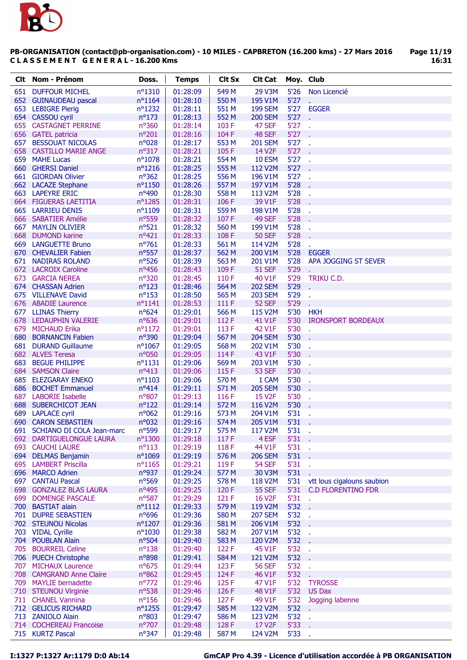

| Clt.       | Nom - Prénom                                   | Doss.                        | <b>Temps</b>         | <b>Clt Sx</b>  | <b>Clt Cat</b>                   | Moy. Club        |                                   |
|------------|------------------------------------------------|------------------------------|----------------------|----------------|----------------------------------|------------------|-----------------------------------|
| 651        | <b>DUFFOUR MICHEL</b>                          | nº1310                       | 01:28:09             | 549 M          | <b>29 V3M</b>                    | 5'26             | Non Licencié                      |
|            | 652 GUINAUDEAU pascal                          | $n^o$ 1164                   | 01:28:10             | 550 M          | 195 V1M                          | 5'27             | $\sim$                            |
| 653        | <b>LEBIGRE Pierig</b>                          | nº1232                       | 01:28:11             | 551 M          | <b>199 SEM</b>                   |                  | 5'27 EGGER                        |
|            | 654 CASSOU cyril                               | $n^o$ 173                    | 01:28:13             | 552 M          | <b>200 SEM</b>                   | 5'27             |                                   |
| 655        | <b>CASTAGNET PERRINE</b>                       | nº360                        | 01:28:14             | 103 F          | 47 SEF                           | $5'27$ .         |                                   |
|            | 656 GATEL patricia                             | $n^{\circ}201$               | 01:28:16             | 104 F          | 48 SEF                           | $5'27$ .         |                                   |
| 657        | <b>BESSOUAT NICOLAS</b>                        | n°028                        | 01:28:17             | 553 M          | <b>201 SEM</b>                   | 5'27             | $\sim$                            |
|            | 658 CASTILLO MARIE ANGE                        | $n^o317$                     | 01:28:21             | 105F           | 14 V2F                           | 5'27             | $\sim$                            |
|            | 659 MAHE Lucas                                 | nº1078                       | 01:28:21             | 554 M          | <b>10 ESM</b>                    | $5'27$ .         |                                   |
|            | 660 GHERSI Daniel                              | $n^o$ 1216                   | 01:28:25             | 555 M          | 112 V2M                          | $5'27$ .         |                                   |
|            | 661 GIORDAN Olivier<br>662 LACAZE Stephane     | $n^{\circ}362$<br>$n^o$ 1150 | 01:28:25<br>01:28:26 | 556 M<br>557 M | 196 V1M<br>197 V1M               | 5'27<br>5'28     | ÷.<br>$\sim$                      |
|            | 663 LAPEYRE ERIC                               | $n^o490$                     | 01:28:30             | 558 M          | 113 V2M                          | 5'28             | $\sim$                            |
|            | 664 FIGUERAS LAETITIA                          | nº1285                       | 01:28:31             | 106 F          | 39 V1F                           | 5'28             | ÷.                                |
|            | <b>665 LARRIEU DENIS</b>                       | nº1109                       | 01:28:31             | 559 M          | 198 V1M                          | 5'28             | $\mathbb{Z}_2$                    |
|            | 666 SABATIER Amélie                            | nº559                        | 01:28:32             | 107 F          | 49 SEF                           | 5'28             | ÷.                                |
|            | 667 MAYLIN OLIVIER                             | $n^o$ 521                    | 01:28:32             | 560 M          | 199 V1M                          | 5'28             | $\mathcal{A}$                     |
|            | 668 DUMOND karine                              | $n^o421$                     | 01:28:33             | 108 F          | <b>50 SEF</b>                    | 5'28             |                                   |
|            | 669 LANGUETTE Bruno                            | $n^{\circ}761$               | 01:28:33             | 561 M          | 114 V2M                          | 5'28             |                                   |
|            | 670 CHEVALIER Fabien                           | $n^o$ 557                    | 01:28:37             | 562 M          | 200 V1M                          | 5'28             | <b>EGGER</b>                      |
| 671        | <b>NADIRAS ROLAND</b>                          | nº526                        | 01:28:39             | 563 M          | 201 V1M                          | 5'28             | APA JOGGING ST SEVER              |
|            | 672 LACROIX Caroline                           | nº456                        | 01:28:43             | 109F           | <b>51 SEF</b>                    | 5'29             |                                   |
| 673        | <b>GARCIA NEREA</b>                            | nº320                        | 01:28:45             | 110 F          | 40 V1F                           | 5'29             | TRIKU C.D.                        |
|            | 674 CHASSAN Adrien<br>675 VILLENAVE David      | $n^o$ 123<br>$n^o$ 153       | 01:28:46<br>01:28:50 | 564 M<br>565 M | <b>202 SEM</b><br><b>203 SEM</b> | 5'29<br>5'29     |                                   |
|            | 676 ABADIE Laurence                            | $n^o$ 1141                   | 01:28:53             | 111 F          | 52 SEF                           | 5'29             | $\mathcal{L}_{\mathcal{A}}$<br>÷. |
|            | 677 LLINAS Thierry                             | $n^o624$                     | 01:29:01             | 566 M          | 115 V2M                          | 5'30             | <b>HKH</b>                        |
|            | 678 LEDAUPHIN VALERIE                          | $n^o$ 636                    | 01:29:01             | 112 F          | 41 V1F                           | 5'30             | <b>IRONSPORT BORDEAUX</b>         |
|            | 679 MICHAUD Erika                              | nº1172                       | 01:29:01             | 113 F          | 42 V1F                           | 5'30             | $\sim$                            |
|            | 680 BORNANCIN Fabien                           | n°390                        | 01:29:04             | 567 M          | <b>204 SEM</b>                   | 5'30             | $\mathbb{R}^2$                    |
|            | 681 DURAND Guillaume                           | nº1067                       | 01:29:05             | 568 M          | 202 V1M                          | 5'30             | ÷.                                |
|            | 682 ALVES Teresa                               | n°050                        | 01:29:05             | 114 F          | 43 V1F                           | 5'30             | У.                                |
| 683        | <b>BEGUE PHILIPPE</b>                          | $n^o$ 1131                   | 01:29:06             | 569 M          | 203 V1M                          | 5'30             | $\sim$                            |
|            | 684 SAMSON Claire                              | $n^o413$                     | 01:29:06             | 115F           | <b>53 SEF</b>                    | 5'30             | У.                                |
|            | 685 ELEZGARAY ENEKO                            | nº1103                       | 01:29:06             | 570 M          | 1 CAM                            | 5'30             | $\mathbb{Z}^2$                    |
|            | 686 BOCHET Emmanuel                            | $n^o414$                     | 01:29:11             | 571 M          | <b>205 SEM</b>                   | 5'30             | ۰.                                |
| 687<br>688 | <b>LABORIE Isabelle</b><br>SUBERCHICOT JEAN    | nº807<br>$n^o$ 122           | 01:29:13<br>01:29:14 | 116 F<br>572 M | <b>15 V2F</b><br>116 V2M         | 5'30<br>5'30     | ÷.                                |
| 689        | <b>LAPLACE cyril</b>                           | $n^{\circ}062$               | 01:29:16             | 573 M          | 204 V1M                          | 5'31             | - 1<br>$\sim$                     |
|            | <b>690 CARON SEBASTIEN</b>                     | n°032                        | 01:29:16             | 574 M          | 205 V1M                          | 5'31             |                                   |
|            | 691 SCHIANO DI COLA Jean-marc                  | nº599                        | 01:29:17             | 575 M          | 117 V2M                          | 5'31             | $\sim$                            |
|            | 692 DARTIGUELONGUE LAURA                       | nº1300                       | 01:29:18             | 117F           | 4 ESF                            | 5'31             | ο.                                |
| 693        | <b>CAUCHI LAURE</b>                            | $n^o113$                     | 01:29:19             | 118 F          | 44 V1F                           | $5'31$ .         |                                   |
| 694        | <b>DELMAS Benjamin</b>                         | nº1069                       | 01:29:19             | 576 M          | <b>206 SEM</b>                   | 5'31             | ÷.                                |
| 695        | <b>LAMBERT Priscilla</b>                       | $n^o$ 1165                   | 01:29:21             | 119F           | 54 SEF                           | 5'31             | $\sim$                            |
|            | 696 MARCO Adrien                               | n°937                        | 01:29:24             | 577 M          | 30 V3M                           | 5'31             |                                   |
|            | 697 CANTAU Pascal                              | nº569                        | 01:29:25             | 578 M          | 118 V2M                          | 5'31             | vtt lous cigalouns saubion        |
| 698        | <b>GONZALEZ BLAS LAURA</b>                     | nº495                        | 01:29:25             | 120 F<br>121 F | <b>55 SEF</b>                    |                  | 5'31 C.D FLORENTINO FDR           |
| 699<br>700 | <b>DOMENGE PASCALE</b><br><b>BASTIAT alain</b> | nº587<br>$n^o$ 1112          | 01:29:29<br>01:29:33 | 579 M          | <b>16 V2F</b><br>119 V2M         | 5'31<br>$5'32$ . | $\sim$                            |
| 701        | <b>DUPRE SEBASTIEN</b>                         | nº696                        | 01:29:36             | 580 M          | <b>207 SEM</b>                   | $5'32$ .         |                                   |
|            | 702 STEUNOU Nicolas                            | nº1207                       | 01:29:36             | 581 M          | 206 V1M                          | $5'32$ .         |                                   |
|            | 703 VIDAL Cyrille                              | nº1030                       | 01:29:38             | 582 M          | 207 V1M                          | $5'32$ .         |                                   |
|            | 704 POUBLAN Alain                              | $n^o$ 504                    | 01:29:40             | 583 M          | 120 V2M                          | 5'32             | $\sim$                            |
| 705        | <b>BOURREIL Celine</b>                         | $n^o$ 138                    | 01:29:40             | 122 F          | 45 V1F                           | $5'32$ .         |                                   |
|            | 706 PUECH Christophe                           | nº898                        | 01:29:41             | 584 M          | 121 V2M                          | 5'32             | - 1                               |
| 707        | <b>MICHAUX Laurence</b>                        | $n^o$ 675                    | 01:29:44             | 123 F          | <b>56 SEF</b>                    | 5'32             | ÷.                                |
| 708        | <b>CAMGRAND Anne Claire</b>                    | nº862                        | 01:29:45             | 124 F          | 46 V1F                           | 5'32             |                                   |
| 709        | <b>MAYLIE</b> bernadette                       | $n^{\circ}772$               | 01:29:46             | 125 F          | 47 V1F                           | 5'32             | <b>TYROSSE</b>                    |
|            | 710 STEUNOU Virginie                           | $n^o$ 538                    | 01:29:46             | 126 F          | 48 V1F                           |                  | 5'32 US Dax                       |
| 711        | <b>CHANEL Vannina</b>                          | $n^o$ 156                    | 01:29:46             | 127 F          | 49 V1F                           | 5'32             | Jogging labenne                   |
|            | 712 GELICUS RICHARD<br>713 ZANIOLO Alain       | nº1255<br>n°803              | 01:29:47<br>01:29:47 | 585 M<br>586 M | 122 V2M<br>123 V2M               | 5'32<br>$5'32$ . | $\sim$                            |
|            | 714 COCHEREAU Francoise                        | nº707                        | 01:29:48             | 128 F          | 17 V2F                           | 5'33             | - 11                              |
|            | 715 KURTZ Pascal                               | $n^{\circ}347$               | 01:29:48             | 587 M          | 124 V2M                          | 5'33             | $\sim$                            |
|            |                                                |                              |                      |                |                                  |                  |                                   |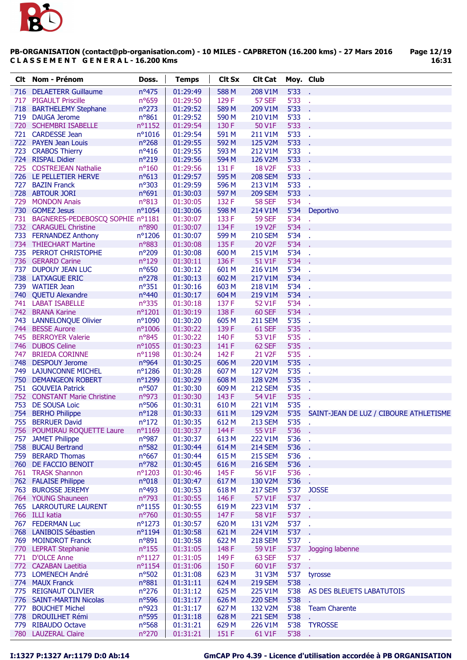

|     | <b>Clt</b> Nom - Prénom                 | Doss.                       | <b>Temps</b>         | <b>Clt Sx</b>  | <b>Clt Cat</b>            |          | Moy. Club                                   |
|-----|-----------------------------------------|-----------------------------|----------------------|----------------|---------------------------|----------|---------------------------------------------|
|     | 716 DELAETERR Guillaume                 | nº475                       | 01:29:49             | 588 M          | 208 V1M                   | 5'33     |                                             |
| 717 | <b>PIGAULT Priscille</b>                | nº659                       | 01:29:50             | 129 F          | 57 SEF                    | $5'33$ . |                                             |
|     | 718 BARTHELEMY Stephane                 | $n^{\circ}273$              | 01:29:52             | 589 M          | 209 V1M                   | 5'33.    |                                             |
|     | 719 DAUGA Jerome                        | $n^o$ 861                   | 01:29:52             | 590 M          | 210 V1M                   | 5'33.    |                                             |
|     | 720 SCHEMBRI ISABELLE                   | $n^o$ 1152                  | 01:29:54             | 130 F          | 50 V1F                    | 5'33     | ÷.                                          |
|     | 721 CARDESSE Jean                       | nº1016                      | 01:29:54             | 591 M          | 211 V1M                   | 5'33.    |                                             |
|     | 722 PAYEN Jean Louis                    | $n^{\circ}268$              | 01:29:55             | 592 M          | 125 V2M                   | 5'33     | $\sim$                                      |
|     | 723 CRABOS Thierry                      | $n^o416$                    | 01:29:55             | 593 M          | 212 V1M                   | $5'33$ . |                                             |
|     | 724 RISPAL Didier                       | $n^o219$                    | 01:29:56             | 594 M          | 126 V2M                   | 5'33     | ÷.                                          |
|     | 725 COSTREJEAN Nathalie                 | $n^o$ 160                   | 01:29:56             | 131 F          | <b>18 V2F</b>             | 5'33     | $\mathcal{A}$                               |
|     | 726 LE PELLETIER HERVE                  | $n^o613$                    | 01:29:57             | 595 M          | <b>208 SEM</b>            | 5'33     |                                             |
|     | 727 BAZIN Franck                        | n°303                       | 01:29:59             | 596 M          | 213 V1M                   | 5'33     | $\mathcal{A}$                               |
|     | 728 ABTOUR JORI                         | n°691                       | 01:30:03             | 597 M          | <b>209 SEM</b>            | 5'33     | ÷.                                          |
| 729 | <b>MONDON Anais</b>                     | $n^o813$                    | 01:30:05             | 132 F          | <b>58 SEF</b>             | 5'34     |                                             |
|     | 730 GOMEZ Jesus                         | nº1054                      | 01:30:06             | 598 M          | 214 V1M                   |          | 5'34 Deportivo                              |
|     | 731 BAGNERES-PEDEBOSCQ SOPHIE nº1181    |                             | 01:30:07             | 133 F          | <b>59 SEF</b>             | 5'34     | $\mathbf{r}$                                |
|     | 732 CARAGUEL Christine                  | $n^{\circ}890$              | 01:30:07             | 134 F          | 19 V2F                    | $5'34$ . |                                             |
|     | 733 FERNANDEZ Anthony                   | $n^{\circ}$ 1206            | 01:30:07             | 599 M          | <b>210 SEM</b>            | $5'34$ . |                                             |
|     | 734 THIECHART Martine                   | n°883                       | 01:30:08             | 135 F          | 20 V2F                    | $5'34$ . |                                             |
|     | 735 PERROT CHRISTOPHE                   | nº209                       | 01:30:08             | 600 M          | 215 V1M                   | $5'34$ . |                                             |
|     | 736 GERARD Carine                       | $n^o$ 129                   | 01:30:11             | 136 F          | 51 V1F                    | 5'34     |                                             |
|     |                                         |                             |                      |                |                           | $5'34$ . | ÷.                                          |
|     | 737 DUPOUY JEAN LUC                     | nº650                       | 01:30:12             | 601 M          | 216 V1M                   |          |                                             |
|     | 738 LATXAGUE ERIC                       | $n^{\circ}278$              | 01:30:13             | 602 M          | 217 V1M                   | $5'34$ . |                                             |
|     | 739 WATIER Jean                         | $n^o$ 351                   | 01:30:16             | 603 M          | 218 V1M                   | $5'34$ . |                                             |
|     | 740 QUETU Alexandre                     | nº440                       | 01:30:17             | 604 M          | 219 V1M                   | $5'34$ . |                                             |
|     | 741 LABAT ISABELLE                      | n°335                       | 01:30:18             | 137 F          | 52 V1F                    | $5'34$ . |                                             |
|     | 742 BRANA Karine                        | $n^o$ 1201                  | 01:30:19             | 138 F          | <b>60 SEF</b>             | $5'34$ . |                                             |
|     | 743 LANNELONQUE Olivier                 | nº1090                      | 01:30:20             | 605 M          | <b>211 SEM</b>            | 5'35.    |                                             |
|     | 744 BESSE Aurore                        | $n^{\circ}1006$             | 01:30:22             | 139 F          | 61 SEF                    | 5'35     | У.                                          |
| 745 | <b>BERROYER Valerie</b>                 | $n^o$ 845                   | 01:30:22             | 140 F          | 53 V1F                    | 5'35     | $\sim$                                      |
|     | 746 DUBOS Celine                        | $n^{\circ}1055$             | 01:30:23             | 141 F          | 62 SEF                    | 5'35     |                                             |
|     | 747 BRIEDA CORINNE                      | nº1198                      | 01:30:24             | 142 F          | 21 V2F                    | 5'35     | ÷.                                          |
|     | 748 DESPOUY Jerome                      | n°964                       | 01:30:25             | 606 M          | 220 V1M                   | 5'35     | $\sim$                                      |
|     | 749 LAJUNCONNE MICHEL                   | $n^o$ 1286                  | 01:30:28             | 607 M          | 127 V2M                   | $5'35$ . |                                             |
|     | 750 DEMANGEON ROBERT                    | nº1299                      | 01:30:29             | 608 M          | 128 V2M                   | 5'35     | $\sim$                                      |
|     | 751 GOUVEIA Patrick                     | $n^o$ 507                   | 01:30:30             | 609 M          | <b>212 SEM</b>            | 5'35     | $\mathcal{A}$                               |
|     | 752 CONSTANT Marie Christine            | nº973                       | 01:30:30             | 143 F          | 54 V1F                    | 5'35     | ο.                                          |
|     | 753 DE SOUSA Loic<br>754 BERHO Philippe | $n^o$ 506                   | 01:30:31             | 610 M          | 221 V1M                   | 5'35     | 5'35 SAINT-JEAN DE LUZ / CIBOURE ATHLETISME |
|     | 755 BERRUER David                       | $n^{\circ}128$<br>$n^o$ 172 | 01:30:33<br>01:30:35 | 611 M<br>612 M | 129 V2M<br>213 SEM 5'35 . |          |                                             |
|     | 756 POUMIRAU ROQUETTE Laure             | nº1169                      | 01:30:37             | 144 F          | 55 V1F                    | 5'36     |                                             |
| 757 | <b>JAMET Philippe</b>                   | nº987                       | 01:30:37             | 613 M          | 222 V1M                   | $5'36$ . |                                             |
| 758 | <b>BUCAU Bertrand</b>                   | nº582                       | 01:30:44             | 614 M          | <b>214 SEM</b>            | $5'36$ . |                                             |
| 759 | <b>BERARD Thomas</b>                    | $n^o$ 667                   | 01:30:44             | 615 M          | <b>215 SEM</b>            | $5'36$ . |                                             |
| 760 | DE FACCIO BENOIT                        | nº782                       | 01:30:45             | 616 M          | <b>216 SEM</b>            | 5'36     | У.                                          |
|     | 761 TRASK Shannon                       | nº1203                      | 01:30:46             | 145 F          | 56 V1F                    | 5'36     | $\sim$                                      |
|     | 762 FALAISE Philippe                    | $n^o018$                    | 01:30:47             | 617 M          | 130 V2M                   | $5'36$ . |                                             |
| 763 | <b>BUROSSE JEREMY</b>                   | nº493                       | 01:30:53             | 618 M          | <b>217 SEM</b>            |          |                                             |
|     | 764 YOUNG Shauneen                      | nº793                       | 01:30:55             | 146 F          | 57 V1F                    | 5'37     |                                             |
|     | 765 LARROUTURE LAURENT                  | $n^o$ 1155                  | 01:30:55             | 619 M          | 223 V1M                   | 5'37.    |                                             |
|     | 766 ILLI katia                          | $n^{\circ}760$              | 01:30:55             | 147 F          | 58 V1F                    | 5'37.    |                                             |
|     | 767 FEDERMAN Luc                        | nº1273                      | 01:30:57             | 620 M          | 131 V2M                   | 5'37.    |                                             |
|     | 768 LANIBOIS Sébastien                  | nº1194                      | 01:30:58             | 621 M          | 224 V1M                   | 5'37.    |                                             |
|     | 769 MOINDROT Franck                     | $n^o$ 891                   | 01:30:58             | 622 M          | <b>218 SEM</b>            | 5'37     |                                             |
|     | 770 LEPRAT Stephanie                    | $n^o$ 155                   | 01:31:05             | 148 F          | 59 V1F                    | 5'37     | Jogging labenne                             |
| 771 | <b>D'OLCE Anne</b>                      | nº1127                      | 01:31:05             | 149 F          | 63 SEF                    | 5'37     | $\sim$                                      |
|     | 772 CAZABAN Laetitia                    | $n^o$ 1154                  | 01:31:06             | 150 F          | 60 V1F                    | 5'37     | ο.                                          |
|     | 773 LOMENECH André                      | nº502                       | 01:31:08             | 623 M          | 31 V3M                    |          | 5'37 tyrosse                                |
|     | 774 MAUX Franck                         | n°881                       | 01:31:11             | 624 M          | <b>219 SEM</b>            | 5'38     |                                             |
|     | 775 REIGNAUT OLIVIER                    | $n^{\circ}276$              | 01:31:12             | 625 M          | 225 V1M                   | 5'38     | AS DES BLEUETS LABATUTOIS                   |
|     | 776 SAINT-MARTIN Nicolas                | nº596                       | 01:31:17             | 626 M          | <b>220 SEM</b>            | 5'38     |                                             |
| 777 | <b>BOUCHET Michel</b>                   | n°923                       | 01:31:17             | 627 M          | 132 V2M                   | 5'38     | <b>Team Charente</b>                        |
| 778 | <b>DROUILHET Rémi</b>                   | nº595                       | 01:31:18             | 628 M          | <b>221 SEM</b>            | 5'38     |                                             |
| 779 | <b>RIBAUDO Octave</b>                   | nº568                       | 01:31:21             | 629 M          | 226 V1M                   | 5'38     | <b>TYROSSE</b>                              |
|     | 780 LAUZERAL Claire                     | $n^{\circ}270$              | 01:31:21             | 151 F          | 61 V1F                    | 5'38     | $\sim$                                      |
|     |                                         |                             |                      |                |                           |          |                                             |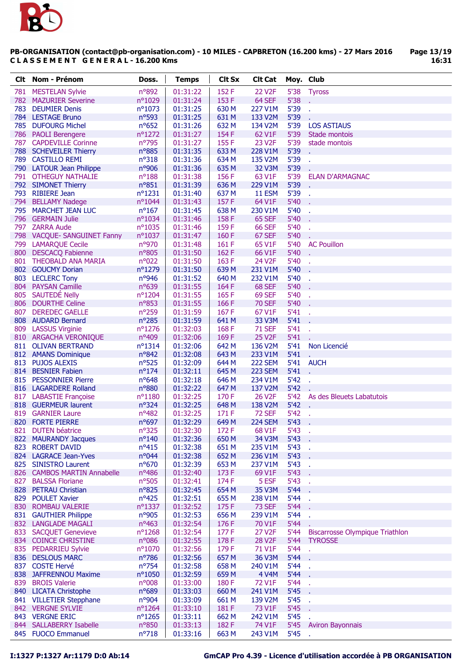

| Clt | <b>Nom - Prénom</b>                              | Doss.                       | <b>Temps</b>         | <b>Clt Sx</b>  | <b>Clt Cat</b>          |              | Moy. Club                              |
|-----|--------------------------------------------------|-----------------------------|----------------------|----------------|-------------------------|--------------|----------------------------------------|
| 781 | <b>MESTELAN Sylvie</b>                           | n°892                       | 01:31:22             | 152 F          | <b>22 V2F</b>           | 5'38         | <b>Tyross</b>                          |
| 782 | <b>MAZURIER Severine</b>                         | nº1029                      | 01:31:24             | 153 F          | 64 SEF                  | 5'38         |                                        |
|     | 783 DEUMIER Denis                                | $n^{\circ}1073$             | 01:31:25             | 630 M          | 227 V1M                 | 5'39         | $\mathbf{r}$                           |
|     | 784 LESTAGE Bruno                                | nº593                       | 01:31:25             | 631 M          | 133 V2M                 | 5'39         |                                        |
|     | 785 DUFOURG Michel                               | nº652                       | 01:31:26             | 632 M          | 134 V2M                 | 5'39         | <b>LOS ASTIAUS</b>                     |
|     | 786 PAOLI Berengere                              | nº1272                      | 01:31:27             | 154 F          | 62 V1F                  | 5'39         | Stade montois                          |
|     | 787 CAPDEVILLE Corinne                           | n°795                       | 01:31:27             | 155 F          | 23 V <sub>2</sub> F     | 5'39         | stade montois                          |
|     | 788 SCHEVEILER Thierry                           | n°885                       | 01:31:35             | 633 M          | 228 V1M                 | 5'39         |                                        |
|     | 789 CASTILLO REMI                                | $n^o318$                    | 01:31:36             | 634 M          | 135 V2M                 | 5'39         | $\mathbf{r}$                           |
|     | 790 LATOUR Jean Philippe<br>791 OTHEGUY NATHALIE | nº906<br>$n^o$ 188          | 01:31:36<br>01:31:38 | 635 M<br>156 F | <b>32 V3M</b><br>63 V1F | 5'39<br>5'39 | <b>ELAN D'ARMAGNAC</b>                 |
|     | 792 SIMONET Thierry                              | nº851                       | 01:31:39             | 636 M          | 229 V1M                 | 5'39         |                                        |
| 793 | <b>RIBIERE Jean</b>                              | $n^{\circ}1231$             | 01:31:40             | 637 M          | <b>11 ESM</b>           | 5'39         | $\mathcal{A}$                          |
|     | 794 BELLAMY Nadege                               | nº1044                      | 01:31:43             | 157 F          | 64 V1F                  | 5'40         |                                        |
|     | 795 MARCHET JEAN LUC                             | $n^o$ 167                   | 01:31:45             | 638 M          | 230 V1M                 | 5'40         | $\mathcal{A}$                          |
|     | 796 GERMAIN Julie                                | $n^{\circ}1034$             | 01:31:46             | 158 F          | 65 SEF                  | 5'40         | ÷.                                     |
|     | 797 ZARRA Aude                                   | nº1035                      | 01:31:46             | 159F           | <b>66 SEF</b>           | 5'40         |                                        |
|     | 798 VACQUE- SANGUINET Fanny                      | nº1037                      | 01:31:47             | 160 F          | 67 SEF                  | 5'40         |                                        |
|     | 799 LAMARQUE Cecile                              | nº970                       | 01:31:48             | 161 F          | 65 V1F                  | 5'40         | <b>AC Pouillon</b>                     |
|     | 800 DESCACQ Fabienne                             | n°805                       | 01:31:50             | 162 F          | 66 V1F                  | 5'40         |                                        |
|     | 801 THEOBALD ANA MARIA                           | n°022                       | 01:31:50             | 163 F          | 24 V2F                  | 5'40         | $\mathcal{A}$                          |
|     | 802 GOUCMY Dorian                                | nº1279                      | 01:31:50             | 639 M          | 231 V1M                 | 5'40         | ÷.                                     |
|     | 803 LECLERC Tony                                 | n°946                       | 01:31:52             | 640 M          | 232 V1M                 | 5'40         | $\mathcal{A}$                          |
|     | 804 PAYSAN Camille                               | nº639                       | 01:31:55             | 164 F          | 68 SEF                  | 5'40         |                                        |
|     | 805 SAUTEDÉ Nelly                                | nº1204                      | 01:31:55             | 165 F          | <b>69 SEF</b>           | 5'40         | $\mathcal{L}_{\mathbf{r}}$             |
|     | 806 DOURTHE Celine                               | nº853                       | 01:31:55             | 166 F          | <b>70 SEF</b>           | 5'40         | ÷.                                     |
| 807 | <b>DEREDEC GAELLE</b>                            | n°259<br>n°285              | 01:31:59             | 167 F          | 67 V1F                  | 5'41<br>5'41 | У.                                     |
|     | 808 AUDARD Bernard<br>809 LASSUS Virginie        | nº1276                      | 01:31:59<br>01:32:03 | 641 M<br>168 F | 33 V3M<br><b>71 SEF</b> | 5'41         |                                        |
|     | 810 ARGACHA VERONIQUE                            | nº409                       | 01:32:06             | 169F           | <b>25 V2F</b>           | 5'41         | $\mathcal{A}$                          |
| 811 | <b>OLIVAN BERTRAND</b>                           | $n^o$ 1314                  | 01:32:06             | 642 M          | 136 V2M                 | 5'41         | Non Licencié                           |
|     | 812 AMANS Dominique                              | nº842                       | 01:32:08             | 643 M          | 233 V1M                 | 5'41         |                                        |
| 813 | <b>PUJOS ALEXIS</b>                              | nº525                       | 01:32:09             | 644 M          | <b>222 SEM</b>          | 5'41         | <b>AUCH</b>                            |
|     | 814 BESNIER Fabien                               | $n^o$ 174                   | 01:32:11             | 645 M          | <b>223 SEM</b>          | 5'41         |                                        |
|     | 815 PESSONNIER Pierre                            | $n^o648$                    | 01:32:18             | 646 M          | 234 V1M                 | 5'42         | $\sim$                                 |
|     | 816 LAGARDERE Rolland                            | nº880                       | 01:32:22             | 647 M          | 137 V2M                 | 5'42         |                                        |
|     | 817 LABASTIE Françoise                           | $n^o$ 1180                  | 01:32:25             | 170 F          | 26 V <sub>2</sub> F     | 5'42         | As des Bleuets Labatutois              |
|     | 818 GUERMEUR laurent                             | $n^{\circ}324$              | 01:32:25             | 648 M          | 138 V2M                 | 5'42         |                                        |
| 819 | <b>GARNIER Laure</b>                             | nº482                       | 01:32:25             | 171 F          | <b>72 SEF</b>           | 5'42         |                                        |
| 820 | <b>FORTE PIERRE</b>                              | $n^o$ 697                   | 01:32:29             | 649 M          | <b>224 SEM</b>          | 5'43         |                                        |
| 821 | <b>DUTEN béatrice</b>                            | $n^o$ 325<br>$n^{\circ}140$ | 01:32:30             | 172 F          | 68 V1F                  | 5'43         | ÷.                                     |
|     | 822 MAURANDY Jacques<br>823 ROBERT DAVID         | $n^o415$                    | 01:32:36<br>01:32:38 | 650 M<br>651 M | 34 V3M<br>235 V1M       | 5'43<br>5'43 |                                        |
|     | 824 LAGRACE Jean-Yves                            | n°044                       | 01:32:38             | 652 M          | 236 V1M                 | 5'43         | $\sim$<br>÷.                           |
|     | 825 SINISTRO Laurent                             | nº670                       | 01:32:39             | 653 M          | 237 V1M                 | 5'43         | $\mathbf{r}$                           |
|     | 826 CAMBOS MARTIN Annabelle                      | nº486                       | 01:32:40             | 173 F          | 69 V1F                  | 5'43         | - 11                                   |
| 827 | <b>BALSSA Floriane</b>                           | nº505                       | 01:32:41             | 174 F          | 5 ESF                   | 5'43         | $\sim$                                 |
|     | 828 PETRAU Christian                             | n°825                       | 01:32:45             | 654 M          | 35 V3M                  | 5'44         |                                        |
|     | 829 POULET Xavier                                | $n^o425$                    | 01:32:51             | 655 M          | 238 V1M                 | 5'44         | $\mathcal{A}$                          |
|     | 830 ROMBAU VALERIE                               | nº1337                      | 01:32:52             | 175F           | 73 SEF                  | 5'44         |                                        |
|     | 831 GAUTHIER Philippe                            | nº905                       | 01:32:53             | 656 M          | 239 V1M                 | 5'44         | $\mathcal{A}$                          |
|     | 832 LANGLADE MAGALI                              | nº463                       | 01:32:54             | 176 F          | 70 V1F                  | 5'44         |                                        |
| 833 | <b>SACQUET Genevieve</b>                         | nº1268                      | 01:32:54             | 177 F          | 27 V2F                  | 5'44         | <b>Biscarrosse Olympique Triathlon</b> |
|     | 834 COINCE CHRISTINE                             | n°086                       | 01:32:55             | 178 F          | <b>28 V2F</b>           | 5'44         | <b>TYROSSE</b>                         |
|     | 835 PEDARRIEU Sylvie                             | nº1070                      | 01:32:56             | 179F           | 71 V1F                  | 5'44         | ÷.                                     |
|     | 836 DESLOUS MARC                                 | nº786                       | 01:32:56             | 657 M          | 36 V3M                  | 5'44         |                                        |
|     | 837 COSTE Hervé                                  | $n^{\circ}754$              | 01:32:58             | 658 M          | 240 V1M                 | 5'44<br>5'44 | $\sim$                                 |
|     | 838 JAFFRENNOU Maxime<br>839 BROIS Valerie       | nº1050<br>n°008             | 01:32:59<br>01:33:00 | 659 M<br>180 F | 4 V4M<br>72 V1F         | 5'44         |                                        |
|     | 840 LICATA Christophe                            | n°689                       | 01:33:03             | 660 M          | 241 V1M                 | 5'45         | $\mathcal{A}$                          |
|     | 841 VILLETIER Stepphane                          | nº904                       | 01:33:09             | 661 M          | 139 V2M                 | 5'45         | $\mathcal{A}$                          |
|     | 842 VERGNE SYLVIE                                | nº1264                      | 01:33:10             | 181 F          | 73 V1F                  | 5'45         |                                        |
|     | 843 VERGNE ERIC                                  | $n^{\circ}$ 1265            | 01:33:11             | 662 M          | 242 V1M                 | 5'45         |                                        |
|     | 844 SALLABERRY Isabelle                          | nº850                       | 01:33:13             | 182 F          | 74 V1F                  | 5'45         | <b>Aviron Bayonnais</b>                |
|     | 845 FUOCO Emmanuel                               | $n^{\circ}718$              | 01:33:16             | 663 M          | 243 V1M                 | 5'45         |                                        |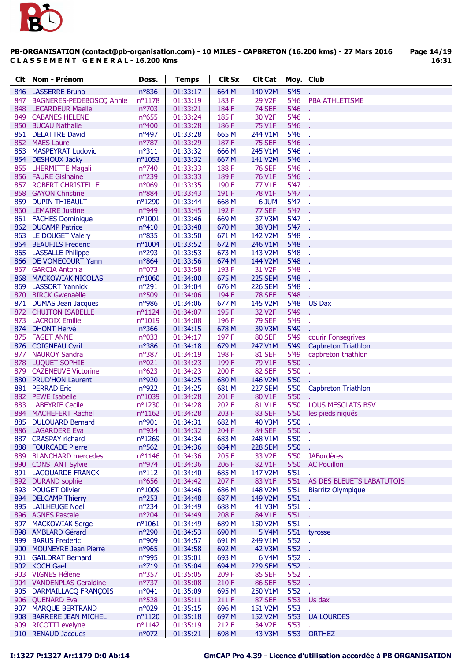

| <b>CIt</b> | Nom - Prénom                                    | Doss.           | <b>Temps</b>         | <b>Clt Sx</b>  | <b>Clt Cat</b>      |              | Moy. Club                      |
|------------|-------------------------------------------------|-----------------|----------------------|----------------|---------------------|--------------|--------------------------------|
| 846        | <b>LASSERRE Bruno</b>                           | n°836           | 01:33:17             | 664 M          | 140 V2M             | 5'45         |                                |
| 847        | <b>BAGNERES-PEDEBOSCQ Annie</b>                 | $n^o$ 1178      | 01:33:19             | 183F           | 29 V <sub>2F</sub>  | 5'46         | PBA ATHLETISME                 |
|            | 848 LECARDEUR Maelle                            | n°703           | 01:33:21             | 184 F          | <b>74 SEF</b>       | 5'46         | ÷.                             |
|            | 849 CABANES HELENE                              | nº655           | 01:33:24             | 185F           | 30 V2F              | 5'46         | $\mathcal{A}$                  |
|            | 850 BUCAU Nathalie                              | nº400           | 01:33:28             | 186 F          | 75 V1F              | 5'46         |                                |
|            | 851 DELATTRE David                              | nº497           | 01:33:28             | 665 M          | 244 V1M             | 5'46         | ÷.                             |
|            | 852 MAES Laure                                  | nº787           | 01:33:29             | 187F           | <b>75 SEF</b>       | 5'46         | ÷.                             |
| 853        | <b>MASPEYRAT Ludovic</b>                        | $n^o311$        | 01:33:32             | 666 M          | 245 V1M             | 5'46         | $\mathcal{L}_{\mathbf{a}}$     |
|            | 854 DESHOUX Jacky                               | $n^o$ 1053      | 01:33:32             | 667 M          | 141 V2M             | 5'46         | ÷.                             |
|            | 855 LHERMITTE Magali                            | nº740           | 01:33:33             | 188F           | <b>76 SEF</b>       | 5'46         | ÷.                             |
|            | 856 FAURE Gislhaine                             | n°239           | 01:33:33             | 189F           | 76 V1F              | 5'46         | ÷.                             |
|            | 857 ROBERT CHRISTELLE                           | n°069           | 01:33:35             | 190F           | 77 V1F              | 5'47         | ÷.                             |
|            | 858 GAYON Christine                             | nº884           | 01:33:43             | 191 F          | 78 V1F              | 5'47         |                                |
|            | 859 DUPIN THIBAULT                              | nº1290          | 01:33:44             | 668 M          | 6 JUM               | 5'47         |                                |
|            | 860 LEMAIRE Justine                             | nº949           | 01:33:45             | 192 F          | 77 SEF              | 5'47         |                                |
|            | 861 FACHES Dominique                            | $n^o$ 1001      | 01:33:46             | 669 M          | 37 V3M              | 5'47         | ÷.                             |
|            | 862 DUCAMP Patrice                              | $n^o410$        | 01:33:48             | 670 M          | 38 V3M              | 5'47         | ÷.                             |
|            | 863 LE DOUGET Valery                            | nº835           | 01:33:50             | 671 M          | 142 V2M             | 5'48         | $\mathcal{A}$                  |
|            | 864 BEAUFILS Frederic                           | nº1004          | 01:33:52             | 672 M          | 246 V1M             | 5'48         | ÷.                             |
|            | 865 LASSALLE Philippe                           | n°293           | 01:33:53             | 673 M          | 143 V2M             | 5'48         | ÷.                             |
|            | 866 DE VOMECOURT Yann                           | nº864           | 01:33:56             | 674 M          | 144 V2M             | 5'48         | - 1                            |
| 867        | <b>GARCIA Antonia</b>                           | n°073           | 01:33:58             | 193 F          | 31 V2F              | 5'48         | ÷.                             |
|            | 868 MACKOWIAK NICOLAS                           | nº1060          | 01:34:00             | 675 M          | <b>225 SEM</b>      | 5'48         |                                |
|            | 869 LASSORT Yannick                             | n°291           | 01:34:04             | 676 M          | <b>226 SEM</b>      | 5'48         | $\mathcal{A}$                  |
|            | 870 BIRCK Gwenaëlle                             | nº509           | 01:34:06             | 194 F          | <b>78 SEF</b>       | 5'48         |                                |
|            | 871 DUMAS Jean Jacques                          | nº986           | 01:34:06             | 677 M          | 145 V2M             | 5'48         | <b>US Dax</b>                  |
|            | 872 CHUITON ISABELLE                            | $n^o$ 1124      | 01:34:07             | 195F           | 32 V <sub>2</sub> F | 5'49         |                                |
| 873        | <b>LACROIX Emilie</b>                           | $n^{\circ}1019$ | 01:34:08             | 196 F          | <b>79 SEF</b>       | 5'49         |                                |
|            | 874 DHONT Hervé                                 | nº366           | 01:34:15             | 678 M          | 39 V3M              | 5'49         |                                |
|            | 875 FAGET ANNE                                  | n°033           | 01:34:17             | 197F           | <b>80 SEF</b>       | 5'49         | courir Fonsegrives             |
|            | 876 COIGNEAU Cyril                              | nº386           | 01:34:18             | 679 M          | 247 V1M             | 5'49         | <b>Capbreton Triathlon</b>     |
| 877        | <b>NAUROY Sandra</b>                            | n°387           | 01:34:19             | 198F           | <b>81 SEF</b>       | 5'49         | capbreton triathlon            |
|            | 878 LUQUET SOPHIE                               | n°021           | 01:34:23             | 199F           | 79 V1F              | 5'50         |                                |
|            | 879 CAZENEUVE Victorine                         | $n^o$ 623       | 01:34:23             | 200 F          | <b>82 SEF</b>       | 5'50         | $\mathcal{A}$                  |
|            | 880 PRUD'HON Laurent                            | nº920           | 01:34:25             | 680 M          | 146 V2M             | 5'50         |                                |
|            | 881 PERRAD Eric                                 | nº922           | 01:34:25             | 681 M          | <b>227 SEM</b>      | 5'50         | <b>Capbreton Triathlon</b>     |
|            | 882 PEWE Isabelle                               | nº1039          | 01:34:28             | 201 F          | 80 V1F              | 5'50         |                                |
| 883        | <b>LABEYRIE Cecile</b>                          | nº1230          | 01:34:28             | 202 F          | 81 V1F              | 5'50         | <b>LOUS MESCLATS BSV</b>       |
| 885        | 884 MACHEFERT Rachel<br><b>DULOUARD Bernard</b> | $n^o$ 1162      | 01:34:28             | 203 F<br>682 M | 83 SEF              | 5'50<br>5'50 | les pieds niqués               |
|            | 886 LAGARDERE Eva                               | n°901<br>n°934  | 01:34:31<br>01:34:32 | 204 F          | 40 V3M<br>84 SEF    | 5'50         |                                |
| 887        | <b>CRASPAY</b> richard                          | nº1269          | 01:34:34             | 683 M          | 248 V1M             | 5'50         | - 1                            |
|            | 888 FOURCADE Pierre                             | nº562           | 01:34:36             | 684 M          | <b>228 SEM</b>      | 5'50         | ÷.                             |
|            | 889 BLANCHARD mercedes                          | nº1146          | 01:34:36             | 205 F          | 33 V <sub>2</sub> F | 5'50         | <b>JABordères</b>              |
|            | 890 CONSTANT Sylvie                             | n°974           | 01:34:36             | 206 F          | 82 V1F              | 5'50         | <b>AC Pouillon</b>             |
|            | 891 LAGOUARDE FRANCK                            | $n^o112$        | 01:34:40             | 685 M          | 147 V2M             | 5'51         |                                |
|            | 892 DURAND sophie                               | $n^o$ 656       | 01:34:42             | 207 F          | 83 V1F              |              | 5'51 AS DES BLEUETS LABATUTOIS |
|            | 893 POUGET Olivier                              | nº1009          | 01:34:46             | 686 M          | 148 V2M             | 5'51         | <b>Biarritz Olympique</b>      |
|            | 894 DELCAMP Thierry                             | $n^{\circ}253$  | 01:34:48             | 687 M          | 149 V2M             | 5'51         |                                |
|            | 895 LAILHEUGE Noel                              | $n^{\circ}234$  | 01:34:49             | 688 M          | 41 V3M              | 5'51         | $\mathcal{A}$                  |
|            | 896 AGNES Pascale                               | $n^{\circ}204$  | 01:34:49             | 208 F          | 84 V1F              | 5'51         |                                |
| 897        | <b>MACKOWIAK Serge</b>                          | $n^o$ 1061      | 01:34:49             | 689 M          | 150 V2M             | 5'51         | $\mathcal{L}$                  |
|            | 898 AMBLARD Gérard                              | n°290           | 01:34:53             | 690 M          | 5 V4M               |              | 5'51 tyrosse                   |
|            | 899 BARUS Frederic                              | n°909           | 01:34:57             | 691 M          | 249 V1M             | 5'52         | $\sim$                         |
|            | 900 MOUNEYRE Jean Pierre                        | nº965           | 01:34:58             | 692 M          | 42 V3M              | 5'52         | ÷.                             |
|            | 901 GAILDRAT Bernard                            | nº995           | 01:35:01             | 693 M          | 6 V4M               | 5'52         | $\mathbb{Z}_2$                 |
|            | 902 KOCH Gael                                   | $n^{\circ}719$  | 01:35:04             | 694 M          | <b>229 SEM</b>      | 5'52         | $\sim$                         |
|            | 903 VIGNES Hélène                               | $n^o$ 357       | 01:35:05             | 209 F          | <b>85 SEF</b>       | 5'52         | ÷.                             |
|            | 904 VANDENPLAS Geraldine                        | $n^{\circ}737$  | 01:35:08             | 210 F          | <b>86 SEF</b>       | 5'52         |                                |
|            | 905 DARMAILLACQ FRANÇOIS                        | $n^o041$        | 01:35:09             | 695 M          | 250 V1M             | 5'52         |                                |
|            | 906 QUENARD Eva                                 | $n^o$ 528       | 01:35:11             | 211 F          | <b>87 SEF</b>       | 5'53         | Us dax                         |
|            | 907 MARQUE BERTRAND                             | n°029           | 01:35:15             | 696 M          | 151 V2M             | 5'53         |                                |
|            | 908 BARRERE JEAN MICHEL                         | $n^o$ 1120      | 01:35:18             | 697 M          | 152 V2M             | 5'53         | <b>UA LOURDES</b>              |
|            | 909 RICOTTI evelyne                             | nº1142          | 01:35:19             | 212 F          | 34 V2F              | 5'53         |                                |
|            | 910 RENAUD Jacques                              | $n^{\circ}072$  | 01:35:21             | 698 M          | 43 V3M              | 5'53         | <b>ORTHEZ</b>                  |
|            |                                                 |                 |                      |                |                     |              |                                |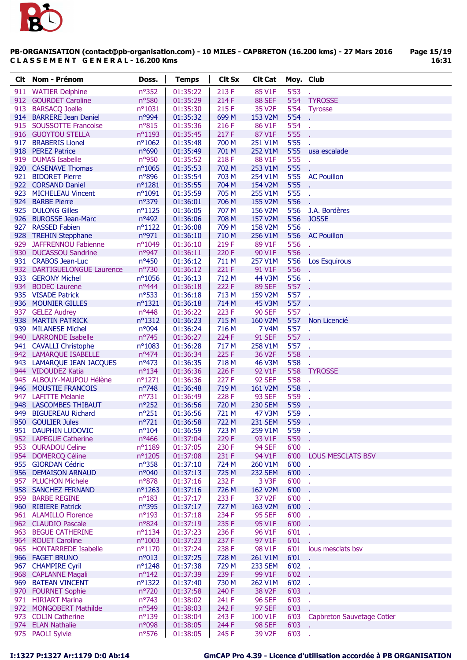

| Clt. | Nom - Prénom                                    | Doss.               | <b>Temps</b>         | <b>Clt Sx</b>  | <b>Clt Cat</b>            |              | Moy. Club                  |
|------|-------------------------------------------------|---------------------|----------------------|----------------|---------------------------|--------------|----------------------------|
| 911  | <b>WATIER Delphine</b>                          | nº352               | 01:35:22             | 213 F          | 85 V1F                    | 5'53         |                            |
|      | 912 GOURDET Caroline                            | nº580               | 01:35:29             | 214 F          | 88 SEF                    | 5'54         | <b>TYROSSE</b>             |
| 913  | <b>BARSACQ Joelle</b>                           | $n^o$ 1031          | 01:35:30             | 215F           | 35 V <sub>2F</sub>        | 5'54         | <b>Tyrosse</b>             |
|      | 914 BARRERE Jean Daniel                         | nº994               | 01:35:32             | 699 M          | 153 V2M                   | 5'54         |                            |
|      | 915 SOUSSOTTE Francoise                         | n°815               | 01:35:36             | 216 F          | 86 V1F                    | 5'54         | ÷.                         |
|      | 916 GUOYTOU STELLA                              | nº1193              | 01:35:45             | 217 F          | 87 V1F                    | 5'55         | ÷.                         |
|      | 917 BRABERIS Lionel                             | $n^{\circ}1062$     | 01:35:48             | 700 M          | 251 V1M                   | 5'55         |                            |
|      | 918 PEREZ Patrice                               | nº690               | 01:35:49             | 701 M          | 252 V1M                   | 5'55         | usa escalade               |
|      | 919 DUMAS Isabelle                              | nº950               | 01:35:52             | 218 F          | 88 V1F                    | 5'55         | ÷.                         |
|      | 920 CASENAVE Thomas                             | nº1065              | 01:35:53             | 702 M          | 253 V1M                   | 5'55         |                            |
|      | 921 BIDORET Pierre                              | nº896               | 01:35:54             | 703 M          | 254 V1M                   | 5'55         | <b>AC Pouillon</b>         |
|      | 922 CORSAND Daniel                              | $n^o$ 1281          | 01:35:55             | 704 M          | 154 V2M                   | 5'55         |                            |
|      | 923 MICHELEAU Vincent                           | nº1091              | 01:35:59             | 705 M          | 255 V1M                   | 5'55<br>5'56 | $\mathcal{A}$              |
|      | 924 BARBE Pierre<br>925 DULONG Gilles           | $n^{\circ}379$      | 01:36:01             | 706 M<br>707 M | 155 V2M<br>156 V2M        | 5'56         | J.A. Bordères              |
|      | 926 BUROSSE Jean-Marc                           | $n^o$ 1125<br>nº492 | 01:36:05<br>01:36:06 | 708 M          | 157 V2M                   | 5'56         | <b>JOSSE</b>               |
|      | 927 RASSED Fabien                               | $n^o$ 1122          | 01:36:08             | 709 M          | 158 V2M                   | 5'56         |                            |
|      | 928 TREHIN Stepphane                            | n°971               | 01:36:10             | 710 M          | 256 V1M                   | 5'56         | <b>AC Pouillon</b>         |
|      | 929 JAFFRENNOU Fabienne                         | nº1049              | 01:36:10             | 219F           | 89 V1F                    | 5'56         | $\mathcal{L}$              |
|      | 930 DUCASSOU Sandrine                           | n°947               | 01:36:11             | 220 F          | 90 V1F                    | 5'56         |                            |
|      | 931 CRABOS Jean-Luc                             | nº450               | 01:36:12             | 711 M          | 257 V1M                   | 5'56         | <b>Los Esquirous</b>       |
|      | 932 DARTIGUELONGUE Laurence                     | n°730               | 01:36:12             | 221 F          | 91 V1F                    | 5'56         |                            |
| 933  | <b>GERONY Michel</b>                            | nº1056              | 01:36:13             | 712 M          | 44 V3M                    | 5'56         | $\mathcal{A}$              |
|      | 934 BODEC Laurene                               | $n^o444$            | 01:36:18             | 222 F          | <b>89 SEF</b>             | 5'57         | $\sim$                     |
|      | 935 VISADE Patrick                              | nº533               | 01:36:18             | 713 M          | 159 V2M                   | 5'57         | ÷.                         |
|      | 936 MOUNIER GILLES                              | $n^o$ 1321          | 01:36:18             | 714 M          | <b>45 V3M</b>             | 5'57         |                            |
|      | 937 GELEZ Audrey                                | nº448               | 01:36:22             | 223 F          | <b>90 SEF</b>             | 5'57         |                            |
|      | 938 MARTIN PATRICK                              | $n^o$ 1312          | 01:36:23             | 715 M          | 160 V2M                   | 5'57         | Non Licencié               |
|      | 939 MILANESE Michel                             | n°094               | 01:36:24             | 716 M          | 7 V <sub>4</sub> M        | 5'57         |                            |
|      | 940 LARRONDE Isabelle                           | $n^{\circ}745$      | 01:36:27             | 224 F          | <b>91 SEF</b>             | 5'57         |                            |
|      | 941 CAVALLI Christophe                          | nº1083              | 01:36:28             | 717 M          | 258 V1M                   | 5'57         | $\mathcal{A}$              |
|      | 942 LAMARQUE ISABELLE                           | $n^o474$            | 01:36:34             | 225 F          | 36 V2F                    | 5'58         |                            |
| 943  | LAMARQUE JEAN JACQUES                           | nº473               | 01:36:35             | 718 M          | 46 V3M                    | 5'58         |                            |
|      | 944 VIDOUDEZ Katia                              | $n^o$ 134           | 01:36:36             | 226 F          | 92 V1F                    | 5'58         | <b>TYROSSE</b>             |
|      | 945 ALBOUY-MAUPOU Hélène                        | nº1271              | 01:36:36             | 227 F          | <b>92 SEF</b>             | 5'58         | $\mathcal{L}$              |
|      | 946 MOUSTIE FRANCOIS                            | nº748               | 01:36:48             | 719 M          | 161 V2M                   | 5'58         | ÷.                         |
|      | 947 LAFITTE Melanie                             | $n^o$ 731           | 01:36:49             | 228 F          | <b>93 SEF</b>             | 5'59         | ÷.                         |
|      | 948 LASCOMBES THIBAUT                           | $n^{\circ}252$      | 01:36:56             | 720 M          | <b>230 SEM</b>            | 5'59         |                            |
| 949  | <b>BIGUEREAU Richard</b>                        | $n^o$ 251           | 01:36:56             | 721 M          | <b>47 V3M</b>             | 5'59         |                            |
|      | 950 GOULIER Jules                               | $n^{\circ}$ 721     | 01:36:58             | 722 M          | <b>231 SEM</b><br>259 V1M | 5'59         |                            |
| 951  | <b>DAUPHIN LUDOVIC</b><br>952 LAPEGUE Catherine | $n^o104$<br>nº466   | 01:36:59<br>01:37:04 | 723 M<br>229 F | 93 V1F                    | 5'59<br>5'59 | ÷.                         |
| 953  | <b>OURADOU Celine</b>                           | nº1189              | 01:37:05             | 230 F          | 94 SEF                    | 6'00         |                            |
|      | 954 DOMERCQ Céline                              | nº1205              | 01:37:08             | 231 F          | 94 V1F                    | 6'00         | <b>LOUS MESCLATS BSV</b>   |
|      | 955 GIORDAN Cédric                              | $n^{\circ}358$      | 01:37:10             | 724 M          | 260 V1M                   | 6'00         | $\sim$                     |
|      | 956 DEMAISON ARNAUD                             | n°040               | 01:37:13             | 725 M          | <b>232 SEM</b>            | 6'00         | $\sim$                     |
|      | 957 PLUCHON Michele                             | n°878               | 01:37:16             | 232 F          | 3 V3F                     | 6'00         | $\sim$                     |
|      | 958 SANCHEZ FERNAND                             | nº1263              | 01:37:16             | 726 M          | 162 V2M                   | 6'00         | ۰.                         |
|      | 959 BARBE REGINE                                | $n^o$ 183           | 01:37:17             | 233 F          | 37 V2F                    | 6'00         | ÷.                         |
|      | 960 RIBIERE Patrick                             | n°395               | 01:37:17             | 727 M          | 163 V2M                   | 6'00         |                            |
|      | 961 ALAMILLO Florence                           | $n^o$ 193           | 01:37:18             | 234 F          | <b>95 SEF</b>             | 6'00         | ÷.                         |
|      | 962 CLAUDIO Pascale                             | $n^{\circ}824$      | 01:37:19             | 235 F          | 95 V1F                    | 6'00         |                            |
|      | 963 BEGUE CATHERINE                             | $n^o$ 1134          | 01:37:23             | 236 F          | 96 V1F                    | 6'01         | ο.                         |
|      | 964 ROUET Caroline                              | $n^{\circ}1003$     | 01:37:23             | 237 F          | 97 V1F                    | 6'01         |                            |
|      | 965 HONTARREDE Isabelle                         | $n^o$ 1170          | 01:37:24             | 238 F          | 98 V1F                    | 6'01         | lous mesclats bsv          |
|      | 966 FAGET BRUNO                                 | $n^{\circ}013$      | 01:37:25             | 728 M          | 261 V1M                   | 6'01         | $\sim$                     |
| 967  | <b>CHAMPIRE Cyril</b>                           | nº1248              | 01:37:38             | 729 M          | <b>233 SEM</b>            | 6'02         | $\sim$                     |
|      | 968 CAPLANNE Magali                             | $n^{\circ}142$      | 01:37:39             | 239 F          | 99 V1F                    | 6'02         | ÷.                         |
|      | 969 BATEAN VINCENT                              | nº1322              | 01:37:40             | 730 M          | 262 V1M                   | 6'02         | $\sim$                     |
|      | 970 FOURNET Sophie                              | n°720               | 01:37:58             | 240 F          | 38 V <sub>2F</sub>        | 6'03         | ÷.                         |
|      | 971 HIRIART Marina                              | nº743               | 01:38:02             | 241 F          | <b>96 SEF</b>             | 6'03         | ÷.                         |
|      | 972 MONGOBERT Mathilde                          | nº549               | 01:38:03             | 242 F          | <b>97 SEF</b>             | 6'03         |                            |
|      | 973 COLIN Catherine<br>974 ELAN Nathalie        | n°139<br>n°098      | 01:38:04<br>01:38:05 | 243 F<br>244 F | 100 V1F                   | 6'03<br>6'03 | Capbreton Sauvetage Cotier |
|      | 975 PAOLI Sylvie                                | nº576               | 01:38:05             | 245 F          | <b>98 SEF</b><br>39 V2F   | 6'03         |                            |
|      |                                                 |                     |                      |                |                           |              | $\mathcal{A}$              |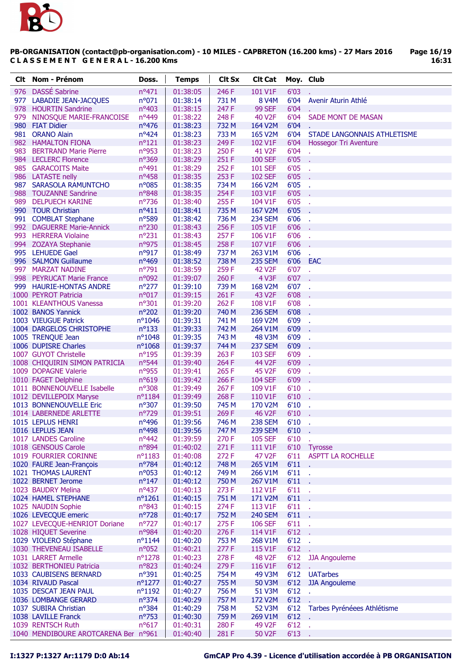

| <b>Clt</b> | Nom - Prénom                                    | Doss.                        | <b>Temps</b>         | <b>Clt Sx</b>  | <b>Clt Cat</b>                  | Moy. Club        |                              |
|------------|-------------------------------------------------|------------------------------|----------------------|----------------|---------------------------------|------------------|------------------------------|
| 976        | <b>DASSÉ Sabrine</b>                            | nº471                        | 01:38:05             | 246 F          | 101 V1F                         | 6'03             |                              |
| 977        | <b>LABADIE JEAN-JACQUES</b>                     | n°071                        | 01:38:14             | 731 M          | <b>8 V4M</b>                    | 6'04             | Avenir Aturin Athlé          |
|            | 978 HOURTIN Sandrine                            | nº403                        | 01:38:15             | 247 F          | <b>99 SEF</b>                   | 6'04             |                              |
|            | 979 NINOSQUE MARIE-FRANCOISE                    | nº449                        | 01:38:22             | 248 F          | 40 V2F                          | 6'04             | SADE MONT DE MASAN           |
|            | 980 FIAT Didier                                 | nº476                        | 01:38:23             | 732 M          | 164 V2M                         | 6'04             |                              |
|            | 981 ORANO Alain                                 | nº424                        | 01:38:23             | 733 M          | 165 V2M                         | 6'04             | STADE LANGONNAIS ATHLETISME  |
|            | 982 HAMALTON FIONA                              | $n^o$ 121                    | 01:38:23             | 249 F          | 102 V1F                         | 6'04             | <b>Hossegor Tri Aventure</b> |
|            | 983 BERTRAND Marie Pierre                       | nº953                        | 01:38:23             | 250 F          | 41 V <sub>2F</sub>              | 6'04             | $\mathbf{r}$                 |
|            | 984 LECLERC Florence                            | n°369                        | 01:38:29             | 251 F          | <b>100 SEF</b>                  | 6'05             | ÷.                           |
|            | 985 GARACOITS Maite                             | $n^o491$                     | 01:38:29             | 252 F          | <b>101 SEF</b>                  | 6'05             | $\mathcal{A}$                |
|            | 986 LATASTE nelly                               | $n^o$ 458                    | 01:38:35             | 253 F          | <b>102 SEF</b>                  | 6'05             | - 1                          |
|            | 987 SARASOLA RAMUNTCHO                          | n°085                        | 01:38:35             | 734 M          | 166 V2M                         | 6'05             | $\sim$                       |
|            | 988 TOUZANNE Sandrine                           | nº848                        | 01:38:35             | 254 F          | 103 V1F                         | 6'05             | - 1                          |
|            | 989 DELPUECH KARINE                             | nº736                        | 01:38:40             | 255 F          | 104 V1F                         | 6'05             | ÷.                           |
|            | 990 TOUR Christian                              | $n^o411$                     | 01:38:41             | 735 M          | 167 V2M                         | 6'05             | $\mathbb{R}^2$               |
|            | 991 COMBLAT Stephane                            | nº589                        | 01:38:42             | 736 M          | <b>234 SEM</b>                  | 6'06             | $\sim$                       |
|            | 992 DAGUERRE Marie-Annick                       | nº230                        | 01:38:43             | 256 F          | 105 V1F                         | 6'06             | ÷.                           |
|            | 993 HERRERA Violaine                            | $n^{\circ}231$               | 01:38:43             | 257F           | 106 V1F                         | 6'06             | У.                           |
|            | 994 ZOZAYA Stephanie                            | nº975                        | 01:38:45             | 258 F          | 107 V1F                         | 6'06             | ÷.                           |
|            | 995 LEHUEDE Gael                                | n°917                        | 01:38:49             | 737 M          | 263 V1M                         | 6'06<br>6'06 EAC | ÷.                           |
|            | 996 SALMON Guillaume<br>997 MARZAT NADINE       | nº469<br>nº791               | 01:38:52<br>01:38:59 | 738 M<br>259F  | <b>235 SEM</b><br><b>42 V2F</b> | 6'07             |                              |
|            | 998 PEYRUCAT Marie France                       | n°092                        | 01:39:07             | 260 F          | 4 V3F                           | 6'07             | $\bar{\alpha}$<br>- 1        |
|            | 999 HAURIE-HONTAS ANDRE                         | $n^{\circ}277$               | 01:39:10             | 739 M          | 168 V2M                         | 6'07             | $\mathbb{Z}_2$               |
|            | 1000 PEYROT Patricia                            | n°017                        | 01:39:15             | 261 F          | 43 V2F                          | 6'08             | ÷.                           |
|            | 1001 KLEANTHOUS Vanessa                         | n°301                        | 01:39:20             | 262 F          | 108 V1F                         | 6'08             | ÷.                           |
|            | 1002 BANOS Yannick                              | nº202                        | 01:39:20             | 740 M          | <b>236 SEM</b>                  | 6'08             | - 1                          |
|            | 1003 VIEUGUE Patrick                            | nº1046                       | 01:39:31             | 741 M          | 169 V2M                         | 6'09             | $\mathcal{L}_{\mathbf{r}}$   |
|            | 1004 DARGELOS CHRISTOPHE                        | $n^o$ 133                    | 01:39:33             | 742 M          | 264 V1M                         | 6'09             | ÷.                           |
|            | 1005 TRENQUE Jean                               | $n^{\circ}1048$              | 01:39:35             | 743 M          | 48 V3M                          | 6'09             | $\mathcal{A}$                |
|            | 1006 DUPISRE Charles                            | nº1068                       | 01:39:37             | 744 M          | <b>237 SEM</b>                  | 6'09             |                              |
|            | 1007 GUYOT Christelle                           | $n^o$ 195                    | 01:39:39             | 263 F          | <b>103 SEF</b>                  | 6'09             | $\mathcal{A}$                |
|            | 1008 CHIQUIRIN SIMON PATRICIA                   | nº544                        | 01:39:40             | 264 F          | 44 V2F                          | 6'09             |                              |
|            | 1009 DOPAGNE Valerie                            | nº955                        | 01:39:41             | 265F           | <b>45 V2F</b>                   | 6'09             | ÷.                           |
|            | 1010 FAGET Delphine                             | $n^o619$                     | 01:39:42             | 266 F          | <b>104 SEF</b>                  | 6'09             | ÷.                           |
|            | 1011 BONNENOUVELLE Isabelle                     | $n^{\circ}308$               | 01:39:49             | 267 F          | 109 V1F                         | 6'10             | ÷.                           |
|            | 1012 DEVILLEPOIX Maryse                         | $n^o$ 1184                   | 01:39:49             | 268F           | 110 V1F                         | 6'10             | У.                           |
|            | 1013 BONNENOUVELLE Eric                         | $n^o$ 307                    | 01:39:50             | 745 M          | 170 V2M                         | 6'10             | $\mathcal{L}_{\mathcal{A}}$  |
|            | 1014 LABERNEDE ARLETTE                          | n°729                        | 01:39:51             | 269 F          | 46 V2F                          | 6'10             | ÷.                           |
|            | 1015 LEPLUS HENRI                               | nº496                        | 01:39:56             | 746 M          | <b>238 SEM</b>                  | 6'10             | $\mathcal{A}$                |
|            | 1016 LEPLUS JEAN                                | $n^o$ 498                    | 01:39:56             | 747 M          | 239 SEM                         | 6'10             |                              |
|            | 1017 LANDES Caroline                            | nº442                        | 01:39:59             | 270 F          | <b>105 SEF</b>                  | 6'10             |                              |
|            | 1018 GENSOUS Carole                             | nº894                        | 01:40:02             | 271 F          | 111 V1F                         | 6'10             | <b>Tyrosse</b>               |
|            | 1019 FOURRIER CORINNE                           | $n^o$ 1183<br>$n^{\circ}784$ | 01:40:08             | 272 F          | 47 V2F                          | 6'11             | <b>ASPTT LA ROCHELLE</b>     |
|            | 1020 FAURE Jean-François<br>1021 THOMAS LAURENT | $n^{\circ}053$               | 01:40:12<br>01:40:12 | 748 M<br>749 M | 265 V1M<br>266 V1M              | 6'11<br>$6'11$ . | $\sim$                       |
|            | 1022 BERNET Jerome                              | $n^{\circ}$ 147              | 01:40:12             | 750 M          | 267 V1M                         | 6'11             |                              |
|            | 1023 BAUDRY Melina                              | $n^o437$                     | 01:40:13             | 273 F          | 112 V1F                         | 6'11             | $\sim$<br>$\sim$             |
|            | 1024 HAMEL STEPHANE                             | $n^o$ 1261                   | 01:40:15             | 751 M          | 171 V2M                         | 6'11             | - 1                          |
|            | 1025 NAUDIN Sophie                              | $n^o843$                     | 01:40:15             | 274 F          | 113 V1F                         | 6'11             | ÷.                           |
|            | 1026 LEVECQUE emeric                            | $n^{\circ}$ 728              | 01:40:17             | 752 M          | <b>240 SEM</b>                  | 6'11             | - 1                          |
|            | 1027 LEVECQUE-HENRIOT Doriane                   | $n^{\circ}$ 727              | 01:40:17             | 275F           | <b>106 SEF</b>                  | 6'11             | $\sim$                       |
|            | 1028 HIQUET Severine                            | nº984                        | 01:40:20             | 276 F          | 114 V1F                         | 6'12             | - 1                          |
|            | 1029 VIOLERO Stéphane                           | nº1144                       | 01:40:20             | 753 M          | 268 V1M                         | 6'12             | $\sim$                       |
|            | 1030 THEVENEAU ISABELLE                         | $n^{\circ}052$               | 01:40:21             | 277F           | 115 V1F                         | 6'12             |                              |
|            | 1031 LARRET Armelle                             | nº1278                       | 01:40:23             | 278 F          | <b>48 V2F</b>                   | 6'12             | <b>JJA Angouleme</b>         |
|            | 1032 BERTHONIEU Patricia                        | nº823                        | 01:40:24             | 279F           | 116 V1F                         | 6'12             |                              |
|            | 1033 CAUBISENS BERNARD                          | n°391                        | 01:40:25             | 754 M          | <b>49 V3M</b>                   | 6'12             | <b>UATarbes</b>              |
|            | 1034 RIVAUD Pascal                              | nº1277                       | 01:40:27             | 755 M          | 50 V3M                          | 6'12             | <b>JJA Angouleme</b>         |
|            | 1035 DESCAT JEAN PAUL                           | nº1192                       | 01:40:27             | 756 M          | 51 V3M                          | 6'12             | $\mathcal{A}$                |
|            | 1036 LOMBANGE GERARD                            | $n^{\circ}374$               | 01:40:29             | 757 M          | 172 V2M                         | 6'12             |                              |
|            | 1037 SUBIRA Christian                           | $n^o$ 384                    | 01:40:29             | 758 M          | 52 V3M                          | 6'12             | Tarbes Pyrénéees Athlétisme  |
|            | 1038 LAVILLE Franck                             | nº753                        | 01:40:30             | 759 M          | 269 V1M                         | 6'12             |                              |
|            | 1039 RENTSCH Ruth                               | $n^o617$                     | 01:40:31             | 280 F          | 49 V <sub>2F</sub>              | 6'12             | $\sim$                       |
|            | 1040 MENDIBOURE AROTCARENA Ber nº961            |                              | 01:40:40             | 281 F          | 50 V2F                          | $6'13$ .         |                              |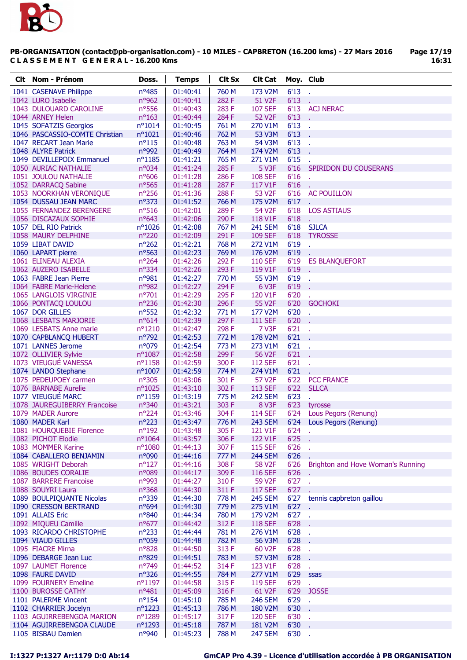

| Clt. | Nom - Prénom                                 | Doss.               | <b>Temps</b>         | <b>Clt Sx</b>  | <b>Clt Cat</b>            | Moy. Club    |                                     |
|------|----------------------------------------------|---------------------|----------------------|----------------|---------------------------|--------------|-------------------------------------|
|      | 1041 CASENAVE Philippe                       | nº485               | 01:40:41             | 760 M          | 173 V2M                   | 6'13         | $\mathbf{r}$                        |
|      | 1042 LURO Isabelle                           | nº962               | 01:40:41             | 282 F          | 51 V2F                    | 6'13         |                                     |
|      | 1043 DULOUARD CAROLINE                       | $n^o$ 556           | 01:40:43             | 283 F          | <b>107 SEF</b>            | 6'13         | <b>ACJ NERAC</b>                    |
|      | 1044 ARNEY Helen                             | $n^o$ 163           | 01:40:44             | 284 F          | 52 V2F                    | 6'13         |                                     |
|      | 1045 SOFATZIS Georgios                       | $n^o$ 1014          | 01:40:45             | 761 M          | 270 V1M                   | 6'13         | ÷.                                  |
|      | 1046 PASCASSIO-COMTE Christian               | $n^{\circ}1021$     | 01:40:46             | 762 M          | 53 V3M                    | 6'13         |                                     |
|      | 1047 RECART Jean Marie                       | $n^o$ 115           | 01:40:48             | 763 M          | 54 V3M                    | 6'13         | ÷.                                  |
|      | 1048 ALYRE Patrick                           | n°992               | 01:40:49             | 764 M          | 174 V2M                   | 6'13         |                                     |
|      | 1049 DEVILLEPOIX Emmanuel                    | $n^o$ 1185          | 01:41:21             | 765 M          | 271 V1M                   | 6'15         |                                     |
|      | 1050 AURIAC NATHALIE<br>1051 JOULOU NATHALIE | n°034               | 01:41:24             | 285F<br>286 F  | 5 V3F<br><b>108 SEF</b>   | 6'16<br>6'16 | SPIRIDON DU COUSERANS               |
|      | 1052 DARRACQ Sabine                          | nº606<br>nº565      | 01:41:28<br>01:41:28 | 287 F          | 117 V1F                   | 6'16         | $\mathcal{L}$                       |
|      | 1053 NOORKHAN VERONIQUE                      | n°256               | 01:41:36             | 288 F          | 53 V <sub>2F</sub>        | 6'16         | $\mathcal{A}$<br><b>AC POUILLON</b> |
|      | 1054 DUSSAU JEAN MARC                        | n°373               | 01:41:52             | 766 M          | 175 V2M                   | 6'17         |                                     |
|      | 1055 FERNANDEZ BERENGERE                     | $n^o$ 516           | 01:42:01             | 289 F          | 54 V2F                    | 6'18         | <b>LOS ASTIAUS</b>                  |
|      | 1056 DISCAZAUX SOPHIE                        | $n^o643$            | 01:42:06             | 290 F          | 118 V1F                   | 6'18         |                                     |
|      | 1057 DEL RIO Patrick                         | $n^{\circ}1026$     | 01:42:08             | 767 M          | <b>241 SEM</b>            | 6'18         | <b>SJLCA</b>                        |
|      | 1058 MAURY DELPHINE                          | n°220               | 01:42:09             | 291 F          | <b>109 SEF</b>            | 6'18         | <b>TYROSSE</b>                      |
|      | 1059 LIBAT DAVID                             | $n^{\circ}262$      | 01:42:21             | 768 M          | 272 V1M                   | 6'19         |                                     |
|      | 1060 LAPART pierre                           | nº563               | 01:42:23             | 769 M          | 176 V2M                   | 6'19         |                                     |
|      | 1061 ELINEAU ALEXIA                          | nº264               | 01:42:26             | 292 F          | <b>110 SEF</b>            | 6'19         | <b>ES BLANQUEFORT</b>               |
|      | 1062 AUZERO ISABELLE                         | nº334               | 01:42:26             | 293 F          | 119 V1F                   | 6'19         | ÷.                                  |
|      | 1063 FABRE Jean Pierre                       | nº981               | 01:42:27             | 770 M          | 55 V3M                    | 6'19         | $\mathcal{A}$                       |
|      | 1064 FABRE Marie-Helene                      | nº982               | 01:42:27             | 294 F          | 6 V3F                     | 6'19         |                                     |
|      | 1065 LANGLOIS VIRGINIE                       | n°701               | 01:42:29             | 295F           | 120 V1F                   | 6'20         |                                     |
|      | 1066 PONTACQ LOULOU                          | nº236               | 01:42:30             | 296 F          | 55 V2F                    | 6'20         | <b>GOCHOKI</b>                      |
|      | 1067 DOR GILLES<br>1068 LESBATS MARJORIE     | nº552<br>$n^o614$   | 01:42:32<br>01:42:39 | 771 M<br>297 F | 177 V2M<br><b>111 SEF</b> | 6'20<br>6'20 | ÷.                                  |
|      | 1069 LESBATS Anne marie                      | nº1210              | 01:42:47             | 298 F          | 7 V3F                     | 6'21         | $\mathcal{A}$                       |
|      | 1070 CAPBLANCQ HUBERT                        | n°792               | 01:42:53             | 772 M          | 178 V2M                   | 6'21         | ÷.                                  |
|      | 1071 LANNES Jerome                           | n°079               | 01:42:54             | 773 M          | 273 V1M                   | 6'21         | $\mathcal{L}_{\mathbf{r}}$          |
|      | 1072 OLLIVIER Sylvie                         | $n^{\circ}1087$     | 01:42:58             | 299 F          | 56 V <sub>2F</sub>        | 6'21         | ÷.                                  |
|      | 1073 VIEUGUÉ VANESSA                         | $n^o$ 1158          | 01:42:59             | 300 F          | <b>112 SEF</b>            | 6'21         | ÷.                                  |
|      | 1074 LANDO Stephane                          | nº1007              | 01:42:59             | 774 M          | 274 V1M                   | 6'21         |                                     |
|      | 1075 PEDEUPOEY carmen                        | n°305               | 01:43:06             | 301 F          | 57 V2F                    | 6'22         | <b>PCC FRANCE</b>                   |
|      | 1076 BARNABE Aurelie                         | $n^{\circ}1025$     | 01:43:10             | 302 F          | <b>113 SEF</b>            | 6'22         | <b>SLLCA</b>                        |
|      | 1077 VIEUGUÉ MARC                            | nº1159              | 01:43:19             | 775 M          | <b>242 SEM</b>            | 6'23         | ä,                                  |
|      | 1078 JAUREGUIBERRY Francoise                 | nº340               | 01:43:21             | 303 F          | 8 V3F                     | 6'23         | tyrosse                             |
|      | 1079 MADER Aurore                            | $n^{\circ}224$      | 01:43:46             | 304 F          | <b>114 SEF</b>            | 6'24         | Lous Pegors (Renung)                |
|      | 1080 MADER Karl<br>1081 HOURQUEBIE Florence  | $n^{\circ}223$      | 01:43:47             | 776 M          | <b>243 SEM</b>            | 6'24         | Lous Pegors (Renung)                |
|      | 1082 PICHOT Elodie                           | $n^o$ 192<br>nº1064 | 01:43:48<br>01:43:57 | 305 F<br>306 F | 121 V1F<br>122 V1F        | 6'24<br>6'25 | $\sim$                              |
|      | 1083 MOMMER Karine                           | nº1080              | 01:44:13             | 307 F          | <b>115 SEF</b>            | 6'26         | ÷.<br>÷.                            |
|      | 1084 CABALLERO BENJAMIN                      | n°090               | 01:44:16             | 777 M          | <b>244 SEM</b>            | 6'26         |                                     |
|      | 1085 WRIGHT Deborah                          | $n^o$ 127           | 01:44:16             | 308 F          | <b>58 V2F</b>             | 6'26         | Brighton and Hove Woman's Running   |
|      | 1086 BOUDES CORALIE                          | n°089               | 01:44:17             | 309 F          | <b>116 SEF</b>            | 6'26         |                                     |
|      | 1087 BARRERE Francoise                       | nº993               | 01:44:27             | 310 F          | 59 V2F                    | 6'27         | $\mathcal{A}$                       |
|      | 1088 SOUYRI Laura                            | $n^o$ 368           | 01:44:30             | 311 F          | <b>117 SEF</b>            | 6'27         |                                     |
|      | 1089 BOULPIQUANTE Nicolas                    | n°339               | 01:44:30             | 778 M          | <b>245 SEM</b>            | 6'27         | tennis capbreton gaillou            |
|      | 1090 CRESSON BERTRAND                        | $n^o$ 694           | 01:44:30             | 779 M          | 275 V1M                   | 6'27         |                                     |
|      | 1091 ALLAIS Eric                             | nº840               | 01:44:34             | 780 M          | 179 V2M                   | 6'27         | ÷.                                  |
|      | 1092 MIQUEU Camille                          | $n^o$ 677           | 01:44:42             | 312 F          | <b>118 SEF</b>            | 6'28         | ÷.                                  |
|      | 1093 RICARDO CHRISTOPHE                      | $n^{\circ}233$      | 01:44:44             | 781 M          | 276 V1M                   | 6'28         | $\mathcal{L}_{\mathbf{r}}$          |
|      | 1094 VIAUD GILLES<br>1095 FIACRE Mirna       | n°059<br>n°828      | 01:44:48             | 782 M<br>313 F | 56 V3M<br>60 V2F          | 6'28<br>6'28 |                                     |
|      | 1096 DEBARGE Jean Luc                        | n°829               | 01:44:50<br>01:44:51 | 783 M          | 57 V3M                    | 6'28         | ÷.                                  |
|      | 1097 LAUMET Florence                         | nº749               | 01:44:52             | 314 F          | 123 V1F                   | 6'28         |                                     |
|      | 1098 FAURE DAVID                             | $n^{\circ}326$      | 01:44:55             | 784 M          | 277 V1M                   | 6'29         | ssas                                |
|      | 1099 FOURNERY Emeline                        | $n^{\circ}1197$     | 01:44:58             | 315F           | <b>119 SEF</b>            | 6'29         |                                     |
|      | 1100 BUROSSE CATHY                           | $n^o481$            | 01:45:09             | 316 F          | 61 V2F                    | 6'29         | <b>JOSSE</b>                        |
|      | 1101 PALERME Vincent                         | $n^{\circ}154$      | 01:45:10             | 785 M          | <b>246 SEM</b>            | 6'29         | $\mathbf{r}$                        |
|      | 1102 CHARRIER Jocelyn                        | nº1223              | 01:45:13             | 786 M          | 180 V2M                   | 6'30         | ÷.                                  |
|      | 1103 AGUIRREBENGOA MARION                    | nº1289              | 01:45:17             | 317 F          | <b>120 SEF</b>            | 6'30         | $\mathcal{L}_{\mathbf{r}}$          |
|      | 1104 AGUIRREBENGOA CLAUDE                    | nº1293              | 01:45:18             | 787 M          | 181 V2M                   | 6'30         |                                     |
|      | 1105 BISBAU Damien                           | n°940               | 01:45:23             | 788 M          | <b>247 SEM</b>            | 6'30         |                                     |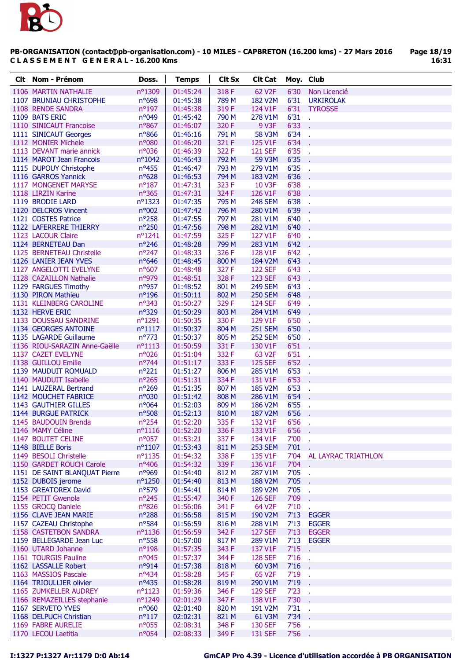

| nº1309<br>01:45:24<br>318 F<br>1106 MARTIN NATHALIE<br>62 V2F<br>6'30<br>Non Licencié<br>n°698<br>789 M<br>182 V2M<br>6'31<br><b>URKIROLAK</b><br>1107 BRUNIAU CHRISTOPHE<br>01:45:38<br>$n^o$ 197<br>319F<br>6'31<br>1108 RENDE SANDRA<br>01:45:38<br>124 V1F<br><b>TYROSSE</b><br>790 M<br>6'31<br>1109 BATS ERIC<br>n°049<br>01:45:42<br>278 V1M<br>×,<br>320 F<br>6'33<br>1110 SINICAUT Francoise<br>n°867<br>01:46:07<br>9 V3F<br><b>58 V3M</b><br>6'34<br>1111 SINICAUT Georges<br>nº866<br>791 M<br>01:46:16<br>$\mathcal{A}$<br>6'34<br>1112 MONIER Michele<br>n°080<br>321 F<br>125 V1F<br>01:46:20<br>÷.<br>322 F<br>6'35<br>1113 DEVANT marie annick<br>n°036<br>01:46:39<br>121 SEF<br>÷.<br>6'35<br>792 M<br>59 V3M<br>1114 MAROT Jean Francois<br>nº1042<br>01:46:43<br>÷.<br>6'35<br>1115 DUPOUY Christophe<br>$n^o$ 455<br>793 M<br>279 V1M<br>01:46:47<br>$\mathcal{L}$<br>6'36<br>1116 GARROS Yannick<br>$n^o628$<br>01:46:53<br>794 M<br>183 V2M<br>323 F<br>6'38<br>1117 MONGENET MARYSE<br>01:47:31<br><b>10 V3F</b><br>$n^{\circ}187$<br>$\mathcal{L}_{\mathbf{r}}$<br>6'38<br>324 F<br>$n^o$ 365<br>01:47:31<br>126 V1F<br>1118 LIRZIN Karine<br>1119 BRODIE LARD<br>795 M<br>6'38<br>nº1323<br>01:47:35<br><b>248 SEM</b><br>$\mathcal{A}$<br>6'39<br>1120 DELCROS Vincent<br>n°002<br>796 M<br>280 V1M<br>01:47:42<br>$n^o$ 258<br>6'40<br>1121 COSTES Patrice<br>797 M<br>281 V1M<br>01:47:55<br>÷.<br>n°250<br>798 M<br>6'40<br>282 V1M<br>1122 LAFERRERE THIERRY<br>01:47:56<br>nº1241<br>325 F<br>6'40<br>1123 LACOUR Claire<br>01:47:59<br>127 V1F<br>6'42<br>nº246<br>799 M<br>1124 BERNETEAU Dan<br>01:48:28<br>283 V1M<br>6'42<br>nº247<br>326 F<br>128 V1F<br>1125 BERNETEAU Christelle<br>01:48:33<br>÷.<br>6'43<br>1126 LANIER JEAN YVES<br>nº646<br>800 M<br>01:48:45<br>184 V2M<br>6'43<br>327 F<br>1127 ANGELOTTI EVELYNE<br>$n^o$ 607<br>01:48:48<br><b>122 SEF</b><br>÷.<br>n°979<br>328 F<br>6'43<br>1128 CAZAILLON Nathalie<br>01:48:51<br>123 SEF<br>1129 FARGUES Timothy<br>nº957<br>801 M<br>6'43<br>01:48:52<br><b>249 SEM</b><br>6'48<br>1130 PIRON Mathieu<br>$n^o$ 196<br>01:50:11<br>802 M<br><b>250 SEM</b><br>329 F<br>6'49<br>1131 KLEINBERG CAROLINE<br>nº343<br>01:50:27<br><b>124 SEF</b><br>n°329<br>1132 HERVE ERIC<br>01:50:29<br>803 M<br>6'49<br>284 V1M<br>6'50<br>nº1291<br>330 F<br>1133 DOUSSAU SANDRINE<br>01:50:35<br>129 V1F<br>÷.<br>$n^o$ 1117<br>804 M<br>6'50<br>1134 GEORGES ANTOINE<br>01:50:37<br><b>251 SEM</b><br>÷.<br>6'50<br>$n^{\circ}773$<br>805 M<br><b>252 SEM</b><br>1135 LAGARDE Guillaume<br>01:50:37<br>÷.<br>$n^o$ 1113<br>331 F<br>6'51<br>01:50:59<br>130 V1F<br>1136 RIOU-SARAZIN Anne-Gaëlle<br>÷.<br>6'51<br>n°026<br>332 F<br>1137 CAZET EVELYNE<br>01:51:04<br>63 V <sub>2F</sub><br>÷.<br>6'52<br>nº744<br>333 F<br><b>125 SEF</b><br>1138 GUILLOU Emilie<br>01:51:17<br>$n^{\circ}221$<br>806 M<br>6'53<br>1139 MAUDUIT ROMUALD<br>01:51:27<br>285 V1M<br>$\bar{a}$<br>6'53<br>n°265<br>01:51:31<br>334 F<br>131 V1F<br>1140 MAUDUIT Isabelle<br>÷.<br>6'53<br>1141 LAUZERAL Bertrand<br>n°269<br>807 M<br>185 V2M<br>01:51:35<br>$\mathcal{A}$<br>6'54<br>n°030<br>808 M<br>286 V1M<br>1142 MOUCHET FABRICE<br>01:51:42<br>÷.<br>$n^o$ 064<br>6'55<br>1143 GAUTHIER GILLES<br>01:52:03<br>809 M<br>186 V2M<br>$\mathcal{A}$<br>6'56<br>1144 BURGUE PATRICK<br>$n^o$ 508<br>01:52:13<br>810 M<br>187 V2M<br>÷.<br>nº254<br>01:52:20<br>335 F<br>6'56<br>1145 BAUDOUIN Brenda<br>132 V1F<br>1146 MAMY Céline<br>$n^o$ 1116<br>01:52:20<br>336 F<br>6'56<br>133 V1F<br>÷.<br>$n^{\circ}057$<br>01:53:21<br>337F<br>7'00<br>1147 BOUTET CELINE<br>134 V1F<br>7'01<br>1148 BIELLE Boris<br>$n^o$ 1107<br>01:53:43<br>811 M<br><b>253 SEM</b><br>AL LAYRAC TRIATHLON<br>1149 BESOLI Christelle<br>$n^o$ 1135<br>01:54:32<br>338 F<br>135 V1F<br>7'04<br>$n^o406$<br>339 F<br>7'04<br>1150 GARDET ROUCH Carole<br>01:54:32<br>136 V1F<br>÷.<br>nº969<br>812 M<br>7'05<br>1151 DE SAINT BLANQUAT Pierre<br>01:54:40<br>287 V1M<br>$\mathcal{A}$<br>7'05<br>1152 DUBOIS jerome<br>nº1250<br>01:54:40<br>813 M<br>188 V2M<br>÷.<br>1153 GREATOREX David<br>nº579<br>01:54:41<br>814 M<br>189 V2M<br>7'05<br>$\mathcal{A}$<br>1154 PETIT Gwenola<br>$n^{\circ}245$<br>01:55:47<br>340 F<br>7'09<br>126 SEF<br>nº826<br>341 F<br>7'10<br>1155 GROCQ Daniele<br>01:56:06<br>64 V2F<br>1156 CLAVE JEAN MARIE<br>n°288<br>01:56:58<br>815 M<br>190 V2M<br>7'13<br><b>EGGER</b><br>nº584<br>1157 CAZEAU Christophe<br>01:56:59<br>816 M<br>288 V1M<br>7'13<br><b>EGGER</b><br>7'13<br>1158 CASTETBON SANDRA<br>$n^o$ 1136<br>01:56:59<br>342 F<br><b>127 SEF</b><br><b>EGGER</b><br>1159 BELLEGARDE Jean Luc<br>$n^o$ 558<br>01:57:00<br>817 M<br>7'13<br>289 V1M<br><b>EGGER</b><br>343 F<br>137 V1F<br>7'15<br>1160 UTARD Johanne<br>$n^o$ 198<br>01:57:35<br>÷.<br>344 F<br>7'16<br>1161 TOURGIS Pauline<br>$n^{\circ}045$<br>01:57:37<br><b>128 SEF</b><br>$\mathcal{L}$<br>7'16<br>1162 LASSALLE Robert<br>n°914<br>01:57:38<br>818 M<br>60 V3M<br>÷.<br>7'19<br>1163 MASSIOS Pascale<br>$n^o434$<br>01:58:28<br>345 F<br>65 V <sub>2F</sub><br>$\mathcal{L}_{\mathbf{r}}$<br>1164 TRIOULLIER olivier<br>01:58:28<br>7'19<br>$n^o435$<br>819 M<br>290 V1M<br>÷.<br>7'23<br>1165 ZUMKELLER AUDREY<br>$n^o$ 1123<br>01:59:36<br>346 F<br><b>129 SEF</b><br>$\mathcal{A}$<br>7'30<br>nº1249<br>347 F<br>138 V1F<br>1166 REMAZEILLES stephanie<br>02:01:29<br>÷.<br>7'31<br>1167 SERVETO YVES<br>$n^{\circ}060$<br>02:01:40<br>820 M<br>191 V2M<br>÷.<br>7'34<br>1168 DELPUCH Christian<br>$n^{\circ}117$<br>02:02:31<br>821 M<br>61 V3M<br>1169 FABRE AURELIE<br>348 F<br>7'56<br>$n^{\circ}055$<br>02:08:31<br><b>130 SEF</b><br>÷.<br>7'56<br>1170 LECOU Laetitia<br>$n^{\circ}054$<br>02:08:33<br>349 F<br>131 SEF<br>У. | Clt. | Nom - Prénom | Doss. | <b>Temps</b> | <b>Clt Sx</b> | <b>Clt Cat</b> | Moy. Club |  |
|-------------------------------------------------------------------------------------------------------------------------------------------------------------------------------------------------------------------------------------------------------------------------------------------------------------------------------------------------------------------------------------------------------------------------------------------------------------------------------------------------------------------------------------------------------------------------------------------------------------------------------------------------------------------------------------------------------------------------------------------------------------------------------------------------------------------------------------------------------------------------------------------------------------------------------------------------------------------------------------------------------------------------------------------------------------------------------------------------------------------------------------------------------------------------------------------------------------------------------------------------------------------------------------------------------------------------------------------------------------------------------------------------------------------------------------------------------------------------------------------------------------------------------------------------------------------------------------------------------------------------------------------------------------------------------------------------------------------------------------------------------------------------------------------------------------------------------------------------------------------------------------------------------------------------------------------------------------------------------------------------------------------------------------------------------------------------------------------------------------------------------------------------------------------------------------------------------------------------------------------------------------------------------------------------------------------------------------------------------------------------------------------------------------------------------------------------------------------------------------------------------------------------------------------------------------------------------------------------------------------------------------------------------------------------------------------------------------------------------------------------------------------------------------------------------------------------------------------------------------------------------------------------------------------------------------------------------------------------------------------------------------------------------------------------------------------------------------------------------------------------------------------------------------------------------------------------------------------------------------------------------------------------------------------------------------------------------------------------------------------------------------------------------------------------------------------------------------------------------------------------------------------------------------------------------------------------------------------------------------------------------------------------------------------------------------------------------------------------------------------------------------------------------------------------------------------------------------------------------------------------------------------------------------------------------------------------------------------------------------------------------------------------------------------------------------------------------------------------------------------------------------------------------------------------------------------------------------------------------------------------------------------------------------------------------------------------------------------------------------------------------------------------------------------------------------------------------------------------------------------------------------------------------------------------------------------------------------------------------------------------------------------------------------------------------------------------------------------------------------------------------------------------------------------------------------------------------------------------------------------------------------------------------------------------------------------------------------------------------------------------------------------------------------------------------------------------------------------------------------------------------------------------------------------------------------------------------------------------------------------------------------------------------------------------------------------------------------------------------------------------------------------------------------------------------------------------------------------------------------------------------------------------------------------------------------------------------------------------------------------------------------------------------------------------------------------------------------------------------------------------------------------------------------------------------------------|------|--------------|-------|--------------|---------------|----------------|-----------|--|
|                                                                                                                                                                                                                                                                                                                                                                                                                                                                                                                                                                                                                                                                                                                                                                                                                                                                                                                                                                                                                                                                                                                                                                                                                                                                                                                                                                                                                                                                                                                                                                                                                                                                                                                                                                                                                                                                                                                                                                                                                                                                                                                                                                                                                                                                                                                                                                                                                                                                                                                                                                                                                                                                                                                                                                                                                                                                                                                                                                                                                                                                                                                                                                                                                                                                                                                                                                                                                                                                                                                                                                                                                                                                                                                                                                                                                                                                                                                                                                                                                                                                                                                                                                                                                                                                                                                                                                                                                                                                                                                                                                                                                                                                                                                                                                                                                                                                                                                                                                                                                                                                                                                                                                                                                                                                                                                                                                                                                                                                                                                                                                                                                                                                                                                                                                                                                   |      |              |       |              |               |                |           |  |
|                                                                                                                                                                                                                                                                                                                                                                                                                                                                                                                                                                                                                                                                                                                                                                                                                                                                                                                                                                                                                                                                                                                                                                                                                                                                                                                                                                                                                                                                                                                                                                                                                                                                                                                                                                                                                                                                                                                                                                                                                                                                                                                                                                                                                                                                                                                                                                                                                                                                                                                                                                                                                                                                                                                                                                                                                                                                                                                                                                                                                                                                                                                                                                                                                                                                                                                                                                                                                                                                                                                                                                                                                                                                                                                                                                                                                                                                                                                                                                                                                                                                                                                                                                                                                                                                                                                                                                                                                                                                                                                                                                                                                                                                                                                                                                                                                                                                                                                                                                                                                                                                                                                                                                                                                                                                                                                                                                                                                                                                                                                                                                                                                                                                                                                                                                                                                   |      |              |       |              |               |                |           |  |
|                                                                                                                                                                                                                                                                                                                                                                                                                                                                                                                                                                                                                                                                                                                                                                                                                                                                                                                                                                                                                                                                                                                                                                                                                                                                                                                                                                                                                                                                                                                                                                                                                                                                                                                                                                                                                                                                                                                                                                                                                                                                                                                                                                                                                                                                                                                                                                                                                                                                                                                                                                                                                                                                                                                                                                                                                                                                                                                                                                                                                                                                                                                                                                                                                                                                                                                                                                                                                                                                                                                                                                                                                                                                                                                                                                                                                                                                                                                                                                                                                                                                                                                                                                                                                                                                                                                                                                                                                                                                                                                                                                                                                                                                                                                                                                                                                                                                                                                                                                                                                                                                                                                                                                                                                                                                                                                                                                                                                                                                                                                                                                                                                                                                                                                                                                                                                   |      |              |       |              |               |                |           |  |
|                                                                                                                                                                                                                                                                                                                                                                                                                                                                                                                                                                                                                                                                                                                                                                                                                                                                                                                                                                                                                                                                                                                                                                                                                                                                                                                                                                                                                                                                                                                                                                                                                                                                                                                                                                                                                                                                                                                                                                                                                                                                                                                                                                                                                                                                                                                                                                                                                                                                                                                                                                                                                                                                                                                                                                                                                                                                                                                                                                                                                                                                                                                                                                                                                                                                                                                                                                                                                                                                                                                                                                                                                                                                                                                                                                                                                                                                                                                                                                                                                                                                                                                                                                                                                                                                                                                                                                                                                                                                                                                                                                                                                                                                                                                                                                                                                                                                                                                                                                                                                                                                                                                                                                                                                                                                                                                                                                                                                                                                                                                                                                                                                                                                                                                                                                                                                   |      |              |       |              |               |                |           |  |
|                                                                                                                                                                                                                                                                                                                                                                                                                                                                                                                                                                                                                                                                                                                                                                                                                                                                                                                                                                                                                                                                                                                                                                                                                                                                                                                                                                                                                                                                                                                                                                                                                                                                                                                                                                                                                                                                                                                                                                                                                                                                                                                                                                                                                                                                                                                                                                                                                                                                                                                                                                                                                                                                                                                                                                                                                                                                                                                                                                                                                                                                                                                                                                                                                                                                                                                                                                                                                                                                                                                                                                                                                                                                                                                                                                                                                                                                                                                                                                                                                                                                                                                                                                                                                                                                                                                                                                                                                                                                                                                                                                                                                                                                                                                                                                                                                                                                                                                                                                                                                                                                                                                                                                                                                                                                                                                                                                                                                                                                                                                                                                                                                                                                                                                                                                                                                   |      |              |       |              |               |                |           |  |
|                                                                                                                                                                                                                                                                                                                                                                                                                                                                                                                                                                                                                                                                                                                                                                                                                                                                                                                                                                                                                                                                                                                                                                                                                                                                                                                                                                                                                                                                                                                                                                                                                                                                                                                                                                                                                                                                                                                                                                                                                                                                                                                                                                                                                                                                                                                                                                                                                                                                                                                                                                                                                                                                                                                                                                                                                                                                                                                                                                                                                                                                                                                                                                                                                                                                                                                                                                                                                                                                                                                                                                                                                                                                                                                                                                                                                                                                                                                                                                                                                                                                                                                                                                                                                                                                                                                                                                                                                                                                                                                                                                                                                                                                                                                                                                                                                                                                                                                                                                                                                                                                                                                                                                                                                                                                                                                                                                                                                                                                                                                                                                                                                                                                                                                                                                                                                   |      |              |       |              |               |                |           |  |
|                                                                                                                                                                                                                                                                                                                                                                                                                                                                                                                                                                                                                                                                                                                                                                                                                                                                                                                                                                                                                                                                                                                                                                                                                                                                                                                                                                                                                                                                                                                                                                                                                                                                                                                                                                                                                                                                                                                                                                                                                                                                                                                                                                                                                                                                                                                                                                                                                                                                                                                                                                                                                                                                                                                                                                                                                                                                                                                                                                                                                                                                                                                                                                                                                                                                                                                                                                                                                                                                                                                                                                                                                                                                                                                                                                                                                                                                                                                                                                                                                                                                                                                                                                                                                                                                                                                                                                                                                                                                                                                                                                                                                                                                                                                                                                                                                                                                                                                                                                                                                                                                                                                                                                                                                                                                                                                                                                                                                                                                                                                                                                                                                                                                                                                                                                                                                   |      |              |       |              |               |                |           |  |
|                                                                                                                                                                                                                                                                                                                                                                                                                                                                                                                                                                                                                                                                                                                                                                                                                                                                                                                                                                                                                                                                                                                                                                                                                                                                                                                                                                                                                                                                                                                                                                                                                                                                                                                                                                                                                                                                                                                                                                                                                                                                                                                                                                                                                                                                                                                                                                                                                                                                                                                                                                                                                                                                                                                                                                                                                                                                                                                                                                                                                                                                                                                                                                                                                                                                                                                                                                                                                                                                                                                                                                                                                                                                                                                                                                                                                                                                                                                                                                                                                                                                                                                                                                                                                                                                                                                                                                                                                                                                                                                                                                                                                                                                                                                                                                                                                                                                                                                                                                                                                                                                                                                                                                                                                                                                                                                                                                                                                                                                                                                                                                                                                                                                                                                                                                                                                   |      |              |       |              |               |                |           |  |
|                                                                                                                                                                                                                                                                                                                                                                                                                                                                                                                                                                                                                                                                                                                                                                                                                                                                                                                                                                                                                                                                                                                                                                                                                                                                                                                                                                                                                                                                                                                                                                                                                                                                                                                                                                                                                                                                                                                                                                                                                                                                                                                                                                                                                                                                                                                                                                                                                                                                                                                                                                                                                                                                                                                                                                                                                                                                                                                                                                                                                                                                                                                                                                                                                                                                                                                                                                                                                                                                                                                                                                                                                                                                                                                                                                                                                                                                                                                                                                                                                                                                                                                                                                                                                                                                                                                                                                                                                                                                                                                                                                                                                                                                                                                                                                                                                                                                                                                                                                                                                                                                                                                                                                                                                                                                                                                                                                                                                                                                                                                                                                                                                                                                                                                                                                                                                   |      |              |       |              |               |                |           |  |
|                                                                                                                                                                                                                                                                                                                                                                                                                                                                                                                                                                                                                                                                                                                                                                                                                                                                                                                                                                                                                                                                                                                                                                                                                                                                                                                                                                                                                                                                                                                                                                                                                                                                                                                                                                                                                                                                                                                                                                                                                                                                                                                                                                                                                                                                                                                                                                                                                                                                                                                                                                                                                                                                                                                                                                                                                                                                                                                                                                                                                                                                                                                                                                                                                                                                                                                                                                                                                                                                                                                                                                                                                                                                                                                                                                                                                                                                                                                                                                                                                                                                                                                                                                                                                                                                                                                                                                                                                                                                                                                                                                                                                                                                                                                                                                                                                                                                                                                                                                                                                                                                                                                                                                                                                                                                                                                                                                                                                                                                                                                                                                                                                                                                                                                                                                                                                   |      |              |       |              |               |                |           |  |
|                                                                                                                                                                                                                                                                                                                                                                                                                                                                                                                                                                                                                                                                                                                                                                                                                                                                                                                                                                                                                                                                                                                                                                                                                                                                                                                                                                                                                                                                                                                                                                                                                                                                                                                                                                                                                                                                                                                                                                                                                                                                                                                                                                                                                                                                                                                                                                                                                                                                                                                                                                                                                                                                                                                                                                                                                                                                                                                                                                                                                                                                                                                                                                                                                                                                                                                                                                                                                                                                                                                                                                                                                                                                                                                                                                                                                                                                                                                                                                                                                                                                                                                                                                                                                                                                                                                                                                                                                                                                                                                                                                                                                                                                                                                                                                                                                                                                                                                                                                                                                                                                                                                                                                                                                                                                                                                                                                                                                                                                                                                                                                                                                                                                                                                                                                                                                   |      |              |       |              |               |                |           |  |
|                                                                                                                                                                                                                                                                                                                                                                                                                                                                                                                                                                                                                                                                                                                                                                                                                                                                                                                                                                                                                                                                                                                                                                                                                                                                                                                                                                                                                                                                                                                                                                                                                                                                                                                                                                                                                                                                                                                                                                                                                                                                                                                                                                                                                                                                                                                                                                                                                                                                                                                                                                                                                                                                                                                                                                                                                                                                                                                                                                                                                                                                                                                                                                                                                                                                                                                                                                                                                                                                                                                                                                                                                                                                                                                                                                                                                                                                                                                                                                                                                                                                                                                                                                                                                                                                                                                                                                                                                                                                                                                                                                                                                                                                                                                                                                                                                                                                                                                                                                                                                                                                                                                                                                                                                                                                                                                                                                                                                                                                                                                                                                                                                                                                                                                                                                                                                   |      |              |       |              |               |                |           |  |
|                                                                                                                                                                                                                                                                                                                                                                                                                                                                                                                                                                                                                                                                                                                                                                                                                                                                                                                                                                                                                                                                                                                                                                                                                                                                                                                                                                                                                                                                                                                                                                                                                                                                                                                                                                                                                                                                                                                                                                                                                                                                                                                                                                                                                                                                                                                                                                                                                                                                                                                                                                                                                                                                                                                                                                                                                                                                                                                                                                                                                                                                                                                                                                                                                                                                                                                                                                                                                                                                                                                                                                                                                                                                                                                                                                                                                                                                                                                                                                                                                                                                                                                                                                                                                                                                                                                                                                                                                                                                                                                                                                                                                                                                                                                                                                                                                                                                                                                                                                                                                                                                                                                                                                                                                                                                                                                                                                                                                                                                                                                                                                                                                                                                                                                                                                                                                   |      |              |       |              |               |                |           |  |
|                                                                                                                                                                                                                                                                                                                                                                                                                                                                                                                                                                                                                                                                                                                                                                                                                                                                                                                                                                                                                                                                                                                                                                                                                                                                                                                                                                                                                                                                                                                                                                                                                                                                                                                                                                                                                                                                                                                                                                                                                                                                                                                                                                                                                                                                                                                                                                                                                                                                                                                                                                                                                                                                                                                                                                                                                                                                                                                                                                                                                                                                                                                                                                                                                                                                                                                                                                                                                                                                                                                                                                                                                                                                                                                                                                                                                                                                                                                                                                                                                                                                                                                                                                                                                                                                                                                                                                                                                                                                                                                                                                                                                                                                                                                                                                                                                                                                                                                                                                                                                                                                                                                                                                                                                                                                                                                                                                                                                                                                                                                                                                                                                                                                                                                                                                                                                   |      |              |       |              |               |                |           |  |
|                                                                                                                                                                                                                                                                                                                                                                                                                                                                                                                                                                                                                                                                                                                                                                                                                                                                                                                                                                                                                                                                                                                                                                                                                                                                                                                                                                                                                                                                                                                                                                                                                                                                                                                                                                                                                                                                                                                                                                                                                                                                                                                                                                                                                                                                                                                                                                                                                                                                                                                                                                                                                                                                                                                                                                                                                                                                                                                                                                                                                                                                                                                                                                                                                                                                                                                                                                                                                                                                                                                                                                                                                                                                                                                                                                                                                                                                                                                                                                                                                                                                                                                                                                                                                                                                                                                                                                                                                                                                                                                                                                                                                                                                                                                                                                                                                                                                                                                                                                                                                                                                                                                                                                                                                                                                                                                                                                                                                                                                                                                                                                                                                                                                                                                                                                                                                   |      |              |       |              |               |                |           |  |
|                                                                                                                                                                                                                                                                                                                                                                                                                                                                                                                                                                                                                                                                                                                                                                                                                                                                                                                                                                                                                                                                                                                                                                                                                                                                                                                                                                                                                                                                                                                                                                                                                                                                                                                                                                                                                                                                                                                                                                                                                                                                                                                                                                                                                                                                                                                                                                                                                                                                                                                                                                                                                                                                                                                                                                                                                                                                                                                                                                                                                                                                                                                                                                                                                                                                                                                                                                                                                                                                                                                                                                                                                                                                                                                                                                                                                                                                                                                                                                                                                                                                                                                                                                                                                                                                                                                                                                                                                                                                                                                                                                                                                                                                                                                                                                                                                                                                                                                                                                                                                                                                                                                                                                                                                                                                                                                                                                                                                                                                                                                                                                                                                                                                                                                                                                                                                   |      |              |       |              |               |                |           |  |
|                                                                                                                                                                                                                                                                                                                                                                                                                                                                                                                                                                                                                                                                                                                                                                                                                                                                                                                                                                                                                                                                                                                                                                                                                                                                                                                                                                                                                                                                                                                                                                                                                                                                                                                                                                                                                                                                                                                                                                                                                                                                                                                                                                                                                                                                                                                                                                                                                                                                                                                                                                                                                                                                                                                                                                                                                                                                                                                                                                                                                                                                                                                                                                                                                                                                                                                                                                                                                                                                                                                                                                                                                                                                                                                                                                                                                                                                                                                                                                                                                                                                                                                                                                                                                                                                                                                                                                                                                                                                                                                                                                                                                                                                                                                                                                                                                                                                                                                                                                                                                                                                                                                                                                                                                                                                                                                                                                                                                                                                                                                                                                                                                                                                                                                                                                                                                   |      |              |       |              |               |                |           |  |
|                                                                                                                                                                                                                                                                                                                                                                                                                                                                                                                                                                                                                                                                                                                                                                                                                                                                                                                                                                                                                                                                                                                                                                                                                                                                                                                                                                                                                                                                                                                                                                                                                                                                                                                                                                                                                                                                                                                                                                                                                                                                                                                                                                                                                                                                                                                                                                                                                                                                                                                                                                                                                                                                                                                                                                                                                                                                                                                                                                                                                                                                                                                                                                                                                                                                                                                                                                                                                                                                                                                                                                                                                                                                                                                                                                                                                                                                                                                                                                                                                                                                                                                                                                                                                                                                                                                                                                                                                                                                                                                                                                                                                                                                                                                                                                                                                                                                                                                                                                                                                                                                                                                                                                                                                                                                                                                                                                                                                                                                                                                                                                                                                                                                                                                                                                                                                   |      |              |       |              |               |                |           |  |
|                                                                                                                                                                                                                                                                                                                                                                                                                                                                                                                                                                                                                                                                                                                                                                                                                                                                                                                                                                                                                                                                                                                                                                                                                                                                                                                                                                                                                                                                                                                                                                                                                                                                                                                                                                                                                                                                                                                                                                                                                                                                                                                                                                                                                                                                                                                                                                                                                                                                                                                                                                                                                                                                                                                                                                                                                                                                                                                                                                                                                                                                                                                                                                                                                                                                                                                                                                                                                                                                                                                                                                                                                                                                                                                                                                                                                                                                                                                                                                                                                                                                                                                                                                                                                                                                                                                                                                                                                                                                                                                                                                                                                                                                                                                                                                                                                                                                                                                                                                                                                                                                                                                                                                                                                                                                                                                                                                                                                                                                                                                                                                                                                                                                                                                                                                                                                   |      |              |       |              |               |                |           |  |
|                                                                                                                                                                                                                                                                                                                                                                                                                                                                                                                                                                                                                                                                                                                                                                                                                                                                                                                                                                                                                                                                                                                                                                                                                                                                                                                                                                                                                                                                                                                                                                                                                                                                                                                                                                                                                                                                                                                                                                                                                                                                                                                                                                                                                                                                                                                                                                                                                                                                                                                                                                                                                                                                                                                                                                                                                                                                                                                                                                                                                                                                                                                                                                                                                                                                                                                                                                                                                                                                                                                                                                                                                                                                                                                                                                                                                                                                                                                                                                                                                                                                                                                                                                                                                                                                                                                                                                                                                                                                                                                                                                                                                                                                                                                                                                                                                                                                                                                                                                                                                                                                                                                                                                                                                                                                                                                                                                                                                                                                                                                                                                                                                                                                                                                                                                                                                   |      |              |       |              |               |                |           |  |
|                                                                                                                                                                                                                                                                                                                                                                                                                                                                                                                                                                                                                                                                                                                                                                                                                                                                                                                                                                                                                                                                                                                                                                                                                                                                                                                                                                                                                                                                                                                                                                                                                                                                                                                                                                                                                                                                                                                                                                                                                                                                                                                                                                                                                                                                                                                                                                                                                                                                                                                                                                                                                                                                                                                                                                                                                                                                                                                                                                                                                                                                                                                                                                                                                                                                                                                                                                                                                                                                                                                                                                                                                                                                                                                                                                                                                                                                                                                                                                                                                                                                                                                                                                                                                                                                                                                                                                                                                                                                                                                                                                                                                                                                                                                                                                                                                                                                                                                                                                                                                                                                                                                                                                                                                                                                                                                                                                                                                                                                                                                                                                                                                                                                                                                                                                                                                   |      |              |       |              |               |                |           |  |
|                                                                                                                                                                                                                                                                                                                                                                                                                                                                                                                                                                                                                                                                                                                                                                                                                                                                                                                                                                                                                                                                                                                                                                                                                                                                                                                                                                                                                                                                                                                                                                                                                                                                                                                                                                                                                                                                                                                                                                                                                                                                                                                                                                                                                                                                                                                                                                                                                                                                                                                                                                                                                                                                                                                                                                                                                                                                                                                                                                                                                                                                                                                                                                                                                                                                                                                                                                                                                                                                                                                                                                                                                                                                                                                                                                                                                                                                                                                                                                                                                                                                                                                                                                                                                                                                                                                                                                                                                                                                                                                                                                                                                                                                                                                                                                                                                                                                                                                                                                                                                                                                                                                                                                                                                                                                                                                                                                                                                                                                                                                                                                                                                                                                                                                                                                                                                   |      |              |       |              |               |                |           |  |
|                                                                                                                                                                                                                                                                                                                                                                                                                                                                                                                                                                                                                                                                                                                                                                                                                                                                                                                                                                                                                                                                                                                                                                                                                                                                                                                                                                                                                                                                                                                                                                                                                                                                                                                                                                                                                                                                                                                                                                                                                                                                                                                                                                                                                                                                                                                                                                                                                                                                                                                                                                                                                                                                                                                                                                                                                                                                                                                                                                                                                                                                                                                                                                                                                                                                                                                                                                                                                                                                                                                                                                                                                                                                                                                                                                                                                                                                                                                                                                                                                                                                                                                                                                                                                                                                                                                                                                                                                                                                                                                                                                                                                                                                                                                                                                                                                                                                                                                                                                                                                                                                                                                                                                                                                                                                                                                                                                                                                                                                                                                                                                                                                                                                                                                                                                                                                   |      |              |       |              |               |                |           |  |
|                                                                                                                                                                                                                                                                                                                                                                                                                                                                                                                                                                                                                                                                                                                                                                                                                                                                                                                                                                                                                                                                                                                                                                                                                                                                                                                                                                                                                                                                                                                                                                                                                                                                                                                                                                                                                                                                                                                                                                                                                                                                                                                                                                                                                                                                                                                                                                                                                                                                                                                                                                                                                                                                                                                                                                                                                                                                                                                                                                                                                                                                                                                                                                                                                                                                                                                                                                                                                                                                                                                                                                                                                                                                                                                                                                                                                                                                                                                                                                                                                                                                                                                                                                                                                                                                                                                                                                                                                                                                                                                                                                                                                                                                                                                                                                                                                                                                                                                                                                                                                                                                                                                                                                                                                                                                                                                                                                                                                                                                                                                                                                                                                                                                                                                                                                                                                   |      |              |       |              |               |                |           |  |
|                                                                                                                                                                                                                                                                                                                                                                                                                                                                                                                                                                                                                                                                                                                                                                                                                                                                                                                                                                                                                                                                                                                                                                                                                                                                                                                                                                                                                                                                                                                                                                                                                                                                                                                                                                                                                                                                                                                                                                                                                                                                                                                                                                                                                                                                                                                                                                                                                                                                                                                                                                                                                                                                                                                                                                                                                                                                                                                                                                                                                                                                                                                                                                                                                                                                                                                                                                                                                                                                                                                                                                                                                                                                                                                                                                                                                                                                                                                                                                                                                                                                                                                                                                                                                                                                                                                                                                                                                                                                                                                                                                                                                                                                                                                                                                                                                                                                                                                                                                                                                                                                                                                                                                                                                                                                                                                                                                                                                                                                                                                                                                                                                                                                                                                                                                                                                   |      |              |       |              |               |                |           |  |
|                                                                                                                                                                                                                                                                                                                                                                                                                                                                                                                                                                                                                                                                                                                                                                                                                                                                                                                                                                                                                                                                                                                                                                                                                                                                                                                                                                                                                                                                                                                                                                                                                                                                                                                                                                                                                                                                                                                                                                                                                                                                                                                                                                                                                                                                                                                                                                                                                                                                                                                                                                                                                                                                                                                                                                                                                                                                                                                                                                                                                                                                                                                                                                                                                                                                                                                                                                                                                                                                                                                                                                                                                                                                                                                                                                                                                                                                                                                                                                                                                                                                                                                                                                                                                                                                                                                                                                                                                                                                                                                                                                                                                                                                                                                                                                                                                                                                                                                                                                                                                                                                                                                                                                                                                                                                                                                                                                                                                                                                                                                                                                                                                                                                                                                                                                                                                   |      |              |       |              |               |                |           |  |
|                                                                                                                                                                                                                                                                                                                                                                                                                                                                                                                                                                                                                                                                                                                                                                                                                                                                                                                                                                                                                                                                                                                                                                                                                                                                                                                                                                                                                                                                                                                                                                                                                                                                                                                                                                                                                                                                                                                                                                                                                                                                                                                                                                                                                                                                                                                                                                                                                                                                                                                                                                                                                                                                                                                                                                                                                                                                                                                                                                                                                                                                                                                                                                                                                                                                                                                                                                                                                                                                                                                                                                                                                                                                                                                                                                                                                                                                                                                                                                                                                                                                                                                                                                                                                                                                                                                                                                                                                                                                                                                                                                                                                                                                                                                                                                                                                                                                                                                                                                                                                                                                                                                                                                                                                                                                                                                                                                                                                                                                                                                                                                                                                                                                                                                                                                                                                   |      |              |       |              |               |                |           |  |
|                                                                                                                                                                                                                                                                                                                                                                                                                                                                                                                                                                                                                                                                                                                                                                                                                                                                                                                                                                                                                                                                                                                                                                                                                                                                                                                                                                                                                                                                                                                                                                                                                                                                                                                                                                                                                                                                                                                                                                                                                                                                                                                                                                                                                                                                                                                                                                                                                                                                                                                                                                                                                                                                                                                                                                                                                                                                                                                                                                                                                                                                                                                                                                                                                                                                                                                                                                                                                                                                                                                                                                                                                                                                                                                                                                                                                                                                                                                                                                                                                                                                                                                                                                                                                                                                                                                                                                                                                                                                                                                                                                                                                                                                                                                                                                                                                                                                                                                                                                                                                                                                                                                                                                                                                                                                                                                                                                                                                                                                                                                                                                                                                                                                                                                                                                                                                   |      |              |       |              |               |                |           |  |
|                                                                                                                                                                                                                                                                                                                                                                                                                                                                                                                                                                                                                                                                                                                                                                                                                                                                                                                                                                                                                                                                                                                                                                                                                                                                                                                                                                                                                                                                                                                                                                                                                                                                                                                                                                                                                                                                                                                                                                                                                                                                                                                                                                                                                                                                                                                                                                                                                                                                                                                                                                                                                                                                                                                                                                                                                                                                                                                                                                                                                                                                                                                                                                                                                                                                                                                                                                                                                                                                                                                                                                                                                                                                                                                                                                                                                                                                                                                                                                                                                                                                                                                                                                                                                                                                                                                                                                                                                                                                                                                                                                                                                                                                                                                                                                                                                                                                                                                                                                                                                                                                                                                                                                                                                                                                                                                                                                                                                                                                                                                                                                                                                                                                                                                                                                                                                   |      |              |       |              |               |                |           |  |
|                                                                                                                                                                                                                                                                                                                                                                                                                                                                                                                                                                                                                                                                                                                                                                                                                                                                                                                                                                                                                                                                                                                                                                                                                                                                                                                                                                                                                                                                                                                                                                                                                                                                                                                                                                                                                                                                                                                                                                                                                                                                                                                                                                                                                                                                                                                                                                                                                                                                                                                                                                                                                                                                                                                                                                                                                                                                                                                                                                                                                                                                                                                                                                                                                                                                                                                                                                                                                                                                                                                                                                                                                                                                                                                                                                                                                                                                                                                                                                                                                                                                                                                                                                                                                                                                                                                                                                                                                                                                                                                                                                                                                                                                                                                                                                                                                                                                                                                                                                                                                                                                                                                                                                                                                                                                                                                                                                                                                                                                                                                                                                                                                                                                                                                                                                                                                   |      |              |       |              |               |                |           |  |
|                                                                                                                                                                                                                                                                                                                                                                                                                                                                                                                                                                                                                                                                                                                                                                                                                                                                                                                                                                                                                                                                                                                                                                                                                                                                                                                                                                                                                                                                                                                                                                                                                                                                                                                                                                                                                                                                                                                                                                                                                                                                                                                                                                                                                                                                                                                                                                                                                                                                                                                                                                                                                                                                                                                                                                                                                                                                                                                                                                                                                                                                                                                                                                                                                                                                                                                                                                                                                                                                                                                                                                                                                                                                                                                                                                                                                                                                                                                                                                                                                                                                                                                                                                                                                                                                                                                                                                                                                                                                                                                                                                                                                                                                                                                                                                                                                                                                                                                                                                                                                                                                                                                                                                                                                                                                                                                                                                                                                                                                                                                                                                                                                                                                                                                                                                                                                   |      |              |       |              |               |                |           |  |
|                                                                                                                                                                                                                                                                                                                                                                                                                                                                                                                                                                                                                                                                                                                                                                                                                                                                                                                                                                                                                                                                                                                                                                                                                                                                                                                                                                                                                                                                                                                                                                                                                                                                                                                                                                                                                                                                                                                                                                                                                                                                                                                                                                                                                                                                                                                                                                                                                                                                                                                                                                                                                                                                                                                                                                                                                                                                                                                                                                                                                                                                                                                                                                                                                                                                                                                                                                                                                                                                                                                                                                                                                                                                                                                                                                                                                                                                                                                                                                                                                                                                                                                                                                                                                                                                                                                                                                                                                                                                                                                                                                                                                                                                                                                                                                                                                                                                                                                                                                                                                                                                                                                                                                                                                                                                                                                                                                                                                                                                                                                                                                                                                                                                                                                                                                                                                   |      |              |       |              |               |                |           |  |
|                                                                                                                                                                                                                                                                                                                                                                                                                                                                                                                                                                                                                                                                                                                                                                                                                                                                                                                                                                                                                                                                                                                                                                                                                                                                                                                                                                                                                                                                                                                                                                                                                                                                                                                                                                                                                                                                                                                                                                                                                                                                                                                                                                                                                                                                                                                                                                                                                                                                                                                                                                                                                                                                                                                                                                                                                                                                                                                                                                                                                                                                                                                                                                                                                                                                                                                                                                                                                                                                                                                                                                                                                                                                                                                                                                                                                                                                                                                                                                                                                                                                                                                                                                                                                                                                                                                                                                                                                                                                                                                                                                                                                                                                                                                                                                                                                                                                                                                                                                                                                                                                                                                                                                                                                                                                                                                                                                                                                                                                                                                                                                                                                                                                                                                                                                                                                   |      |              |       |              |               |                |           |  |
|                                                                                                                                                                                                                                                                                                                                                                                                                                                                                                                                                                                                                                                                                                                                                                                                                                                                                                                                                                                                                                                                                                                                                                                                                                                                                                                                                                                                                                                                                                                                                                                                                                                                                                                                                                                                                                                                                                                                                                                                                                                                                                                                                                                                                                                                                                                                                                                                                                                                                                                                                                                                                                                                                                                                                                                                                                                                                                                                                                                                                                                                                                                                                                                                                                                                                                                                                                                                                                                                                                                                                                                                                                                                                                                                                                                                                                                                                                                                                                                                                                                                                                                                                                                                                                                                                                                                                                                                                                                                                                                                                                                                                                                                                                                                                                                                                                                                                                                                                                                                                                                                                                                                                                                                                                                                                                                                                                                                                                                                                                                                                                                                                                                                                                                                                                                                                   |      |              |       |              |               |                |           |  |
|                                                                                                                                                                                                                                                                                                                                                                                                                                                                                                                                                                                                                                                                                                                                                                                                                                                                                                                                                                                                                                                                                                                                                                                                                                                                                                                                                                                                                                                                                                                                                                                                                                                                                                                                                                                                                                                                                                                                                                                                                                                                                                                                                                                                                                                                                                                                                                                                                                                                                                                                                                                                                                                                                                                                                                                                                                                                                                                                                                                                                                                                                                                                                                                                                                                                                                                                                                                                                                                                                                                                                                                                                                                                                                                                                                                                                                                                                                                                                                                                                                                                                                                                                                                                                                                                                                                                                                                                                                                                                                                                                                                                                                                                                                                                                                                                                                                                                                                                                                                                                                                                                                                                                                                                                                                                                                                                                                                                                                                                                                                                                                                                                                                                                                                                                                                                                   |      |              |       |              |               |                |           |  |
|                                                                                                                                                                                                                                                                                                                                                                                                                                                                                                                                                                                                                                                                                                                                                                                                                                                                                                                                                                                                                                                                                                                                                                                                                                                                                                                                                                                                                                                                                                                                                                                                                                                                                                                                                                                                                                                                                                                                                                                                                                                                                                                                                                                                                                                                                                                                                                                                                                                                                                                                                                                                                                                                                                                                                                                                                                                                                                                                                                                                                                                                                                                                                                                                                                                                                                                                                                                                                                                                                                                                                                                                                                                                                                                                                                                                                                                                                                                                                                                                                                                                                                                                                                                                                                                                                                                                                                                                                                                                                                                                                                                                                                                                                                                                                                                                                                                                                                                                                                                                                                                                                                                                                                                                                                                                                                                                                                                                                                                                                                                                                                                                                                                                                                                                                                                                                   |      |              |       |              |               |                |           |  |
|                                                                                                                                                                                                                                                                                                                                                                                                                                                                                                                                                                                                                                                                                                                                                                                                                                                                                                                                                                                                                                                                                                                                                                                                                                                                                                                                                                                                                                                                                                                                                                                                                                                                                                                                                                                                                                                                                                                                                                                                                                                                                                                                                                                                                                                                                                                                                                                                                                                                                                                                                                                                                                                                                                                                                                                                                                                                                                                                                                                                                                                                                                                                                                                                                                                                                                                                                                                                                                                                                                                                                                                                                                                                                                                                                                                                                                                                                                                                                                                                                                                                                                                                                                                                                                                                                                                                                                                                                                                                                                                                                                                                                                                                                                                                                                                                                                                                                                                                                                                                                                                                                                                                                                                                                                                                                                                                                                                                                                                                                                                                                                                                                                                                                                                                                                                                                   |      |              |       |              |               |                |           |  |
|                                                                                                                                                                                                                                                                                                                                                                                                                                                                                                                                                                                                                                                                                                                                                                                                                                                                                                                                                                                                                                                                                                                                                                                                                                                                                                                                                                                                                                                                                                                                                                                                                                                                                                                                                                                                                                                                                                                                                                                                                                                                                                                                                                                                                                                                                                                                                                                                                                                                                                                                                                                                                                                                                                                                                                                                                                                                                                                                                                                                                                                                                                                                                                                                                                                                                                                                                                                                                                                                                                                                                                                                                                                                                                                                                                                                                                                                                                                                                                                                                                                                                                                                                                                                                                                                                                                                                                                                                                                                                                                                                                                                                                                                                                                                                                                                                                                                                                                                                                                                                                                                                                                                                                                                                                                                                                                                                                                                                                                                                                                                                                                                                                                                                                                                                                                                                   |      |              |       |              |               |                |           |  |
|                                                                                                                                                                                                                                                                                                                                                                                                                                                                                                                                                                                                                                                                                                                                                                                                                                                                                                                                                                                                                                                                                                                                                                                                                                                                                                                                                                                                                                                                                                                                                                                                                                                                                                                                                                                                                                                                                                                                                                                                                                                                                                                                                                                                                                                                                                                                                                                                                                                                                                                                                                                                                                                                                                                                                                                                                                                                                                                                                                                                                                                                                                                                                                                                                                                                                                                                                                                                                                                                                                                                                                                                                                                                                                                                                                                                                                                                                                                                                                                                                                                                                                                                                                                                                                                                                                                                                                                                                                                                                                                                                                                                                                                                                                                                                                                                                                                                                                                                                                                                                                                                                                                                                                                                                                                                                                                                                                                                                                                                                                                                                                                                                                                                                                                                                                                                                   |      |              |       |              |               |                |           |  |
|                                                                                                                                                                                                                                                                                                                                                                                                                                                                                                                                                                                                                                                                                                                                                                                                                                                                                                                                                                                                                                                                                                                                                                                                                                                                                                                                                                                                                                                                                                                                                                                                                                                                                                                                                                                                                                                                                                                                                                                                                                                                                                                                                                                                                                                                                                                                                                                                                                                                                                                                                                                                                                                                                                                                                                                                                                                                                                                                                                                                                                                                                                                                                                                                                                                                                                                                                                                                                                                                                                                                                                                                                                                                                                                                                                                                                                                                                                                                                                                                                                                                                                                                                                                                                                                                                                                                                                                                                                                                                                                                                                                                                                                                                                                                                                                                                                                                                                                                                                                                                                                                                                                                                                                                                                                                                                                                                                                                                                                                                                                                                                                                                                                                                                                                                                                                                   |      |              |       |              |               |                |           |  |
|                                                                                                                                                                                                                                                                                                                                                                                                                                                                                                                                                                                                                                                                                                                                                                                                                                                                                                                                                                                                                                                                                                                                                                                                                                                                                                                                                                                                                                                                                                                                                                                                                                                                                                                                                                                                                                                                                                                                                                                                                                                                                                                                                                                                                                                                                                                                                                                                                                                                                                                                                                                                                                                                                                                                                                                                                                                                                                                                                                                                                                                                                                                                                                                                                                                                                                                                                                                                                                                                                                                                                                                                                                                                                                                                                                                                                                                                                                                                                                                                                                                                                                                                                                                                                                                                                                                                                                                                                                                                                                                                                                                                                                                                                                                                                                                                                                                                                                                                                                                                                                                                                                                                                                                                                                                                                                                                                                                                                                                                                                                                                                                                                                                                                                                                                                                                                   |      |              |       |              |               |                |           |  |
|                                                                                                                                                                                                                                                                                                                                                                                                                                                                                                                                                                                                                                                                                                                                                                                                                                                                                                                                                                                                                                                                                                                                                                                                                                                                                                                                                                                                                                                                                                                                                                                                                                                                                                                                                                                                                                                                                                                                                                                                                                                                                                                                                                                                                                                                                                                                                                                                                                                                                                                                                                                                                                                                                                                                                                                                                                                                                                                                                                                                                                                                                                                                                                                                                                                                                                                                                                                                                                                                                                                                                                                                                                                                                                                                                                                                                                                                                                                                                                                                                                                                                                                                                                                                                                                                                                                                                                                                                                                                                                                                                                                                                                                                                                                                                                                                                                                                                                                                                                                                                                                                                                                                                                                                                                                                                                                                                                                                                                                                                                                                                                                                                                                                                                                                                                                                                   |      |              |       |              |               |                |           |  |
|                                                                                                                                                                                                                                                                                                                                                                                                                                                                                                                                                                                                                                                                                                                                                                                                                                                                                                                                                                                                                                                                                                                                                                                                                                                                                                                                                                                                                                                                                                                                                                                                                                                                                                                                                                                                                                                                                                                                                                                                                                                                                                                                                                                                                                                                                                                                                                                                                                                                                                                                                                                                                                                                                                                                                                                                                                                                                                                                                                                                                                                                                                                                                                                                                                                                                                                                                                                                                                                                                                                                                                                                                                                                                                                                                                                                                                                                                                                                                                                                                                                                                                                                                                                                                                                                                                                                                                                                                                                                                                                                                                                                                                                                                                                                                                                                                                                                                                                                                                                                                                                                                                                                                                                                                                                                                                                                                                                                                                                                                                                                                                                                                                                                                                                                                                                                                   |      |              |       |              |               |                |           |  |
|                                                                                                                                                                                                                                                                                                                                                                                                                                                                                                                                                                                                                                                                                                                                                                                                                                                                                                                                                                                                                                                                                                                                                                                                                                                                                                                                                                                                                                                                                                                                                                                                                                                                                                                                                                                                                                                                                                                                                                                                                                                                                                                                                                                                                                                                                                                                                                                                                                                                                                                                                                                                                                                                                                                                                                                                                                                                                                                                                                                                                                                                                                                                                                                                                                                                                                                                                                                                                                                                                                                                                                                                                                                                                                                                                                                                                                                                                                                                                                                                                                                                                                                                                                                                                                                                                                                                                                                                                                                                                                                                                                                                                                                                                                                                                                                                                                                                                                                                                                                                                                                                                                                                                                                                                                                                                                                                                                                                                                                                                                                                                                                                                                                                                                                                                                                                                   |      |              |       |              |               |                |           |  |
|                                                                                                                                                                                                                                                                                                                                                                                                                                                                                                                                                                                                                                                                                                                                                                                                                                                                                                                                                                                                                                                                                                                                                                                                                                                                                                                                                                                                                                                                                                                                                                                                                                                                                                                                                                                                                                                                                                                                                                                                                                                                                                                                                                                                                                                                                                                                                                                                                                                                                                                                                                                                                                                                                                                                                                                                                                                                                                                                                                                                                                                                                                                                                                                                                                                                                                                                                                                                                                                                                                                                                                                                                                                                                                                                                                                                                                                                                                                                                                                                                                                                                                                                                                                                                                                                                                                                                                                                                                                                                                                                                                                                                                                                                                                                                                                                                                                                                                                                                                                                                                                                                                                                                                                                                                                                                                                                                                                                                                                                                                                                                                                                                                                                                                                                                                                                                   |      |              |       |              |               |                |           |  |
|                                                                                                                                                                                                                                                                                                                                                                                                                                                                                                                                                                                                                                                                                                                                                                                                                                                                                                                                                                                                                                                                                                                                                                                                                                                                                                                                                                                                                                                                                                                                                                                                                                                                                                                                                                                                                                                                                                                                                                                                                                                                                                                                                                                                                                                                                                                                                                                                                                                                                                                                                                                                                                                                                                                                                                                                                                                                                                                                                                                                                                                                                                                                                                                                                                                                                                                                                                                                                                                                                                                                                                                                                                                                                                                                                                                                                                                                                                                                                                                                                                                                                                                                                                                                                                                                                                                                                                                                                                                                                                                                                                                                                                                                                                                                                                                                                                                                                                                                                                                                                                                                                                                                                                                                                                                                                                                                                                                                                                                                                                                                                                                                                                                                                                                                                                                                                   |      |              |       |              |               |                |           |  |
|                                                                                                                                                                                                                                                                                                                                                                                                                                                                                                                                                                                                                                                                                                                                                                                                                                                                                                                                                                                                                                                                                                                                                                                                                                                                                                                                                                                                                                                                                                                                                                                                                                                                                                                                                                                                                                                                                                                                                                                                                                                                                                                                                                                                                                                                                                                                                                                                                                                                                                                                                                                                                                                                                                                                                                                                                                                                                                                                                                                                                                                                                                                                                                                                                                                                                                                                                                                                                                                                                                                                                                                                                                                                                                                                                                                                                                                                                                                                                                                                                                                                                                                                                                                                                                                                                                                                                                                                                                                                                                                                                                                                                                                                                                                                                                                                                                                                                                                                                                                                                                                                                                                                                                                                                                                                                                                                                                                                                                                                                                                                                                                                                                                                                                                                                                                                                   |      |              |       |              |               |                |           |  |
|                                                                                                                                                                                                                                                                                                                                                                                                                                                                                                                                                                                                                                                                                                                                                                                                                                                                                                                                                                                                                                                                                                                                                                                                                                                                                                                                                                                                                                                                                                                                                                                                                                                                                                                                                                                                                                                                                                                                                                                                                                                                                                                                                                                                                                                                                                                                                                                                                                                                                                                                                                                                                                                                                                                                                                                                                                                                                                                                                                                                                                                                                                                                                                                                                                                                                                                                                                                                                                                                                                                                                                                                                                                                                                                                                                                                                                                                                                                                                                                                                                                                                                                                                                                                                                                                                                                                                                                                                                                                                                                                                                                                                                                                                                                                                                                                                                                                                                                                                                                                                                                                                                                                                                                                                                                                                                                                                                                                                                                                                                                                                                                                                                                                                                                                                                                                                   |      |              |       |              |               |                |           |  |
|                                                                                                                                                                                                                                                                                                                                                                                                                                                                                                                                                                                                                                                                                                                                                                                                                                                                                                                                                                                                                                                                                                                                                                                                                                                                                                                                                                                                                                                                                                                                                                                                                                                                                                                                                                                                                                                                                                                                                                                                                                                                                                                                                                                                                                                                                                                                                                                                                                                                                                                                                                                                                                                                                                                                                                                                                                                                                                                                                                                                                                                                                                                                                                                                                                                                                                                                                                                                                                                                                                                                                                                                                                                                                                                                                                                                                                                                                                                                                                                                                                                                                                                                                                                                                                                                                                                                                                                                                                                                                                                                                                                                                                                                                                                                                                                                                                                                                                                                                                                                                                                                                                                                                                                                                                                                                                                                                                                                                                                                                                                                                                                                                                                                                                                                                                                                                   |      |              |       |              |               |                |           |  |
|                                                                                                                                                                                                                                                                                                                                                                                                                                                                                                                                                                                                                                                                                                                                                                                                                                                                                                                                                                                                                                                                                                                                                                                                                                                                                                                                                                                                                                                                                                                                                                                                                                                                                                                                                                                                                                                                                                                                                                                                                                                                                                                                                                                                                                                                                                                                                                                                                                                                                                                                                                                                                                                                                                                                                                                                                                                                                                                                                                                                                                                                                                                                                                                                                                                                                                                                                                                                                                                                                                                                                                                                                                                                                                                                                                                                                                                                                                                                                                                                                                                                                                                                                                                                                                                                                                                                                                                                                                                                                                                                                                                                                                                                                                                                                                                                                                                                                                                                                                                                                                                                                                                                                                                                                                                                                                                                                                                                                                                                                                                                                                                                                                                                                                                                                                                                                   |      |              |       |              |               |                |           |  |
|                                                                                                                                                                                                                                                                                                                                                                                                                                                                                                                                                                                                                                                                                                                                                                                                                                                                                                                                                                                                                                                                                                                                                                                                                                                                                                                                                                                                                                                                                                                                                                                                                                                                                                                                                                                                                                                                                                                                                                                                                                                                                                                                                                                                                                                                                                                                                                                                                                                                                                                                                                                                                                                                                                                                                                                                                                                                                                                                                                                                                                                                                                                                                                                                                                                                                                                                                                                                                                                                                                                                                                                                                                                                                                                                                                                                                                                                                                                                                                                                                                                                                                                                                                                                                                                                                                                                                                                                                                                                                                                                                                                                                                                                                                                                                                                                                                                                                                                                                                                                                                                                                                                                                                                                                                                                                                                                                                                                                                                                                                                                                                                                                                                                                                                                                                                                                   |      |              |       |              |               |                |           |  |
|                                                                                                                                                                                                                                                                                                                                                                                                                                                                                                                                                                                                                                                                                                                                                                                                                                                                                                                                                                                                                                                                                                                                                                                                                                                                                                                                                                                                                                                                                                                                                                                                                                                                                                                                                                                                                                                                                                                                                                                                                                                                                                                                                                                                                                                                                                                                                                                                                                                                                                                                                                                                                                                                                                                                                                                                                                                                                                                                                                                                                                                                                                                                                                                                                                                                                                                                                                                                                                                                                                                                                                                                                                                                                                                                                                                                                                                                                                                                                                                                                                                                                                                                                                                                                                                                                                                                                                                                                                                                                                                                                                                                                                                                                                                                                                                                                                                                                                                                                                                                                                                                                                                                                                                                                                                                                                                                                                                                                                                                                                                                                                                                                                                                                                                                                                                                                   |      |              |       |              |               |                |           |  |
|                                                                                                                                                                                                                                                                                                                                                                                                                                                                                                                                                                                                                                                                                                                                                                                                                                                                                                                                                                                                                                                                                                                                                                                                                                                                                                                                                                                                                                                                                                                                                                                                                                                                                                                                                                                                                                                                                                                                                                                                                                                                                                                                                                                                                                                                                                                                                                                                                                                                                                                                                                                                                                                                                                                                                                                                                                                                                                                                                                                                                                                                                                                                                                                                                                                                                                                                                                                                                                                                                                                                                                                                                                                                                                                                                                                                                                                                                                                                                                                                                                                                                                                                                                                                                                                                                                                                                                                                                                                                                                                                                                                                                                                                                                                                                                                                                                                                                                                                                                                                                                                                                                                                                                                                                                                                                                                                                                                                                                                                                                                                                                                                                                                                                                                                                                                                                   |      |              |       |              |               |                |           |  |
|                                                                                                                                                                                                                                                                                                                                                                                                                                                                                                                                                                                                                                                                                                                                                                                                                                                                                                                                                                                                                                                                                                                                                                                                                                                                                                                                                                                                                                                                                                                                                                                                                                                                                                                                                                                                                                                                                                                                                                                                                                                                                                                                                                                                                                                                                                                                                                                                                                                                                                                                                                                                                                                                                                                                                                                                                                                                                                                                                                                                                                                                                                                                                                                                                                                                                                                                                                                                                                                                                                                                                                                                                                                                                                                                                                                                                                                                                                                                                                                                                                                                                                                                                                                                                                                                                                                                                                                                                                                                                                                                                                                                                                                                                                                                                                                                                                                                                                                                                                                                                                                                                                                                                                                                                                                                                                                                                                                                                                                                                                                                                                                                                                                                                                                                                                                                                   |      |              |       |              |               |                |           |  |
|                                                                                                                                                                                                                                                                                                                                                                                                                                                                                                                                                                                                                                                                                                                                                                                                                                                                                                                                                                                                                                                                                                                                                                                                                                                                                                                                                                                                                                                                                                                                                                                                                                                                                                                                                                                                                                                                                                                                                                                                                                                                                                                                                                                                                                                                                                                                                                                                                                                                                                                                                                                                                                                                                                                                                                                                                                                                                                                                                                                                                                                                                                                                                                                                                                                                                                                                                                                                                                                                                                                                                                                                                                                                                                                                                                                                                                                                                                                                                                                                                                                                                                                                                                                                                                                                                                                                                                                                                                                                                                                                                                                                                                                                                                                                                                                                                                                                                                                                                                                                                                                                                                                                                                                                                                                                                                                                                                                                                                                                                                                                                                                                                                                                                                                                                                                                                   |      |              |       |              |               |                |           |  |
|                                                                                                                                                                                                                                                                                                                                                                                                                                                                                                                                                                                                                                                                                                                                                                                                                                                                                                                                                                                                                                                                                                                                                                                                                                                                                                                                                                                                                                                                                                                                                                                                                                                                                                                                                                                                                                                                                                                                                                                                                                                                                                                                                                                                                                                                                                                                                                                                                                                                                                                                                                                                                                                                                                                                                                                                                                                                                                                                                                                                                                                                                                                                                                                                                                                                                                                                                                                                                                                                                                                                                                                                                                                                                                                                                                                                                                                                                                                                                                                                                                                                                                                                                                                                                                                                                                                                                                                                                                                                                                                                                                                                                                                                                                                                                                                                                                                                                                                                                                                                                                                                                                                                                                                                                                                                                                                                                                                                                                                                                                                                                                                                                                                                                                                                                                                                                   |      |              |       |              |               |                |           |  |
|                                                                                                                                                                                                                                                                                                                                                                                                                                                                                                                                                                                                                                                                                                                                                                                                                                                                                                                                                                                                                                                                                                                                                                                                                                                                                                                                                                                                                                                                                                                                                                                                                                                                                                                                                                                                                                                                                                                                                                                                                                                                                                                                                                                                                                                                                                                                                                                                                                                                                                                                                                                                                                                                                                                                                                                                                                                                                                                                                                                                                                                                                                                                                                                                                                                                                                                                                                                                                                                                                                                                                                                                                                                                                                                                                                                                                                                                                                                                                                                                                                                                                                                                                                                                                                                                                                                                                                                                                                                                                                                                                                                                                                                                                                                                                                                                                                                                                                                                                                                                                                                                                                                                                                                                                                                                                                                                                                                                                                                                                                                                                                                                                                                                                                                                                                                                                   |      |              |       |              |               |                |           |  |
|                                                                                                                                                                                                                                                                                                                                                                                                                                                                                                                                                                                                                                                                                                                                                                                                                                                                                                                                                                                                                                                                                                                                                                                                                                                                                                                                                                                                                                                                                                                                                                                                                                                                                                                                                                                                                                                                                                                                                                                                                                                                                                                                                                                                                                                                                                                                                                                                                                                                                                                                                                                                                                                                                                                                                                                                                                                                                                                                                                                                                                                                                                                                                                                                                                                                                                                                                                                                                                                                                                                                                                                                                                                                                                                                                                                                                                                                                                                                                                                                                                                                                                                                                                                                                                                                                                                                                                                                                                                                                                                                                                                                                                                                                                                                                                                                                                                                                                                                                                                                                                                                                                                                                                                                                                                                                                                                                                                                                                                                                                                                                                                                                                                                                                                                                                                                                   |      |              |       |              |               |                |           |  |
|                                                                                                                                                                                                                                                                                                                                                                                                                                                                                                                                                                                                                                                                                                                                                                                                                                                                                                                                                                                                                                                                                                                                                                                                                                                                                                                                                                                                                                                                                                                                                                                                                                                                                                                                                                                                                                                                                                                                                                                                                                                                                                                                                                                                                                                                                                                                                                                                                                                                                                                                                                                                                                                                                                                                                                                                                                                                                                                                                                                                                                                                                                                                                                                                                                                                                                                                                                                                                                                                                                                                                                                                                                                                                                                                                                                                                                                                                                                                                                                                                                                                                                                                                                                                                                                                                                                                                                                                                                                                                                                                                                                                                                                                                                                                                                                                                                                                                                                                                                                                                                                                                                                                                                                                                                                                                                                                                                                                                                                                                                                                                                                                                                                                                                                                                                                                                   |      |              |       |              |               |                |           |  |
|                                                                                                                                                                                                                                                                                                                                                                                                                                                                                                                                                                                                                                                                                                                                                                                                                                                                                                                                                                                                                                                                                                                                                                                                                                                                                                                                                                                                                                                                                                                                                                                                                                                                                                                                                                                                                                                                                                                                                                                                                                                                                                                                                                                                                                                                                                                                                                                                                                                                                                                                                                                                                                                                                                                                                                                                                                                                                                                                                                                                                                                                                                                                                                                                                                                                                                                                                                                                                                                                                                                                                                                                                                                                                                                                                                                                                                                                                                                                                                                                                                                                                                                                                                                                                                                                                                                                                                                                                                                                                                                                                                                                                                                                                                                                                                                                                                                                                                                                                                                                                                                                                                                                                                                                                                                                                                                                                                                                                                                                                                                                                                                                                                                                                                                                                                                                                   |      |              |       |              |               |                |           |  |
|                                                                                                                                                                                                                                                                                                                                                                                                                                                                                                                                                                                                                                                                                                                                                                                                                                                                                                                                                                                                                                                                                                                                                                                                                                                                                                                                                                                                                                                                                                                                                                                                                                                                                                                                                                                                                                                                                                                                                                                                                                                                                                                                                                                                                                                                                                                                                                                                                                                                                                                                                                                                                                                                                                                                                                                                                                                                                                                                                                                                                                                                                                                                                                                                                                                                                                                                                                                                                                                                                                                                                                                                                                                                                                                                                                                                                                                                                                                                                                                                                                                                                                                                                                                                                                                                                                                                                                                                                                                                                                                                                                                                                                                                                                                                                                                                                                                                                                                                                                                                                                                                                                                                                                                                                                                                                                                                                                                                                                                                                                                                                                                                                                                                                                                                                                                                                   |      |              |       |              |               |                |           |  |
|                                                                                                                                                                                                                                                                                                                                                                                                                                                                                                                                                                                                                                                                                                                                                                                                                                                                                                                                                                                                                                                                                                                                                                                                                                                                                                                                                                                                                                                                                                                                                                                                                                                                                                                                                                                                                                                                                                                                                                                                                                                                                                                                                                                                                                                                                                                                                                                                                                                                                                                                                                                                                                                                                                                                                                                                                                                                                                                                                                                                                                                                                                                                                                                                                                                                                                                                                                                                                                                                                                                                                                                                                                                                                                                                                                                                                                                                                                                                                                                                                                                                                                                                                                                                                                                                                                                                                                                                                                                                                                                                                                                                                                                                                                                                                                                                                                                                                                                                                                                                                                                                                                                                                                                                                                                                                                                                                                                                                                                                                                                                                                                                                                                                                                                                                                                                                   |      |              |       |              |               |                |           |  |
|                                                                                                                                                                                                                                                                                                                                                                                                                                                                                                                                                                                                                                                                                                                                                                                                                                                                                                                                                                                                                                                                                                                                                                                                                                                                                                                                                                                                                                                                                                                                                                                                                                                                                                                                                                                                                                                                                                                                                                                                                                                                                                                                                                                                                                                                                                                                                                                                                                                                                                                                                                                                                                                                                                                                                                                                                                                                                                                                                                                                                                                                                                                                                                                                                                                                                                                                                                                                                                                                                                                                                                                                                                                                                                                                                                                                                                                                                                                                                                                                                                                                                                                                                                                                                                                                                                                                                                                                                                                                                                                                                                                                                                                                                                                                                                                                                                                                                                                                                                                                                                                                                                                                                                                                                                                                                                                                                                                                                                                                                                                                                                                                                                                                                                                                                                                                                   |      |              |       |              |               |                |           |  |
|                                                                                                                                                                                                                                                                                                                                                                                                                                                                                                                                                                                                                                                                                                                                                                                                                                                                                                                                                                                                                                                                                                                                                                                                                                                                                                                                                                                                                                                                                                                                                                                                                                                                                                                                                                                                                                                                                                                                                                                                                                                                                                                                                                                                                                                                                                                                                                                                                                                                                                                                                                                                                                                                                                                                                                                                                                                                                                                                                                                                                                                                                                                                                                                                                                                                                                                                                                                                                                                                                                                                                                                                                                                                                                                                                                                                                                                                                                                                                                                                                                                                                                                                                                                                                                                                                                                                                                                                                                                                                                                                                                                                                                                                                                                                                                                                                                                                                                                                                                                                                                                                                                                                                                                                                                                                                                                                                                                                                                                                                                                                                                                                                                                                                                                                                                                                                   |      |              |       |              |               |                |           |  |